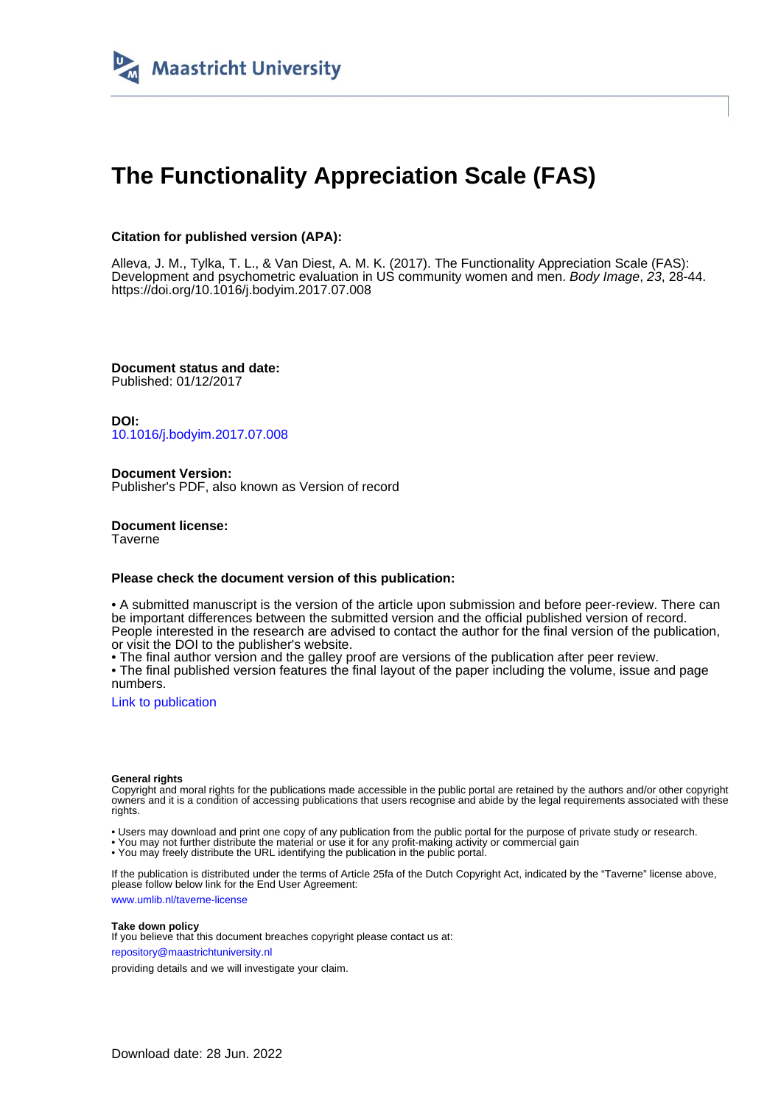

# **The Functionality Appreciation Scale (FAS)**

# **Citation for published version (APA):**

Alleva, J. M., Tylka, T. L., & Van Diest, A. M. K. (2017). The Functionality Appreciation Scale (FAS): Development and psychometric evaluation in US community women and men. Body Image, 23, 28-44. <https://doi.org/10.1016/j.bodyim.2017.07.008>

**Document status and date:** Published: 01/12/2017

**DOI:** [10.1016/j.bodyim.2017.07.008](https://doi.org/10.1016/j.bodyim.2017.07.008)

**Document Version:** Publisher's PDF, also known as Version of record

**Document license: Taverne** 

# **Please check the document version of this publication:**

• A submitted manuscript is the version of the article upon submission and before peer-review. There can be important differences between the submitted version and the official published version of record. People interested in the research are advised to contact the author for the final version of the publication, or visit the DOI to the publisher's website.

• The final author version and the galley proof are versions of the publication after peer review.

• The final published version features the final layout of the paper including the volume, issue and page numbers.

[Link to publication](https://cris.maastrichtuniversity.nl/en/publications/9d80d906-dd0e-4d30-a0f5-a07c26595e1e)

#### **General rights**

Copyright and moral rights for the publications made accessible in the public portal are retained by the authors and/or other copyright owners and it is a condition of accessing publications that users recognise and abide by the legal requirements associated with these rights.

• Users may download and print one copy of any publication from the public portal for the purpose of private study or research.

• You may not further distribute the material or use it for any profit-making activity or commercial gain

• You may freely distribute the URL identifying the publication in the public portal.

If the publication is distributed under the terms of Article 25fa of the Dutch Copyright Act, indicated by the "Taverne" license above, please follow below link for the End User Agreement:

www.umlib.nl/taverne-license

# **Take down policy**

If you believe that this document breaches copyright please contact us at: repository@maastrichtuniversity.nl

providing details and we will investigate your claim.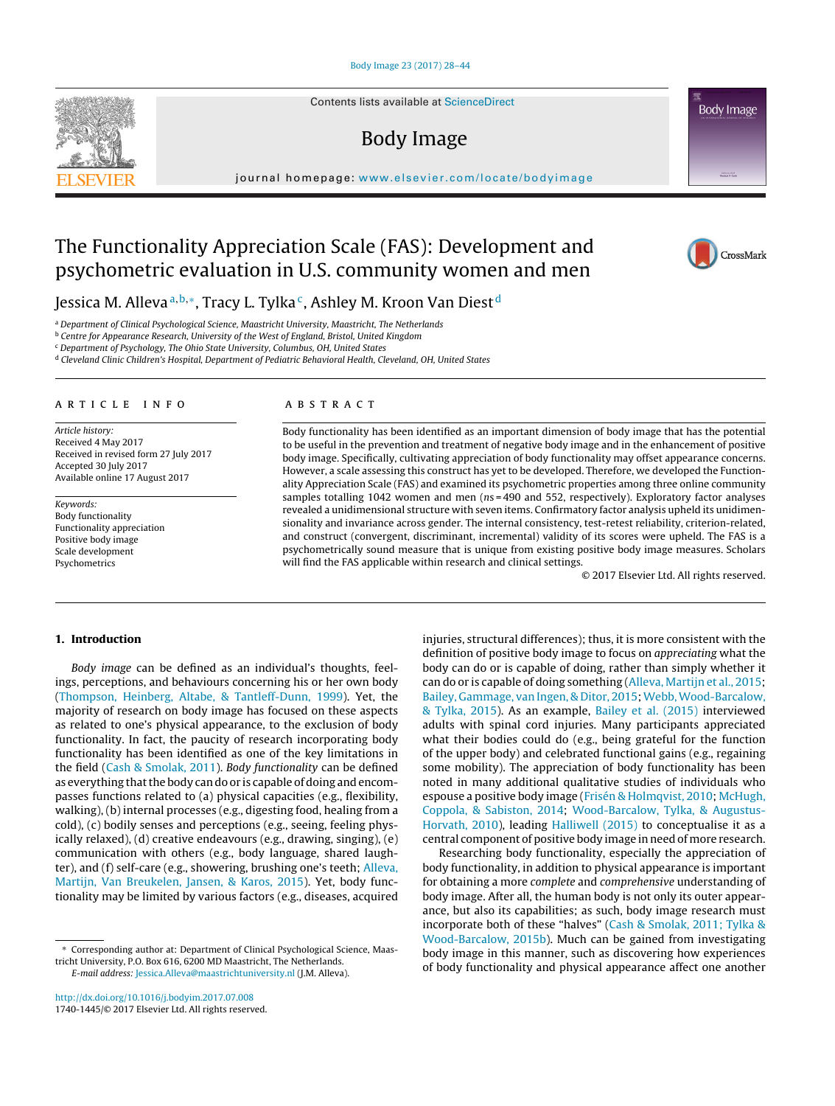Contents lists available at [ScienceDirect](http://www.sciencedirect.com/science/journal/17401445)

# Body Image

journal homepage: [www.elsevier.com/locate/bodyimage](http://www.elsevier.com/locate/bodyimage)

# The Functionality Appreciation Scale (FAS): Development and psychometric evaluation in U.S. community women and men

Jessica M. Alleva<sup>a,b,∗</sup>, Tracy L. Tylka<sup>c</sup>, Ashley M. Kroon Van Diest<sup>d</sup>

a Department of Clinical Psychological Science, Maastricht University, Maastricht, The Netherlands

<sup>b</sup> Centre for Appearance Research, University of the West of England, Bristol, United Kingdom

<sup>c</sup> Department of Psychology, The Ohio State University, Columbus, OH, United States

<sup>d</sup> Cleveland Clinic Children's Hospital, Department of Pediatric Behavioral Health, Cleveland, OH, United States

# a r t i c l e i n f o

Article history: Received 4 May 2017 Received in revised form 27 July 2017 Accepted 30 July 2017 Available online 17 August 2017

Keywords: Body functionality Functionality appreciation Positive body image Scale development Psychometrics

# A B S T R A C T

Body functionality has been identified as an important dimension of body image that has the potential to be useful in the prevention and treatment of negative body image and in the enhancement of positive body image. Specifically, cultivating appreciation of body functionality may offset appearance concerns. However, a scale assessing this construct has yet to be developed. Therefore, we developed the Functionality Appreciation Scale (FAS) and examined its psychometric properties among three online community samples totalling 1042 women and men (ns = 490 and 552, respectively). Exploratory factor analyses revealed a unidimensional structure with seven items. Confirmatory factor analysis upheld its unidimensionality and invariance across gender. The internal consistency, test-retest reliability, criterion-related, and construct (convergent, discriminant, incremental) validity of its scores were upheld. The FAS is a psychometrically sound measure that is unique from existing positive body image measures. Scholars will find the FAS applicable within research and clinical settings.

© 2017 Elsevier Ltd. All rights reserved.

### **1. Introduction**

Body image can be defined as an individual's thoughts, feelings, perceptions, and behaviours concerning his or her own body ([Thompson,](#page-16-0) [Heinberg,](#page-16-0) [Altabe,](#page-16-0) [&](#page-16-0) [Tantleff-Dunn,](#page-16-0) [1999\).](#page-16-0) Yet, the majority of research on body image has focused on these aspects as related to one's physical appearance, to the exclusion of body functionality. In fact, the paucity of research incorporating body functionality has been identified as one of the key limitations in the field [\(Cash](#page-15-0) [&](#page-15-0) [Smolak,](#page-15-0) [2011\).](#page-15-0) Body functionality can be defined as everything that the body can do or is capable of doing and encompasses functions related to (a) physical capacities (e.g., flexibility, walking), (b) internal processes (e.g., digesting food, healing from a cold), (c) bodily senses and perceptions (e.g., seeing, feeling physically relaxed), (d) creative endeavours (e.g., drawing, singing), (e) communication with others (e.g., body language, shared laughter), and (f) self-care (e.g., showering, brushing one's teeth; [Alleva,](#page-15-0) [Martijn,](#page-15-0) [Van](#page-15-0) [Breukelen,](#page-15-0) [Jansen,](#page-15-0) [&](#page-15-0) [Karos,](#page-15-0) [2015\).](#page-15-0) Yet, body functionality may be limited by various factors (e.g., diseases, acquired

∗ Corresponding author at: Department of Clinical Psychological Science, Maastricht University, P.O. Box 616, 6200 MD Maastricht, The Netherlands.

E-mail address: [Jessica.Alleva@maastrichtuniversity.nl](mailto:Jessica.Alleva@maastrichtuniversity.nl) (J.M. Alleva).

[http://dx.doi.org/10.1016/j.bodyim.2017.07.008](dx.doi.org/10.1016/j.bodyim.2017.07.008) 1740-1445/© 2017 Elsevier Ltd. All rights reserved. injuries, structural differences); thus, it is more consistent with the definition of positive body image to focus on appreciating what the body can do or is capable of doing, rather than simply whether it can do or is capable of doing something ([Alleva,](#page-15-0) [Martijn](#page-15-0) [et](#page-15-0) [al.,](#page-15-0) [2015;](#page-15-0) [Bailey,](#page-15-0) [Gammage,](#page-15-0) [van](#page-15-0) [Ingen,](#page-15-0) [&](#page-15-0) [Ditor,](#page-15-0) [2015;](#page-15-0) Webb, Wood-Barcalow, [&](#page-17-0) [Tylka,](#page-17-0) [2015\).](#page-17-0) As an example, [Bailey](#page-15-0) et [al.](#page-15-0) [\(2015\)](#page-15-0) interviewed adults with spinal cord injuries. Many participants appreciated what their bodies could do (e.g., being grateful for the function of the upper body) and celebrated functional gains (e.g., regaining some mobility). The appreciation of body functionality has been noted in many additional qualitative studies of individuals who espouse a positive body image ([Frisén](#page-16-0) [&](#page-16-0) [Holmqvist,](#page-16-0) [2010;](#page-16-0) [McHugh,](#page-16-0) [Coppola,](#page-16-0) [&](#page-16-0) [Sabiston,](#page-16-0) [2014;](#page-16-0) [Wood-Barcalow,](#page-17-0) [Tylka,](#page-17-0) [&](#page-17-0) [Augustus-](#page-17-0)Horvath, [2010\),](#page-17-0) leading [Halliwell](#page-16-0) [\(2015\)](#page-16-0) to conceptualise it as a central component of positive body image in need of more research.

Researching body functionality, especially the appreciation of body functionality, in addition to physical appearance is important for obtaining a more complete and comprehensive understanding of body image. After all, the human body is not only its outer appearance, but also its capabilities; as such, body image research must incorporate both of these "halves" [\(Cash](#page-15-0) [&](#page-15-0) [Smolak,](#page-15-0) [2011;](#page-15-0) [Tylka](#page-15-0) [&](#page-15-0) [Wood-Barcalow,](#page-15-0) [2015b\).](#page-15-0) Much can be gained from investigating body image in this manner, such as discovering how experiences of body functionality and physical appearance affect one another





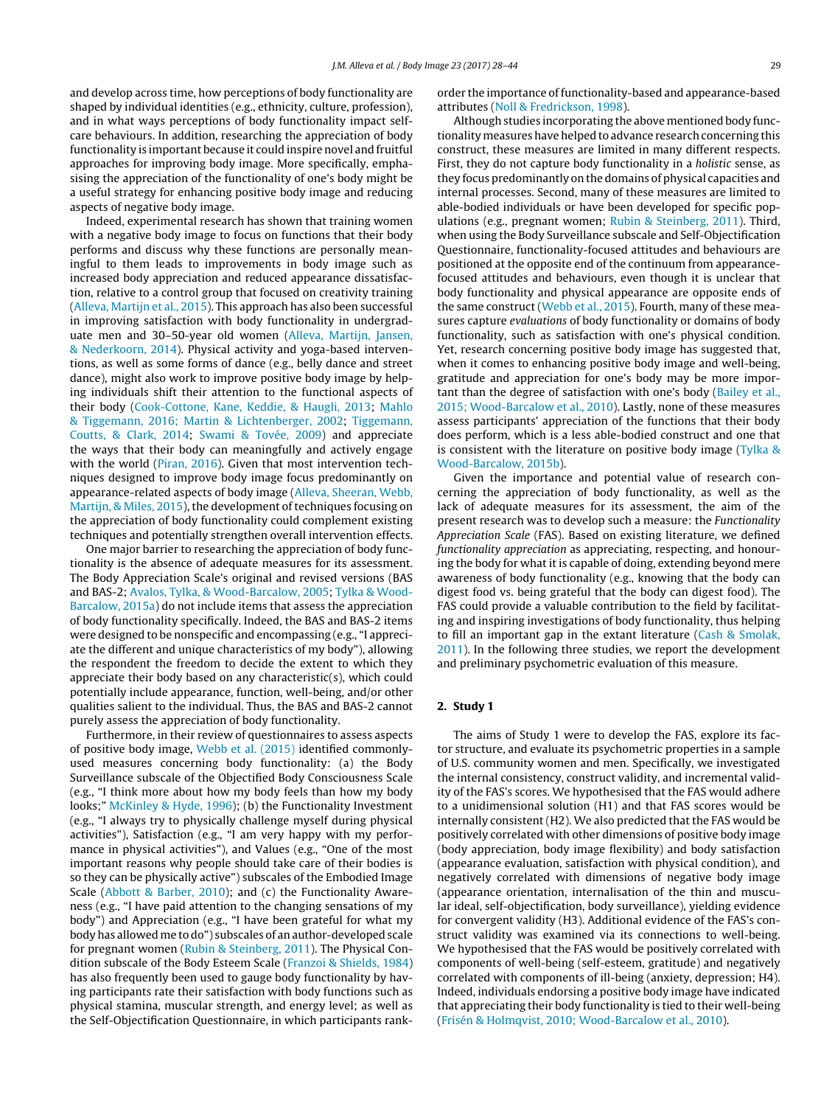and develop across time, how perceptions of body functionality are shaped by individual identities (e.g., ethnicity, culture, profession), and in what ways perceptions of body functionality impact selfcare behaviours. In addition, researching the appreciation of body functionality is important because it could inspire novel and fruitful approaches for improving body image. More specifically, emphasising the appreciation of the functionality of one's body might be a useful strategy for enhancing positive body image and reducing aspects of negative body image.

Indeed, experimental research has shown that training women with a negative body image to focus on functions that their body performs and discuss why these functions are personally meaningful to them leads to improvements in body image such as increased body appreciation and reduced appearance dissatisfaction, relative to a control group that focused on creativity training ([Alleva,](#page-15-0) [Martijn](#page-15-0) et [al.,](#page-15-0) [2015\).](#page-15-0) This approach has also been successful in improving satisfaction with body functionality in undergraduate men and 30–50-year old women [\(Alleva,](#page-15-0) [Martijn,](#page-15-0) [Jansen,](#page-15-0) [&](#page-15-0) [Nederkoorn,](#page-15-0) [2014\).](#page-15-0) Physical activity and yoga-based interventions, as well as some forms of dance (e.g., belly dance and street dance), might also work to improve positive body image by helping individuals shift their attention to the functional aspects of their body [\(Cook-Cottone,](#page-16-0) [Kane,](#page-16-0) [Keddie,](#page-16-0) [&](#page-16-0) [Haugli,](#page-16-0) [2013;](#page-16-0) [Mahlo](#page-16-0) [&](#page-16-0) [Tiggemann,](#page-16-0) [2016;](#page-16-0) [Martin](#page-16-0) [&](#page-16-0) [Lichtenberger,](#page-16-0) [2002;](#page-16-0) [Tiggemann,](#page-16-0) [Coutts,](#page-16-0) [&](#page-16-0) [Clark,](#page-16-0) [2014;](#page-16-0) [Swami](#page-16-0) [&](#page-16-0) [Tovée,](#page-16-0) [2009\)](#page-16-0) and appreciate the ways that their body can meaningfully and actively engage with the world [\(Piran,](#page-16-0) [2016\).](#page-16-0) Given that most intervention techniques designed to improve body image focus predominantly on appearance-related aspects of body image ([Alleva,](#page-15-0) [Sheeran,](#page-15-0) [Webb,](#page-15-0) [Martijn,](#page-15-0) [&](#page-15-0) [Miles,](#page-15-0) [2015\),](#page-15-0) the development of techniques focusing on the appreciation of body functionality could complement existing techniques and potentially strengthen overall intervention effects.

One major barrier to researching the appreciation of body functionality is the absence of adequate measures for its assessment. The Body Appreciation Scale's original and revised versions (BAS and BAS-2; [Avalos,](#page-15-0) [Tylka,](#page-15-0) [&](#page-15-0) [Wood-Barcalow,](#page-15-0) [2005;](#page-15-0) [Tylka](#page-17-0) [&](#page-17-0) [Wood-](#page-17-0)Barcalow, [2015a\)](#page-17-0) do not include items that assess the appreciation of body functionality specifically. Indeed, the BAS and BAS-2 items were designed to be nonspecific and encompassing (e.g., "I appreciate the different and unique characteristics of my body"), allowing the respondent the freedom to decide the extent to which they appreciate their body based on any characteristic(s), which could potentially include appearance, function, well-being, and/or other qualities salient to the individual. Thus, the BAS and BAS-2 cannot purely assess the appreciation of body functionality.

Furthermore, in their review of questionnaires to assess aspects of positive body image, [Webb](#page-17-0) et [al.](#page-17-0) [\(2015\)](#page-17-0) identified commonlyused measures concerning body functionality: (a) the Body Surveillance subscale of the Objectified Body Consciousness Scale (e.g., "I think more about how my body feels than how my body looks;" [McKinley](#page-16-0) [&](#page-16-0) [Hyde,](#page-16-0) [1996\);](#page-16-0) (b) the Functionality Investment (e.g., "I always try to physically challenge myself during physical activities"), Satisfaction (e.g., "I am very happy with my performance in physical activities"), and Values (e.g., "One of the most important reasons why people should take care of their bodies is so they can be physically active") subscales of the Embodied Image Scale ([Abbott](#page-15-0) [&](#page-15-0) [Barber,](#page-15-0) [2010\);](#page-15-0) and (c) the Functionality Awareness (e.g., "I have paid attention to the changing sensations of my body") and Appreciation (e.g., "I have been grateful for what my body has allowed me to do") subscales of an author-developed scale for pregnant women ([Rubin](#page-16-0) [&](#page-16-0) [Steinberg,](#page-16-0) [2011\).](#page-16-0) The Physical Condition subscale of the Body Esteem Scale [\(Franzoi](#page-16-0) [&](#page-16-0) [Shields,](#page-16-0) [1984\)](#page-16-0) has also frequently been used to gauge body functionality by having participants rate their satisfaction with body functions such as physical stamina, muscular strength, and energy level; as well as the Self-Objectification Questionnaire, in which participants rankorder the importance of functionality-based and appearance-based attributes ([Noll](#page-16-0) [&](#page-16-0) [Fredrickson,](#page-16-0) [1998\).](#page-16-0)

Although studies incorporating the above mentioned body functionalitymeasures have helped to advance research concerning this construct, these measures are limited in many different respects. First, they do not capture body functionality in a holistic sense, as they focus predominantly on the domains of physical capacities and internal processes. Second, many of these measures are limited to able-bodied individuals or have been developed for specific populations (e.g., pregnant women; [Rubin](#page-16-0) [&](#page-16-0) [Steinberg,](#page-16-0) [2011\).](#page-16-0) Third, when using the Body Surveillance subscale and Self-Objectification Questionnaire, functionality-focused attitudes and behaviours are positioned at the opposite end of the continuum from appearancefocused attitudes and behaviours, even though it is unclear that body functionality and physical appearance are opposite ends of the same construct ([Webb](#page-17-0) et [al.,](#page-17-0) [2015\).](#page-17-0) Fourth, many of these measures capture evaluations of body functionality or domains of body functionality, such as satisfaction with one's physical condition. Yet, research concerning positive body image has suggested that, when it comes to enhancing positive body image and well-being, gratitude and appreciation for one's body may be more important than the degree of satisfaction with one's body [\(Bailey](#page-15-0) et [al.,](#page-15-0) [2015;](#page-15-0) [Wood-Barcalow](#page-15-0) et [al.,](#page-15-0) [2010\).](#page-15-0) Lastly, none of these measures assess participants' appreciation of the functions that their body does perform, which is a less able-bodied construct and one that is consistent with the literature on positive body image ([Tylka](#page-17-0) [&](#page-17-0) [Wood-Barcalow,](#page-17-0) [2015b\).](#page-17-0)

Given the importance and potential value of research concerning the appreciation of body functionality, as well as the lack of adequate measures for its assessment, the aim of the present research was to develop such a measure: the Functionality Appreciation Scale (FAS). Based on existing literature, we defined functionality appreciation as appreciating, respecting, and honouring the body for what it is capable of doing, extending beyond mere awareness of body functionality (e.g., knowing that the body can digest food vs. being grateful that the body can digest food). The FAS could provide a valuable contribution to the field by facilitating and inspiring investigations of body functionality, thus helping to fill an important gap in the extant literature ([Cash](#page-15-0) [&](#page-15-0) [Smolak,](#page-15-0) [2011\).](#page-15-0) In the following three studies, we report the development and preliminary psychometric evaluation of this measure.

#### **2. Study 1**

The aims of Study 1 were to develop the FAS, explore its factor structure, and evaluate its psychometric properties in a sample of U.S. community women and men. Specifically, we investigated the internal consistency, construct validity, and incremental validity of the FAS's scores. We hypothesised that the FAS would adhere to a unidimensional solution (H1) and that FAS scores would be internally consistent (H2). We also predicted that the FAS would be positively correlated with other dimensions of positive body image (body appreciation, body image flexibility) and body satisfaction (appearance evaluation, satisfaction with physical condition), and negatively correlated with dimensions of negative body image (appearance orientation, internalisation of the thin and muscular ideal, self-objectification, body surveillance), yielding evidence for convergent validity (H3). Additional evidence of the FAS's construct validity was examined via its connections to well-being. We hypothesised that the FAS would be positively correlated with components of well-being (self-esteem, gratitude) and negatively correlated with components of ill-being (anxiety, depression; H4). Indeed, individuals endorsing a positive body image have indicated that appreciating their body functionality is tied to their well-being [\(Frisén](#page-16-0) [&](#page-16-0) [Holmqvist,](#page-16-0) [2010;](#page-16-0) [Wood-Barcalow](#page-16-0) et [al.,](#page-16-0) [2010\).](#page-16-0)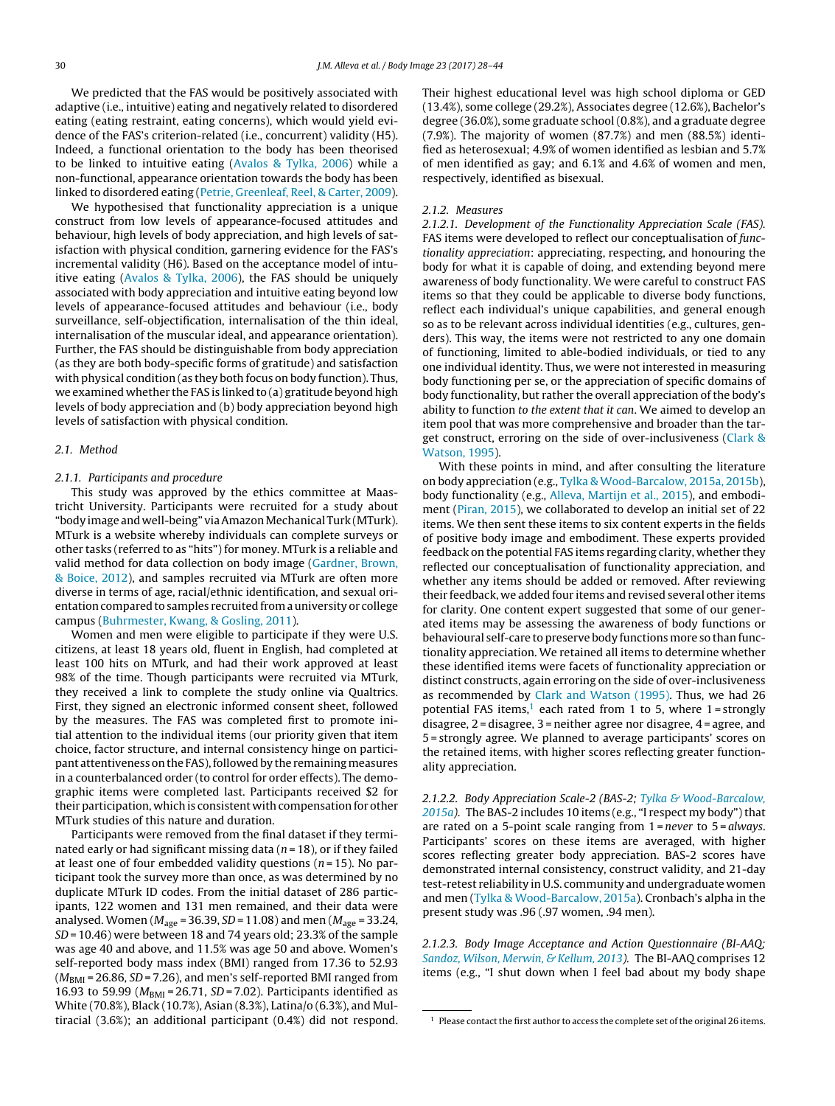We predicted that the FAS would be positively associated with adaptive (i.e., intuitive) eating and negatively related to disordered eating (eating restraint, eating concerns), which would yield evidence of the FAS's criterion-related (i.e., concurrent) validity (H5). Indeed, a functional orientation to the body has been theorised to be linked to intuitive eating ([Avalos](#page-15-0) [&](#page-15-0) [Tylka,](#page-15-0) [2006\)](#page-15-0) while a non-functional, appearance orientation towards the body has been linked to disordered eating [\(Petrie,](#page-16-0) [Greenleaf,](#page-16-0) [Reel,](#page-16-0) [&](#page-16-0) [Carter,](#page-16-0) [2009\).](#page-16-0)

We hypothesised that functionality appreciation is a unique construct from low levels of appearance-focused attitudes and behaviour, high levels of body appreciation, and high levels of satisfaction with physical condition, garnering evidence for the FAS's incremental validity (H6). Based on the acceptance model of intuitive eating ([Avalos](#page-15-0) [&](#page-15-0) [Tylka,](#page-15-0) [2006\),](#page-15-0) the FAS should be uniquely associated with body appreciation and intuitive eating beyond low levels of appearance-focused attitudes and behaviour (i.e., body surveillance, self-objectification, internalisation of the thin ideal, internalisation of the muscular ideal, and appearance orientation). Further, the FAS should be distinguishable from body appreciation (as they are both body-specific forms of gratitude) and satisfaction with physical condition (as they both focus on body function). Thus, we examined whether the FAS is linked to (a) gratitude beyond high levels of body appreciation and (b) body appreciation beyond high levels of satisfaction with physical condition.

#### 2.1. Method

#### 2.1.1. Participants and procedure

This study was approved by the ethics committee at Maastricht University. Participants were recruited for a study about "body image and well-being" viaAmazonMechanical Turk (MTurk). MTurk is a website whereby individuals can complete surveys or other tasks (referred to as "hits") for money. MTurk is a reliable and valid method for data collection on body image ([Gardner,](#page-16-0) [Brown,](#page-16-0) [&](#page-16-0) [Boice,](#page-16-0) [2012\),](#page-16-0) and samples recruited via MTurk are often more diverse in terms of age, racial/ethnic identification, and sexual orientation compared to samples recruited from a university or college campus ([Buhrmester,](#page-15-0) [Kwang,](#page-15-0) [&](#page-15-0) [Gosling,](#page-15-0) [2011\).](#page-15-0)

Women and men were eligible to participate if they were U.S. citizens, at least 18 years old, fluent in English, had completed at least 100 hits on MTurk, and had their work approved at least 98% of the time. Though participants were recruited via MTurk, they received a link to complete the study online via Qualtrics. First, they signed an electronic informed consent sheet, followed by the measures. The FAS was completed first to promote initial attention to the individual items (our priority given that item choice, factor structure, and internal consistency hinge on participant attentiveness on the FAS), followed by the remaining measures in a counterbalanced order (to control for order effects). The demographic items were completed last. Participants received \$2 for their participation, which is consistent with compensation for other MTurk studies of this nature and duration.

Participants were removed from the final dataset if they terminated early or had significant missing data ( $n = 18$ ), or if they failed at least one of four embedded validity questions ( $n = 15$ ). No participant took the survey more than once, as was determined by no duplicate MTurk ID codes. From the initial dataset of 286 participants, 122 women and 131 men remained, and their data were analysed. Women ( $M_{\text{age}}$  = 36.39, SD = 11.08) and men ( $M_{\text{age}}$  = 33.24,  $SD = 10.46$ ) were between 18 and 74 years old; 23.3% of the sample was age 40 and above, and 11.5% was age 50 and above. Women's self-reported body mass index (BMI) ranged from 17.36 to 52.93  $(M_{\text{BMI}} = 26.86, SD = 7.26)$ , and men's self-reported BMI ranged from 16.93 to 59.99 ( $M_{BMI}$  = 26.71, SD = 7.02). Participants identified as White (70.8%), Black (10.7%), Asian (8.3%), Latina/o (6.3%), and Multiracial (3.6%); an additional participant (0.4%) did not respond.

Their highest educational level was high school diploma or GED (13.4%), some college (29.2%), Associates degree (12.6%), Bachelor's degree (36.0%), some graduate school (0.8%), and a graduate degree (7.9%). The majority of women (87.7%) and men (88.5%) identified as heterosexual; 4.9% of women identified as lesbian and 5.7% of men identified as gay; and 6.1% and 4.6% of women and men, respectively, identified as bisexual.

#### 2.1.2. Measures

2.1.2.1. Development of the Functionality Appreciation Scale (FAS). FAS items were developed to reflect our conceptualisation of functionality appreciation: appreciating, respecting, and honouring the body for what it is capable of doing, and extending beyond mere awareness of body functionality. We were careful to construct FAS items so that they could be applicable to diverse body functions, reflect each individual's unique capabilities, and general enough so as to be relevant across individual identities (e.g., cultures, genders). This way, the items were not restricted to any one domain of functioning, limited to able-bodied individuals, or tied to any one individual identity. Thus, we were not interested in measuring body functioning per se, or the appreciation of specific domains of body functionality, but rather the overall appreciation of the body's ability to function to the extent that it can. We aimed to develop an item pool that was more comprehensive and broader than the target construct, erroring on the side of over-inclusiveness ([Clark](#page-16-0) [&](#page-16-0) [Watson,](#page-16-0) [1995\).](#page-16-0)

With these points in mind, and after consulting the literature on body appreciation (e.g., [Tylka](#page-17-0) [&](#page-17-0) [Wood-Barcalow,](#page-17-0) [2015a,](#page-17-0) [2015b\),](#page-17-0) body functionality (e.g., [Alleva,](#page-15-0) [Martijn](#page-15-0) et [al.,](#page-15-0) [2015\),](#page-15-0) and embodiment ([Piran,](#page-16-0) [2015\),](#page-16-0) we collaborated to develop an initial set of 22 items. We then sent these items to six content experts in the fields of positive body image and embodiment. These experts provided feedback on the potential FAS items regarding clarity, whether they reflected our conceptualisation of functionality appreciation, and whether any items should be added or removed. After reviewing their feedback, we added four items and revised several other items for clarity. One content expert suggested that some of our generated items may be assessing the awareness of body functions or behavioural self-care to preserve body functions more so than functionality appreciation. We retained all items to determine whether these identified items were facets of functionality appreciation or distinct constructs, again erroring on the side of over-inclusiveness as recommended by [Clark](#page-16-0) [and](#page-16-0) [Watson](#page-16-0) [\(1995\).](#page-16-0) Thus, we had 26 potential FAS items,<sup>1</sup> each rated from 1 to 5, where  $1 =$  strongly disagree, 2 = disagree, 3 = neither agree nor disagree, 4 = agree, and 5 = strongly agree. We planned to average participants' scores on the retained items, with higher scores reflecting greater functionality appreciation.

2.1.2.2. Body Appreciation Scale-2 (BAS-2; [Tylka](#page-17-0) [&](#page-17-0) [Wood-Barcalow,](#page-17-0)  $2015a$ ). The BAS-2 includes 10 items (e.g., "I respect my body") that are rated on a 5-point scale ranging from  $1$  = never to  $5$  = always. Participants' scores on these items are averaged, with higher scores reflecting greater body appreciation. BAS-2 scores have demonstrated internal consistency, construct validity, and 21-day test-retest reliability in U.S. community and undergraduate women and men [\(Tylka](#page-17-0) [&](#page-17-0) [Wood-Barcalow,](#page-17-0) [2015a\).](#page-17-0) Cronbach's alpha in the present study was .96 (.97 women, .94 men).

2.1.2.3. Body Image Acceptance and Action Questionnaire (BI-AAQ; [Sandoz,](#page-16-0) [Wilson,](#page-16-0) [Merwin,](#page-16-0) [&](#page-16-0) [Kellum,](#page-16-0) [2013\).](#page-16-0) The BI-AAQ comprises 12 items (e.g., "I shut down when I feel bad about my body shape

 $^{\rm 1}$  Please contact the first author to access the complete set of the original 26 items.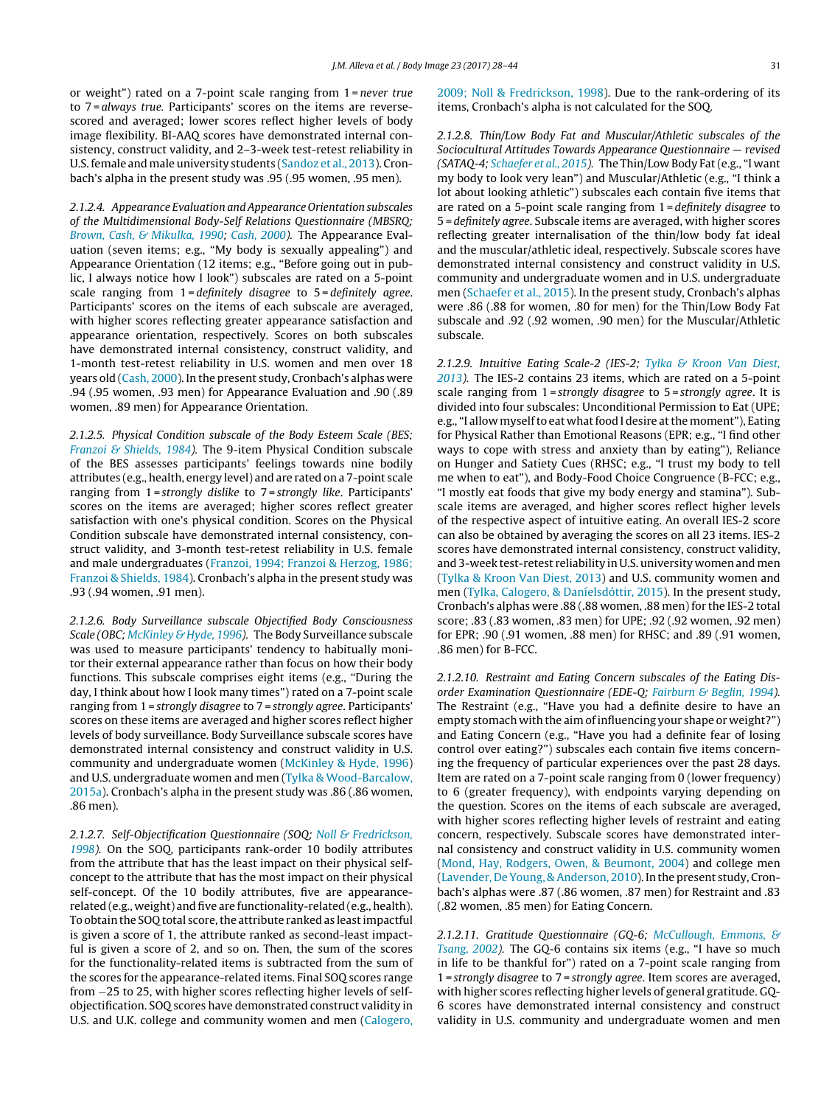or weight") rated on a 7-point scale ranging from 1 = never true to 7 = always true. Participants' scores on the items are reversescored and averaged; lower scores reflect higher levels of body image flexibility. BI-AAQ scores have demonstrated internal consistency, construct validity, and 2–3-week test-retest reliability in U.S. female and male university students ([Sandoz](#page-16-0) et [al.,](#page-16-0) [2013\).](#page-16-0) Cronbach's alpha in the present study was .95 (.95 women, .95 men).

2.1.2.4. Appearance Evaluation andAppearance Orientation subscales of the Multidimensional Body-Self Relations Questionnaire (MBSRQ; [Brown,](#page-15-0) [Cash,](#page-15-0) [&](#page-15-0) [Mikulka,](#page-15-0) [1990;](#page-15-0) Cash, [2000\).](#page-15-0) The Appearance Evaluation (seven items; e.g., "My body is sexually appealing") and Appearance Orientation (12 items; e.g., "Before going out in public, I always notice how I look") subscales are rated on a 5-point scale ranging from 1=definitely disagree to 5=definitely agree. Participants' scores on the items of each subscale are averaged, with higher scores reflecting greater appearance satisfaction and appearance orientation, respectively. Scores on both subscales have demonstrated internal consistency, construct validity, and 1-month test-retest reliability in U.S. women and men over 18 years old [\(Cash,](#page-15-0) [2000\).](#page-15-0) In the present study, Cronbach's alphas were .94 (.95 women, .93 men) for Appearance Evaluation and .90 (.89 women, .89 men) for Appearance Orientation.

2.1.2.5. Physical Condition subscale of the Body Esteem Scale (BES; [Franzoi](#page-16-0) [&](#page-16-0) [Shields,](#page-16-0) [1984\).](#page-16-0) The 9-item Physical Condition subscale of the BES assesses participants' feelings towards nine bodily attributes (e.g., health, energy level) and are rated on a 7-point scale ranging from 1 = strongly dislike to 7 = strongly like. Participants' scores on the items are averaged; higher scores reflect greater satisfaction with one's physical condition. Scores on the Physical Condition subscale have demonstrated internal consistency, construct validity, and 3-month test-retest reliability in U.S. female and male undergraduates ([Franzoi,](#page-16-0) [1994;](#page-16-0) [Franzoi](#page-16-0) [&](#page-16-0) [Herzog,](#page-16-0) [1986;](#page-16-0) [Franzoi](#page-16-0) [&](#page-16-0) [Shields,](#page-16-0) [1984\).](#page-16-0) Cronbach's alpha in the present study was .93 (.94 women, .91 men).

2.1.2.6. Body Surveillance subscale Objectified Body Consciousness Scale (OBC; [McKinley](#page-16-0) [&](#page-16-0) [Hyde,](#page-16-0) [1996\).](#page-16-0) The Body Surveillance subscale was used to measure participants' tendency to habitually monitor their external appearance rather than focus on how their body functions. This subscale comprises eight items (e.g., "During the day, I think about how I look many times") rated on a 7-point scale ranging from 1 = strongly disagree to 7 = strongly agree. Participants' scores on these items are averaged and higher scores reflect higher levels of body surveillance. Body Surveillance subscale scores have demonstrated internal consistency and construct validity in U.S. community and undergraduate women [\(McKinley](#page-16-0) [&](#page-16-0) [Hyde,](#page-16-0) [1996\)](#page-16-0) and U.S. undergraduate women and men [\(Tylka](#page-17-0) [&](#page-17-0) [Wood-Barcalow,](#page-17-0) [2015a\).](#page-17-0) Cronbach's alpha in the present study was .86 (.86 women, .86 men).

2.1.2.7. Self-Objectification Questionnaire (SOQ; [Noll](#page-16-0) [&](#page-16-0) [Fredrickson,](#page-16-0) [1998\).](#page-16-0) On the SOQ, participants rank-order 10 bodily attributes from the attribute that has the least impact on their physical selfconcept to the attribute that has the most impact on their physical self-concept. Of the 10 bodily attributes, five are appearancerelated (e.g., weight) and five are functionality-related (e.g., health). To obtain the SOQ total score, the attribute ranked as least impactful is given a score of 1, the attribute ranked as second-least impactful is given a score of 2, and so on. Then, the sum of the scores for the functionality-related items is subtracted from the sum of the scores for the appearance-related items. Final SOQ scores range from −25 to 25, with higher scores reflecting higher levels of selfobjectification. SOQ scores have demonstrated construct validity in U.S. and U.K. college and community women and men ([Calogero,](#page-15-0) [2009;](#page-15-0) [Noll](#page-15-0) [&](#page-15-0) [Fredrickson,](#page-15-0) [1998\).](#page-15-0) Due to the rank-ordering of its items, Cronbach's alpha is not calculated for the SOQ.

2.1.2.8. Thin/Low Body Fat and Muscular/Athletic subscales of the Sociocultural Attitudes Towards Appearance Questionnaire — revised (SATAQ-4; [Schaefer](#page-16-0) et [al.,](#page-16-0) [2015\).](#page-16-0) The Thin/Low Body Fat (e.g., "I want my body to look very lean") and Muscular/Athletic (e.g., "I think a lot about looking athletic") subscales each contain five items that are rated on a 5-point scale ranging from 1 = definitely disagree to 5 = definitely agree. Subscale items are averaged, with higher scores reflecting greater internalisation of the thin/low body fat ideal and the muscular/athletic ideal, respectively. Subscale scores have demonstrated internal consistency and construct validity in U.S. community and undergraduate women and in U.S. undergraduate men [\(Schaefer](#page-16-0) et [al.,](#page-16-0) [2015\).](#page-16-0) In the present study, Cronbach's alphas were .86 (.88 for women, .80 for men) for the Thin/Low Body Fat subscale and .92 (.92 women, .90 men) for the Muscular/Athletic subscale.

2.1.2.9. Intuitive Eating Scale-2 (IES-2; [Tylka](#page-17-0) [&](#page-17-0) [Kroon](#page-17-0) [Van](#page-17-0) [Diest,](#page-17-0) [2013\).](#page-17-0) The IES-2 contains 23 items, which are rated on a 5-point scale ranging from 1 = strongly disagree to 5 = strongly agree. It is divided into four subscales: Unconditional Permission to Eat (UPE; e.g., "I allow myself to eat what food I desire at the moment"), Eating for Physical Rather than Emotional Reasons (EPR; e.g., "I find other ways to cope with stress and anxiety than by eating"), Reliance on Hunger and Satiety Cues (RHSC; e.g., "I trust my body to tell me when to eat"), and Body-Food Choice Congruence (B-FCC; e.g., "I mostly eat foods that give my body energy and stamina"). Subscale items are averaged, and higher scores reflect higher levels of the respective aspect of intuitive eating. An overall IES-2 score can also be obtained by averaging the scores on all 23 items. IES-2 scores have demonstrated internal consistency, construct validity, and 3-week test-retest reliability in U.S. university women and men [\(Tylka](#page-17-0) [&](#page-17-0) [Kroon](#page-17-0) [Van](#page-17-0) [Diest,](#page-17-0) [2013\)](#page-17-0) and U.S. community women and men ([Tylka,](#page-17-0) [Calogero,](#page-17-0) [&](#page-17-0) [Daníelsdóttir,](#page-17-0) [2015\).](#page-17-0) In the present study, Cronbach's alphas were .88 (.88 women, .88 men) for the IES-2 total score; .83 (.83 women, .83 men) for UPE; .92 (.92 women, .92 men) for EPR; .90 (.91 women, .88 men) for RHSC; and .89 (.91 women, .86 men) for B-FCC.

2.1.2.10. Restraint and Eating Concern subscales of the Eating Disorder Examination Questionnaire (EDE-Q; [Fairburn](#page-16-0) [&](#page-16-0) [Beglin,](#page-16-0) [1994\).](#page-16-0) The Restraint (e.g., "Have you had a definite desire to have an empty stomach with the aim of influencing your shape or weight?") and Eating Concern (e.g., "Have you had a definite fear of losing control over eating?") subscales each contain five items concerning the frequency of particular experiences over the past 28 days. Item are rated on a 7-point scale ranging from 0 (lower frequency) to 6 (greater frequency), with endpoints varying depending on the question. Scores on the items of each subscale are averaged, with higher scores reflecting higher levels of restraint and eating concern, respectively. Subscale scores have demonstrated internal consistency and construct validity in U.S. community women [\(Mond,](#page-16-0) [Hay,](#page-16-0) [Rodgers,](#page-16-0) [Owen,](#page-16-0) [&](#page-16-0) [Beumont,](#page-16-0) [2004\)](#page-16-0) and college men [\(Lavender,](#page-16-0) [De](#page-16-0) [Young,](#page-16-0) [&](#page-16-0) [Anderson,](#page-16-0) [2010\).](#page-16-0) In the present study, Cronbach's alphas were .87 (.86 women, .87 men) for Restraint and .83 (.82 women, .85 men) for Eating Concern.

2.1.2.11. Gratitude Questionnaire (GQ-6; [McCullough,](#page-16-0) [Emmons,](#page-16-0) [&](#page-16-0) [Tsang,](#page-16-0) [2002\).](#page-16-0) The GQ-6 contains six items (e.g., "I have so much in life to be thankful for") rated on a 7-point scale ranging from 1 = strongly disagree to 7 = strongly agree. Item scores are averaged, with higher scores reflecting higher levels of general gratitude. GQ-6 scores have demonstrated internal consistency and construct validity in U.S. community and undergraduate women and men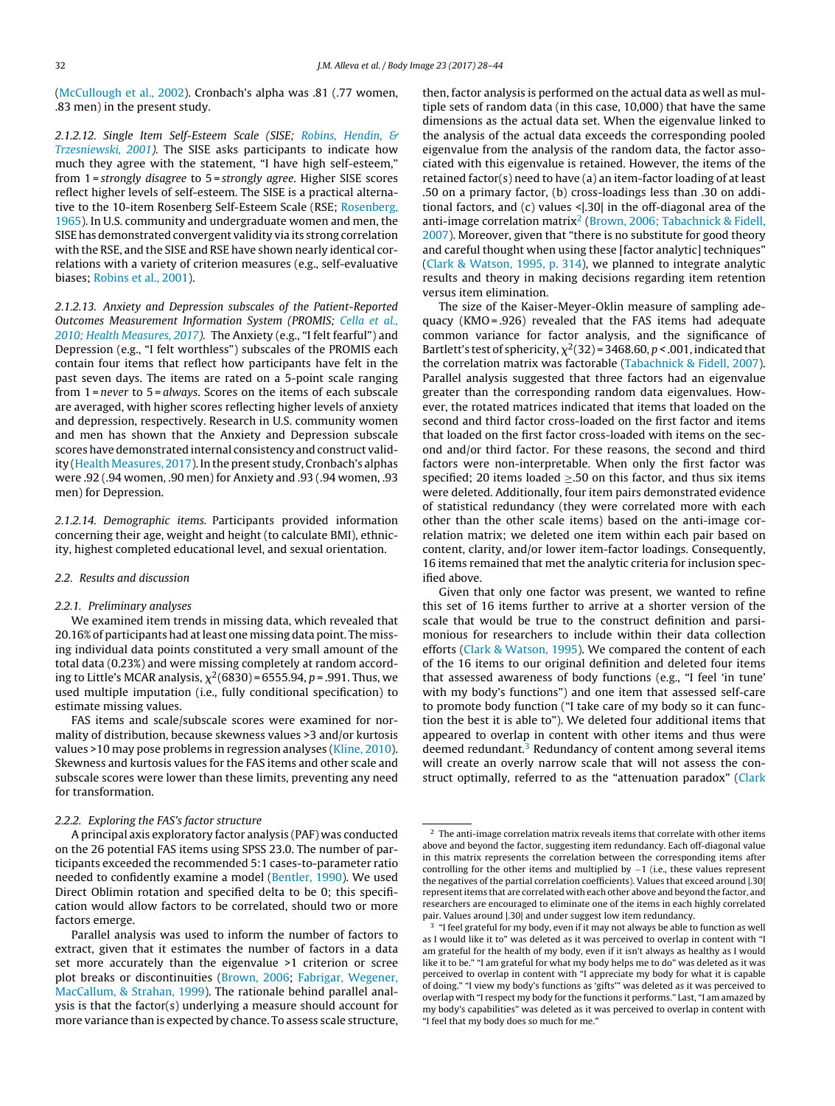([McCullough](#page-16-0) et [al.,](#page-16-0) [2002\).](#page-16-0) Cronbach's alpha was .81 (.77 women, .83 men) in the present study.

2.1.2.12. Single Item Self-Esteem Scale (SISE; [Robins,](#page-16-0) [Hendin,](#page-16-0) [&](#page-16-0) [Trzesniewski,](#page-16-0) [2001\).](#page-16-0) The SISE asks participants to indicate how much they agree with the statement, "I have high self-esteem," from 1 = strongly disagree to 5 = strongly agree. Higher SISE scores reflect higher levels of self-esteem. The SISE is a practical alternative to the 10-item Rosenberg Self-Esteem Scale (RSE; [Rosenberg,](#page-16-0) [1965\).](#page-16-0) In U.S. community and undergraduate women and men, the SISE has demonstrated convergent validity via its strong correlation with the RSE, and the SISE and RSE have shown nearly identical correlations with a variety of criterion measures (e.g., self-evaluative biases; [Robins](#page-16-0) et [al.,](#page-16-0) [2001\).](#page-16-0)

2.1.2.13. Anxiety and Depression subscales of the Patient-Reported Outcomes Measurement Information System (PROMIS; [Cella](#page-15-0) et [al.,](#page-15-0) [2010;](#page-15-0) [Health](#page-15-0) [Measures,](#page-15-0) [2017\).](#page-15-0) The Anxiety (e.g., "I felt fearful") and Depression (e.g., "I felt worthless") subscales of the PROMIS each contain four items that reflect how participants have felt in the past seven days. The items are rated on a 5-point scale ranging from 1 = never to 5 = always. Scores on the items of each subscale are averaged, with higher scores reflecting higher levels of anxiety and depression, respectively. Research in U.S. community women and men has shown that the Anxiety and Depression subscale scores have demonstrated internal consistency and construct valid-ity (Health Measures, [2017\).](#page-16-0) In the present study, Cronbach's alphas were .92 (.94 women, .90 men) for Anxiety and .93 (.94 women, .93 men) for Depression.

2.1.2.14. Demographic items. Participants provided information concerning their age, weight and height (to calculate BMI), ethnicity, highest completed educational level, and sexual orientation.

#### 2.2. Results and discussion

#### 2.2.1. Preliminary analyses

We examined item trends in missing data, which revealed that 20.16% of participants had atleast one missing data point. The missing individual data points constituted a very small amount of the total data (0.23%) and were missing completely at random according to Little's MCAR analysis,  $\chi^2$ (6830)=6555.94, p=.991. Thus, we used multiple imputation (i.e., fully conditional specification) to estimate missing values.

FAS items and scale/subscale scores were examined for normality of distribution, because skewness values >3 and/or kurtosis values >10 may pose problems in regression analyses [\(Kline,](#page-16-0) [2010\).](#page-16-0) Skewness and kurtosis values for the FAS items and other scale and subscale scores were lower than these limits, preventing any need for transformation.

# 2.2.2. Exploring the FAS's factor structure

A principal axis exploratory factor analysis (PAF) was conducted on the 26 potential FAS items using SPSS 23.0. The number of participants exceeded the recommended 5:1 cases-to-parameter ratio needed to confidently examine a model ([Bentler,](#page-15-0) [1990\).](#page-15-0) We used Direct Oblimin rotation and specified delta to be 0; this specification would allow factors to be correlated, should two or more factors emerge.

then, factor analysis is performed on the actual data as well as multiple sets of random data (in this case, 10,000) that have the same dimensions as the actual data set. When the eigenvalue linked to the analysis of the actual data exceeds the corresponding pooled eigenvalue from the analysis of the random data, the factor associated with this eigenvalue is retained. However, the items of the retained factor(s) need to have (a) an item-factor loading of at least .50 on a primary factor, (b) cross-loadings less than .30 on additional factors, and  $(c)$  values < $|.30|$  in the off-diagonal area of the anti-image correlation matrix<sup>2</sup> ([Brown,](#page-15-0) [2006;](#page-15-0) [Tabachnick](#page-15-0) [&](#page-15-0) [Fidell,](#page-15-0) [2007\).](#page-15-0) Moreover, given that "there is no substitute for good theory and careful thought when using these [factor analytic] techniques" [\(Clark](#page-16-0) [&](#page-16-0) [Watson,](#page-16-0) [1995,](#page-16-0) p. 314), we planned to integrate analytic results and theory in making decisions regarding item retention versus item elimination.

The size of the Kaiser-Meyer-Oklin measure of sampling adequacy (KMO = .926) revealed that the FAS items had adequate common variance for factor analysis, and the significance of Bartlett's test of sphericity,  $\chi^2(32)$  = 3468.60, p < .001, indicated that the correlation matrix was factorable ([Tabachnick](#page-16-0) [&](#page-16-0) [Fidell,](#page-16-0) [2007\).](#page-16-0) Parallel analysis suggested that three factors had an eigenvalue greater than the corresponding random data eigenvalues. However, the rotated matrices indicated that items that loaded on the second and third factor cross-loaded on the first factor and items that loaded on the first factor cross-loaded with items on the second and/or third factor. For these reasons, the second and third factors were non-interpretable. When only the first factor was specified; 20 items loaded  $\geq$ .50 on this factor, and thus six items were deleted. Additionally, four item pairs demonstrated evidence of statistical redundancy (they were correlated more with each other than the other scale items) based on the anti-image correlation matrix; we deleted one item within each pair based on content, clarity, and/or lower item-factor loadings. Consequently, 16 items remained that met the analytic criteria for inclusion specified above.

Given that only one factor was present, we wanted to refine this set of 16 items further to arrive at a shorter version of the scale that would be true to the construct definition and parsimonious for researchers to include within their data collection efforts ([Clark](#page-16-0) [&](#page-16-0) [Watson,](#page-16-0) [1995\).](#page-16-0) We compared the content of each of the 16 items to our original definition and deleted four items that assessed awareness of body functions (e.g., "I feel 'in tune' with my body's functions") and one item that assessed self-care to promote body function ("I take care of my body so it can function the best it is able to"). We deleted four additional items that appeared to overlap in content with other items and thus were deemed redundant. $3$  Redundancy of content among several items will create an overly narrow scale that will not assess the construct optimally, referred to as the "attenuation paradox" [\(Clark](#page-16-0)

Parallel analysis was used to inform the number of factors to extract, given that it estimates the number of factors in a data set more accurately than the eigenvalue >1 criterion or scree plot breaks or discontinuities ([Brown,](#page-15-0) [2006;](#page-15-0) [Fabrigar,](#page-16-0) [Wegener,](#page-16-0) [MacCallum,](#page-16-0) [&](#page-16-0) [Strahan,](#page-16-0) [1999\).](#page-16-0) The rationale behind parallel analysis is that the factor(s) underlying a measure should account for more variance than is expected by chance. To assess scale structure,

 $^{\rm 2}$  The anti-image correlation matrix reveals items that correlate with other items above and beyond the factor, suggesting item redundancy. Each off-diagonal value in this matrix represents the correlation between the corresponding items after controlling for the other items and multiplied by −1 (i.e., these values represent the negatives of the partial correlation coefficients). Values that exceed around |.30| represent items that are correlated with each other above and beyond the factor, and researchers are encouraged to eliminate one of the items in each highly correlated pair. Values around |.30| and under suggest low item redundancy.

<sup>&</sup>lt;sup>3</sup> "I feel grateful for my body, even if it may not always be able to function as well as I would like it to" was deleted as it was perceived to overlap in content with "I am grateful for the health of my body, even if it isn't always as healthy as I would like it to be." "I am grateful for what my body helps me to do" was deleted as it was perceived to overlap in content with "I appreciate my body for what it is capable of doing." "I view my body's functions as 'gifts'" was deleted as it was perceived to overlap with "I respect my body for the functions it performs." Last, "I am amazed by my body's capabilities" was deleted as it was perceived to overlap in content with "I feel that my body does so much for me."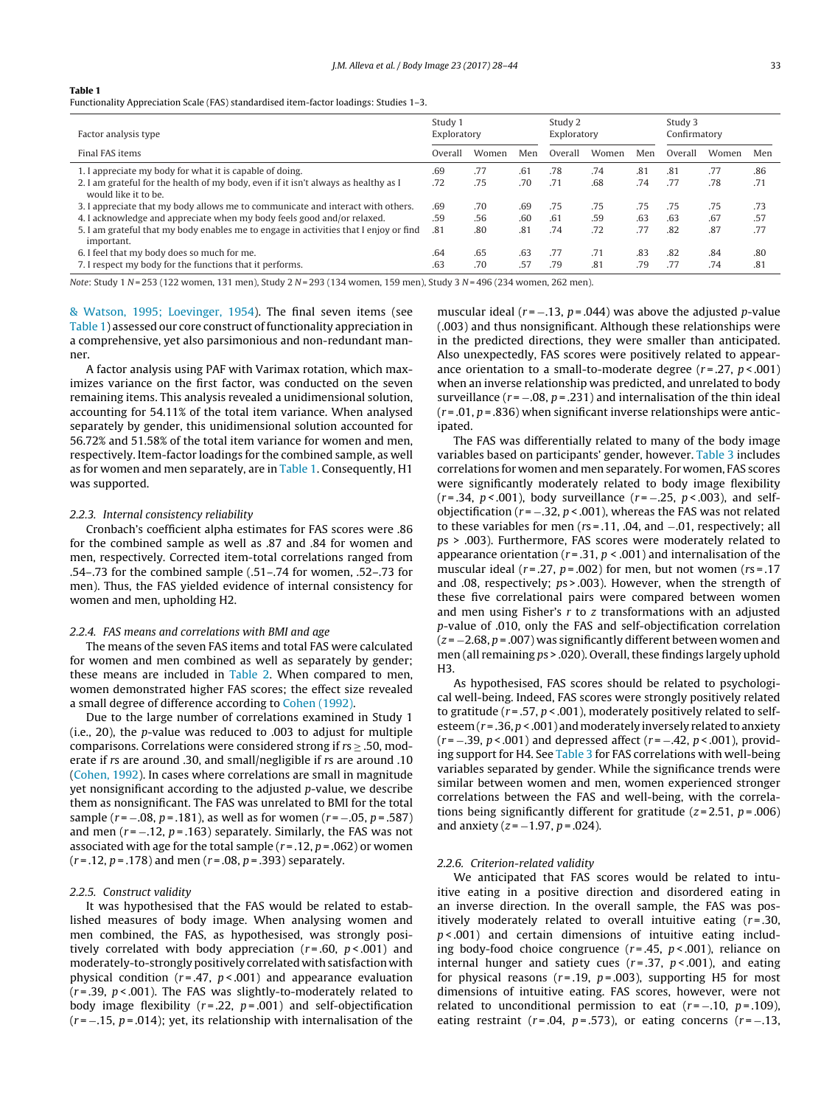<span id="page-6-0"></span>Functionality Appreciation Scale (FAS) standardised item-factor loadings: Studies 1–3.

| Factor analysis type                                                                                        |         | Study 1<br>Exploratory |     |         | Study 2<br>Exploratory |     |         | Study 3<br>Confirmatory |     |
|-------------------------------------------------------------------------------------------------------------|---------|------------------------|-----|---------|------------------------|-----|---------|-------------------------|-----|
| Final FAS items                                                                                             | Overall | Women                  | Men | Overall | Women                  | Men | Overall | Women                   | Men |
| 1. I appreciate my body for what it is capable of doing.                                                    | .69     | .77                    | .61 | .78     | .74                    | .81 | .81     | .77                     | .86 |
| 2. I am grateful for the health of my body, even if it isn't always as healthy as I<br>would like it to be. | .72     | .75                    | .70 | .71     | .68                    | .74 | .77     | .78                     | .71 |
| 3. I appreciate that my body allows me to communicate and interact with others.                             | .69     | .70                    | .69 | .75     | .75                    | .75 | .75     | .75                     | .73 |
| 4. Lacknowledge and appreciate when my body feels good and/or relaxed.                                      | .59     | .56                    | .60 | .61     | .59                    | .63 | .63     | .67                     | .57 |
| 5. I am grateful that my body enables me to engage in activities that I enjoy or find<br>important.         | .81     | .80                    | .81 | .74     | .72                    | .77 | .82     | .87                     | .77 |
| 6. I feel that my body does so much for me.                                                                 | .64     | .65                    | .63 | .77     | .71                    | .83 | .82     | .84                     | .80 |
| 7. I respect my body for the functions that it performs.                                                    | .63     | .70                    | .57 | .79     | .81                    | .79 | .77     | .74                     | .81 |

Note: Study 1 N = 253 (122 women, 131 men), Study 2 N = 293 (134 women, 159 men), Study 3 N = 496 (234 women, 262 men).

[&](#page-16-0) [Watson,](#page-16-0) [1995;](#page-16-0) [Loevinger,](#page-16-0) [1954\).](#page-16-0) The final seven items (see Table 1) assessed our core construct of functionality appreciation in a comprehensive, yet also parsimonious and non-redundant manner.

A factor analysis using PAF with Varimax rotation, which maximizes variance on the first factor, was conducted on the seven remaining items. This analysis revealed a unidimensional solution, accounting for 54.11% of the total item variance. When analysed separately by gender, this unidimensional solution accounted for 56.72% and 51.58% of the total item variance for women and men, respectively. Item-factor loadings for the combined sample, as well as for women and men separately, are in Table 1. Consequently, H1 was supported.

#### 2.2.3. Internal consistency reliability

Cronbach's coefficient alpha estimates for FAS scores were .86 for the combined sample as well as .87 and .84 for women and men, respectively. Corrected item-total correlations ranged from .54–.73 for the combined sample (.51–.74 for women, .52–.73 for men). Thus, the FAS yielded evidence of internal consistency for women and men, upholding H2.

#### 2.2.4. FAS means and correlations with BMI and age

The means of the seven FAS items and total FAS were calculated for women and men combined as well as separately by gender; these means are included in [Table](#page-7-0) 2. When compared to men, women demonstrated higher FAS scores; the effect size revealed a small degree of difference according to [Cohen](#page-16-0) [\(1992\).](#page-16-0)

Due to the large number of correlations examined in Study 1 (i.e., 20), the p-value was reduced to .003 to adjust for multiple comparisons. Correlations were considered strong if  $rs \geq .50$ , moderate if rs are around .30, and small/negligible if rs are around .10 ([Cohen,](#page-16-0) [1992\).](#page-16-0) In cases where correlations are small in magnitude yet nonsignificant according to the adjusted p-value, we describe them as nonsignificant. The FAS was unrelated to BMI for the total sample ( $r = -.08$ ,  $p = .181$ ), as well as for women ( $r = -.05$ ,  $p = .587$ ) and men ( $r = -12$ ,  $p = 0.163$ ) separately. Similarly, the FAS was not associated with age for the total sample  $(r=.12, p=.062)$  or women  $(r = .12, p = .178)$  and men  $(r = .08, p = .393)$  separately.

#### 2.2.5. Construct validity

It was hypothesised that the FAS would be related to established measures of body image. When analysing women and men combined, the FAS, as hypothesised, was strongly positively correlated with body appreciation ( $r = .60$ ,  $p < .001$ ) and moderately-to-strongly positively correlated with satisfaction with physical condition ( $r = .47$ ,  $p < .001$ ) and appearance evaluation  $(r = .39, p < .001)$ . The FAS was slightly-to-moderately related to body image flexibility ( $r = 0.22$ ,  $p = 0.001$ ) and self-objectification  $(r = -.15, p = .014)$ ; yet, its relationship with internalisation of the muscular ideal ( $r = -13$ ,  $p = 0.044$ ) was above the adjusted p-value (.003) and thus nonsignificant. Although these relationships were in the predicted directions, they were smaller than anticipated. Also unexpectedly, FAS scores were positively related to appearance orientation to a small-to-moderate degree  $(r=.27, p<.001)$ when an inverse relationship was predicted, and unrelated to body surveillance ( $r = -.08$ ,  $p = .231$ ) and internalisation of the thin ideal  $(r = .01, p = .836)$  when significant inverse relationships were anticipated.

The FAS was differentially related to many of the body image variables based on participants' gender, however. [Table](#page-7-0) 3 includes correlations for women and men separately. For women, FAS scores were significantly moderately related to body image flexibility (r = .34, p < .001), body surveillance (r = -.25, p < .003), and selfobjectification ( $r = -.32$ ,  $p < .001$ ), whereas the FAS was not related to these variables for men (rs = .11, .04, and −.01, respectively; all ps > .003). Furthermore, FAS scores were moderately related to appearance orientation ( $r = 0.31$ ,  $p < 0.001$ ) and internalisation of the muscular ideal ( $r = .27$ ,  $p = .002$ ) for men, but not women ( $rs = .17$ ) and .08, respectively; ps > .003). However, when the strength of these five correlational pairs were compared between women and men using Fisher's  $r$  to  $z$  transformations with an adjusted p-value of .010, only the FAS and self-objectification correlation  $(z = -2.68, p = .007)$  was significantly different between women and men (all remaining  $ps > .020$ ). Overall, these findings largely uphold H3.

As hypothesised, FAS scores should be related to psychological well-being. Indeed, FAS scores were strongly positively related to gratitude ( $r = .57$ ,  $p < .001$ ), moderately positively related to selfesteem ( $r = 0.36$ ,  $p < 0.001$ ) and moderately inversely related to anxiety  $(r = -.39, p < .001)$  and depressed affect  $(r = -.42, p < .001)$ , providing support for H4. See [Table](#page-7-0) 3 for FAS correlations with well-being variables separated by gender. While the significance trends were similar between women and men, women experienced stronger correlations between the FAS and well-being, with the correlations being significantly different for gratitude  $(z=2.51, p=.006)$ and anxiety ( $z = -1.97$ ,  $p = .024$ ).

#### 2.2.6. Criterion-related validity

We anticipated that FAS scores would be related to intuitive eating in a positive direction and disordered eating in an inverse direction. In the overall sample, the FAS was positively moderately related to overall intuitive eating  $(r=.30, ...)$  $p$  < .001) and certain dimensions of intuitive eating including body-food choice congruence  $(r=.45, p<.001)$ , reliance on internal hunger and satiety cues ( $r = .37$ ,  $p < .001$ ), and eating for physical reasons ( $r = .19$ ,  $p = .003$ ), supporting H5 for most dimensions of intuitive eating. FAS scores, however, were not related to unconditional permission to eat  $(r = -.10, p = .109)$ , eating restraint ( $r = .04$ ,  $p = .573$ ), or eating concerns ( $r = -.13$ ,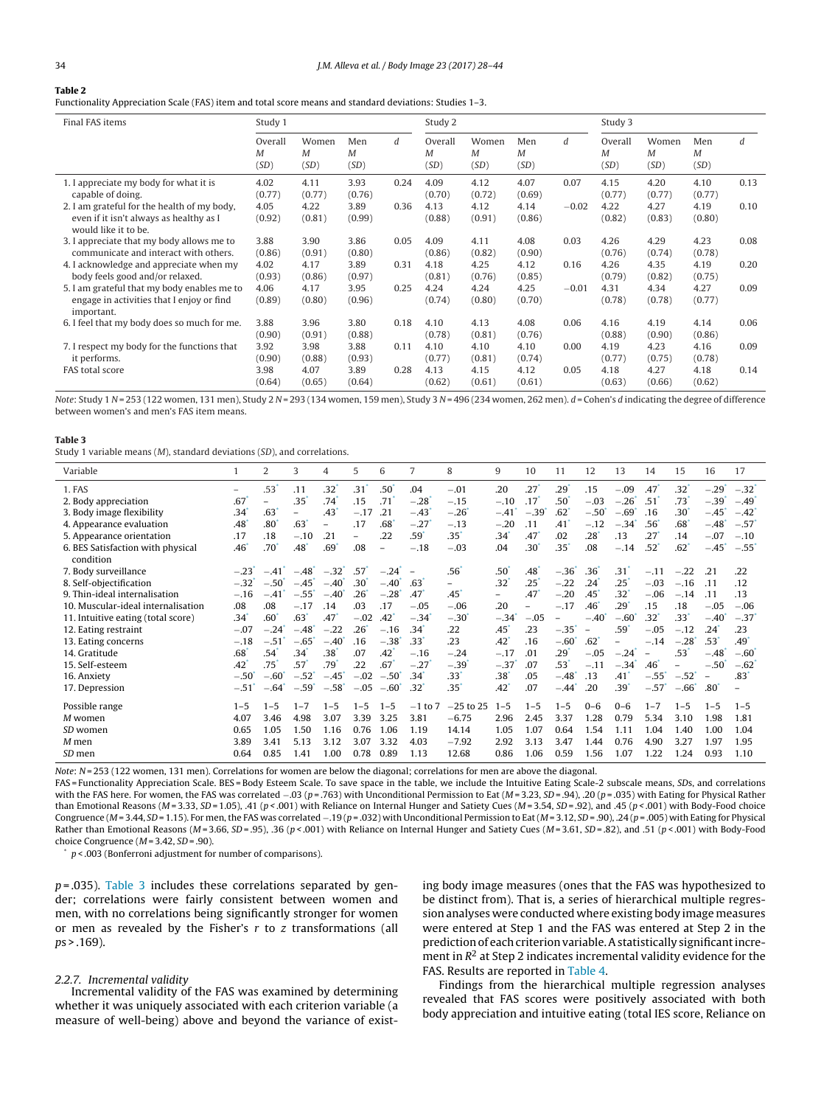<span id="page-7-0"></span>Functionality Appreciation Scale (FAS) item and total score means and standard deviations: Studies 1–3.

| Final FAS items                                                                                                | Study 1              |                                   |                  |      | Study 2              |                    |                                 |         | Study 3              |                    |                  |      |
|----------------------------------------------------------------------------------------------------------------|----------------------|-----------------------------------|------------------|------|----------------------|--------------------|---------------------------------|---------|----------------------|--------------------|------------------|------|
|                                                                                                                | Overall<br>M<br>(SD) | Women<br>$\boldsymbol{M}$<br>(SD) | Men<br>M<br>(SD) | d    | Overall<br>M<br>(SD) | Women<br>M<br>(SD) | Men<br>$\boldsymbol{M}$<br>(SD) | d       | Overall<br>М<br>(SD) | Women<br>M<br>(SD) | Men<br>M<br>(SD) | d    |
| 1. I appreciate my body for what it is<br>capable of doing.                                                    | 4.02<br>(0.77)       | 4.11<br>(0.77)                    | 3.93<br>(0.76)   | 0.24 | 4.09<br>(0.70)       | 4.12<br>(0.72)     | 4.07<br>(0.69)                  | 0.07    | 4.15<br>(0.77)       | 4.20<br>(0.77)     | 4.10<br>(0.77)   | 0.13 |
| 2. I am grateful for the health of my body,<br>even if it isn't always as healthy as I<br>would like it to be. | 4.05<br>(0.92)       | 4.22<br>(0.81)                    | 3.89<br>(0.99)   | 0.36 | 4.13<br>(0.88)       | 4.12<br>(0.91)     | 4.14<br>(0.86)                  | $-0.02$ | 4.22<br>(0.82)       | 4.27<br>(0.83)     | 4.19<br>(0.80)   | 0.10 |
| 3. I appreciate that my body allows me to<br>communicate and interact with others.                             | 3.88<br>(0.86)       | 3.90<br>(0.91)                    | 3.86<br>(0.80)   | 0.05 | 4.09<br>(0.86)       | 4.11<br>(0.82)     | 4.08<br>(0.90)                  | 0.03    | 4.26<br>(0.76)       | 4.29<br>(0.74)     | 4.23<br>(0.78)   | 0.08 |
| 4. I acknowledge and appreciate when my<br>body feels good and/or relaxed.                                     | 4.02<br>(0.93)       | 4.17<br>(0.86)                    | 3.89<br>(0.97)   | 0.31 | 4.18<br>(0.81)       | 4.25<br>(0.76)     | 4.12<br>(0.85)                  | 0.16    | 4.26<br>(0.79)       | 4.35<br>(0.82)     | 4.19<br>(0.75)   | 0.20 |
| 5. I am grateful that my body enables me to<br>engage in activities that I enjoy or find<br>important.         | 4.06<br>(0.89)       | 4.17<br>(0.80)                    | 3.95<br>(0.96)   | 0.25 | 4.24<br>(0.74)       | 4.24<br>(0.80)     | 4.25<br>(0.70)                  | $-0.01$ | 4.31<br>(0.78)       | 4.34<br>(0.78)     | 4.27<br>(0.77)   | 0.09 |
| 6. I feel that my body does so much for me.                                                                    | 3.88<br>(0.90)       | 3.96<br>(0.91)                    | 3.80<br>(0.88)   | 0.18 | 4.10<br>(0.78)       | 4.13<br>(0.81)     | 4.08<br>(0.76)                  | 0.06    | 4.16<br>(0.88)       | 4.19<br>(0.90)     | 4.14<br>(0.86)   | 0.06 |
| 7. I respect my body for the functions that<br>it performs.                                                    | 3.92<br>(0.90)       | 3.98<br>(0.88)                    | 3.88<br>(0.93)   | 0.11 | 4.10<br>(0.77)       | 4.10<br>(0.81)     | 4.10<br>(0.74)                  | 0.00    | 4.19<br>(0.77)       | 4.23<br>(0.75)     | 4.16<br>(0.78)   | 0.09 |
| FAS total score                                                                                                | 3.98<br>(0.64)       | 4.07<br>(0.65)                    | 3.89<br>(0.64)   | 0.28 | 4.13<br>(0.62)       | 4.15<br>(0.61)     | 4.12<br>(0.61)                  | 0.05    | 4.18<br>(0.63)       | 4.27<br>(0.66)     | 4.18<br>(0.62)   | 0.14 |

Note: Study 1 N = 253 (122 women, 131 men), Study 2 N = 293 (134 women, 159 men), Study 3 N = 496 (234 women, 262 men). d = Cohen's d indicating the degree of difference between women's and men's FAS item means.

#### **Table 3**

Study 1 variable means (M), standard deviations (SD), and correlations.

| Variable                           |                  | 2                        | 3                        | 4                   | 5                        | 6                        | 7                   | 8                   | 9                        | 10                       | 11                       | 12                       | 13                  | 14                       | 15                  | 16                       | 17                  |
|------------------------------------|------------------|--------------------------|--------------------------|---------------------|--------------------------|--------------------------|---------------------|---------------------|--------------------------|--------------------------|--------------------------|--------------------------|---------------------|--------------------------|---------------------|--------------------------|---------------------|
| 1. FAS                             |                  | .53'                     | .11                      | $.32^{\circ}$       | .31 <sup>1</sup>         | .50 <sup>°</sup>         | .04                 | $-.01$              | .20                      | $.27$ <sup>*</sup>       | .29'                     | .15                      | $-.09$              | .47                      | .32°                | $-.29*$                  | $-.32"$             |
| 2. Body appreciation               | .67              | $\overline{\phantom{m}}$ | .35                      | .74                 | .15                      | .71                      | $-.28$              | $-.15$              | $-.10$                   | .17                      | .50 <sup>°</sup>         | $-.03$                   | $-.26$ <sup>*</sup> | .51                      | .73                 | $-.39$                   | $-.49$ <sup>*</sup> |
| 3. Body image flexibility          | .34              | .63'                     | $\overline{\phantom{0}}$ | .43                 | $-.17$                   | .21                      | $-.43$              | $-.26$ <sup>*</sup> | $-.41$                   | $-.39$                   | $.62$ <sup>-</sup>       | $-.50^{\degree}$         | $-.69"$             | .16                      | .30                 | $-.45$ <sup>*</sup>      | $-.42$ <sup>*</sup> |
| 4. Appearance evaluation           | .48              | .80 <sup>°</sup>         | .63                      | Ξ.                  | .17                      | .68                      | $-.27$              | $-.13$              | $-.20$                   | .11                      | .41                      | $-.12$                   | $-.34$ <sup>*</sup> | .56                      | .68                 | $-.48$                   | $-.57$ <sup>*</sup> |
| 5. Appearance orientation          | .17              | .18                      | $-.10$                   | .21                 | $\overline{\phantom{0}}$ | .22                      | $.59^{\circ}$       | $.35^{\degree}$     | .34 <sup>°</sup>         | .47                      | .02                      | .28'                     | .13                 | .27                      | .14                 | $-.07$                   | $-.10$              |
| 6. BES Satisfaction with physical  | .46              | $.70^{\degree}$          | .48                      | .69                 | .08                      | $\overline{\phantom{0}}$ | $-.18$              | $-.03$              | .04                      | .30 <sup>°</sup>         | .35'                     | .08                      | $-.14$              | .52                      | $.62$ <sup>*</sup>  | $-.45$ <sup>*</sup>      | $-.55$ <sup>*</sup> |
| condition                          |                  |                          |                          |                     |                          |                          |                     |                     |                          |                          |                          |                          |                     |                          |                     |                          |                     |
| 7. Body surveillance               | $-.23$           | $-.41$                   | $-.48$ <sup>*</sup>      | $-.32$ <sup>*</sup> | .57                      | $-.24$                   |                     | .56                 | .50 <sup>°</sup>         | .48 <sup>°</sup>         | $-.36$ <sup>*</sup>      | 36                       | .31                 | $-.11$                   | $-.22$              | .21                      | .22                 |
| 8. Self-objectification            | $-.32$           | $-.50^{\circ}$           | $-.45$ <sup>*</sup>      | $-.40$ <sup>-</sup> | .30 <sup>°</sup>         | $-.40^{\circ}$           | .63                 | Ξ.                  | .32 <sup>′</sup>         | $.25^{\degree}$          | $-.22$                   | $.24$ <sup>'</sup>       | .25                 | $-.03$                   | $-.16$              | .11                      | .12                 |
| 9. Thin-ideal internalisation      | $-.16$           | $-.41$ <sup>*</sup>      | $-.55$ <sup>*</sup>      | $-.40$ <sup>*</sup> | .26                      | $-.28$                   | .47                 | .45                 | $\overline{\phantom{0}}$ | .47                      | $-.20$                   | .45                      | .32 <sup>2</sup>    | $-.06$                   | $-.14$              | .11                      | .13                 |
| 10. Muscular-ideal internalisation | .08              | .08                      | $-.17$                   | .14                 | .03                      | .17                      | $-.05$              | $-.06$              | .20                      | $\overline{\phantom{0}}$ | $-.17$                   | .46                      | .29                 | .15                      | .18                 | $-.05$                   | $-.06$              |
| 11. Intuitive eating (total score) | $34^{\degree}$   | .60 <sup>°</sup>         | .63"                     | .47                 | $-.02$                   | .42                      | $-.34$ <sup>*</sup> | $-.30^{\circ}$      | $-.34$ <sup>'</sup>      | $-.05$                   | $\overline{\phantom{0}}$ | $-.40^{\degree}$         | $-.60'$             | $32^{\circ}$             | .33'                | $-.40'$                  | $-.37$              |
| 12. Eating restraint               | $-.07$           | $-.24$ <sup>*</sup>      | $-.48$                   | $-.22$              | .26                      | $-.16$                   | .34                 | .22                 | .45                      | .23                      | $-.35$ <sup>*</sup>      | $\overline{\phantom{a}}$ | .59'                | $-.05$                   | $-.12$              | .24                      | .23                 |
| 13. Eating concerns                | $-.18$           | $-.51$ <sup>'</sup>      | $-.65"$                  | $-.40^{\circ}$      | .16                      | $-.38$                   | .33'                | .23                 | .42                      | .16                      | $-.60"$                  | .62                      | ÷.                  | $-.14$                   | $-.28$ <sup>*</sup> | .53 <sup>2</sup>         | .49 <sup>°</sup>    |
| 14. Gratitude                      | .68 <sup>°</sup> | .54                      | .34                      | .38 <sup>°</sup>    | .07                      | .42 <sup>°</sup>         | $-.16$              | $-.24$              | $-.17$                   | .01                      | $.29^{^{\circ}}$         | $-.05$                   | $-.24$ <sup>*</sup> | $\overline{\phantom{a}}$ | .53 <sup>2</sup>    | $-.48$                   | $-.60^{\degree}$    |
| 15. Self-esteem                    | .42              | .75                      | .57                      | .79                 | .22                      | .67                      | $-.27$              | $-.39'$             | $-.37$                   | .07                      | .53 <sup>′</sup>         | $-.11$                   | $-.34$ <sup>*</sup> | .46                      | $-$                 | $-.50'$                  | $-.62$ <sup>*</sup> |
| 16. Anxiety                        | $-.50"$          | $-.60^{\circ}$           | $-.52"$                  | $-.45$ <sup>*</sup> | $-.02$                   | $-.50^{\circ}$           | .34                 | .33 <sup>′</sup>    | .38 <sup>1</sup>         | .05                      | $-.48$                   | .13                      | .41                 | $-.55$ <sup>*</sup>      | $-.52"$             | $\overline{\phantom{a}}$ | .83'                |
| 17. Depression                     | $-.51$           | $-.64"$                  | $-.59'$                  | $-.58"$             | $-.05$                   | $-.60$                   | .32                 | $.35^*$             | .42 <sup>°</sup>         | .07                      | $-.44$                   | .20                      | .39                 | $-.57$                   | $-.66"$             | $.80^{\circ}$            | $\equiv$            |
| Possible range                     | $1 - 5$          | $1 - 5$                  | $1 - 7$                  | $1 - 5$             | $1 - 5$                  | $1 - 5$                  | $-1$ to $7$         | $-25$ to 25         | $1 - 5$                  | $1 - 5$                  | $1 - 5$                  | $0 - 6$                  | $0 - 6$             | $1 - 7$                  | $1 - 5$             | $1 - 5$                  | $1 - 5$             |
| M women                            | 4.07             | 3.46                     | 4.98                     | 3.07                | 3.39                     | 3.25                     | 3.81                | $-6.75$             | 2.96                     | 2.45                     | 3.37                     | 1.28                     | 0.79                | 5.34                     | 3.10                | 1.98                     | 1.81                |
| SD women                           | 0.65             | 1.05                     | 1.50                     | 1.16                | 0.76                     | 1.06                     | 1.19                | 14.14               | 1.05                     | 1.07                     | 0.64                     | 1.54                     | 1.11                | 1.04                     | 1.40                | 1.00                     | 1.04                |
| $M$ men                            | 3.89             | 3.41                     | 5.13                     | 3.12                | 3.07                     | 3.32                     | 4.03                | $-7.92$             | 2.92                     | 3.13                     | 3.47                     | 1.44                     | 0.76                | 4.90                     | 3.27                | 1.97                     | 1.95                |
| SD men                             | 0.64             | 0.85                     | 1.41                     | 1.00                | 0.78                     | 0.89                     | 1.13                | 12.68               | 0.86                     | 1.06                     | 0.59                     | 1.56                     | 1.07                | 1.22                     | 1.24                | 0.93                     | 1.10                |

Note: N = 253 (122 women, 131 men). Correlations for women are below the diagonal; correlations for men are above the diagonal.

FAS = Functionality Appreciation Scale. BES = Body Esteem Scale. To save space in the table, we include the Intuitive Eating Scale-2 subscale means, SDs, and correlations with the FAS here. For women, the FAS was correlated  $-0.03$  (p = .763) with Unconditional Permission to Eat (M = 3.23, SD = .94), .20 (p = .035) with Eating for Physical Rather than Emotional Reasons ( $M = 3.33$ ,  $SD = 1.05$ ), .41 ( $p < .001$ ) with Reliance on Internal Hunger and Satiety Cues ( $M = 3.54$ ,  $SD = .92$ ), and .45 ( $p < .001$ ) with Body-Food choice Congruence (M = 3.44, SD = 1.15). For men, the FAS was correlated --19 (p = .032) with Unconditional Permission to Eat (M = 3.12, SD = .90), .24 (p = .005) with Eating for Physical Rather than Emotional Reasons ( $M = 3.66$ ,  $SD = .95$ ), .36 ( $p < .001$ ) with Reliance on Internal Hunger and Satiety Cues ( $M = 3.61$ ,  $SD = .82$ ), and .51 ( $p < .001$ ) with Body-Food choice Congruence ( $M = 3.42$ ,  $SD = .90$ ).

 $p$  < .003 (Bonferroni adjustment for number of comparisons).

 $p = .035$ ). Table 3 includes these correlations separated by gender; correlations were fairly consistent between women and men, with no correlations being significantly stronger for women or men as revealed by the Fisher's  $r$  to  $z$  transformations (all  $ps > .169$ ).

### 2.2.7. Incremental validity

Incremental validity of the FAS was examined by determining whether it was uniquely associated with each criterion variable (a measure of well-being) above and beyond the variance of existing body image measures (ones that the FAS was hypothesized to be distinct from). That is, a series of hierarchical multiple regression analyses were conducted where existing body image measures were entered at Step 1 and the FAS was entered at Step 2 in the prediction of each criterion variable. A statistically significant increment in  $R<sup>2</sup>$  at Step 2 indicates incremental validity evidence for the FAS. Results are reported in [Table](#page-8-0) 4.

Findings from the hierarchical multiple regression analyses revealed that FAS scores were positively associated with both body appreciation and intuitive eating (total IES score, Reliance on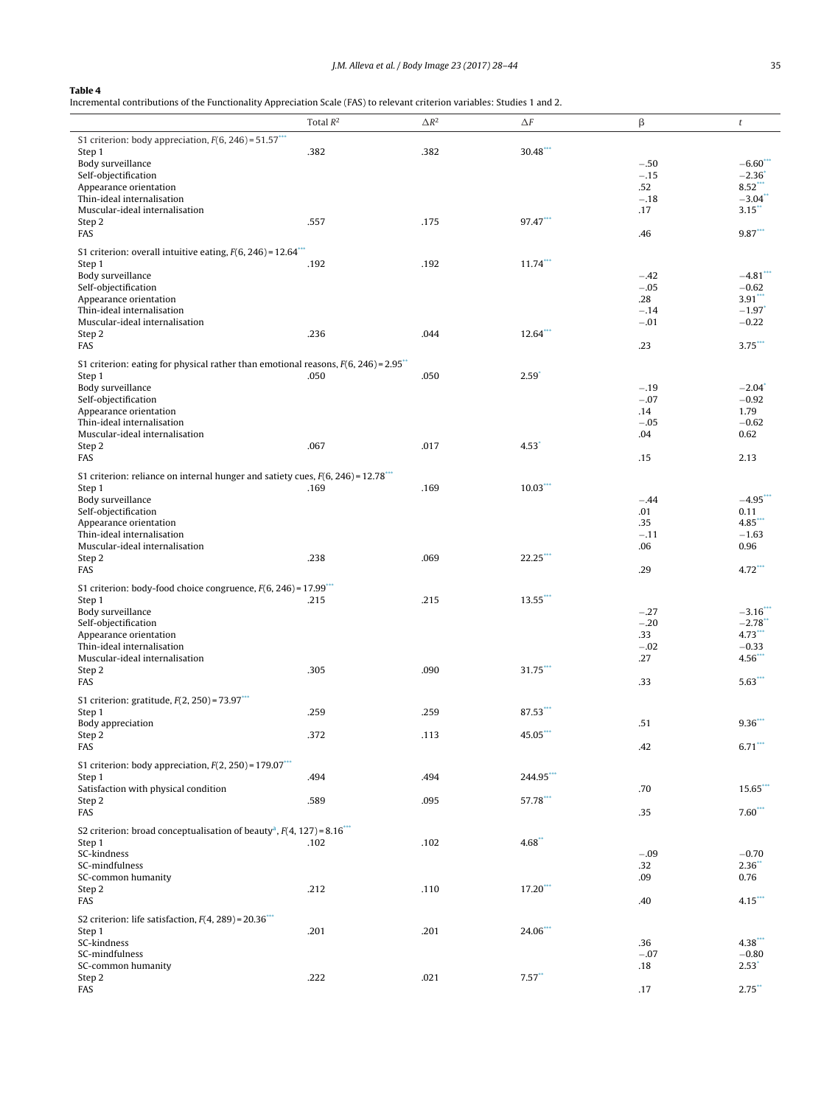<span id="page-8-0"></span>Incremental contributions of the Functionality Appreciation Scale (FAS) to relevant criterion variables: Studies 1 and 2.

|                                                                                                  | Total $R^2$ | $\Delta R^2$ | $\Delta F$       | β                       | t                                              |
|--------------------------------------------------------------------------------------------------|-------------|--------------|------------------|-------------------------|------------------------------------------------|
| S1 criterion: body appreciation, $F(6, 246) = 51.57***$<br>Step 1                                | .382        | .382         | 30.48**          |                         |                                                |
| Body surveillance<br>Self-objectification                                                        |             |              |                  | $-.50$<br>$-.15$        | $-6.60***$<br>$-2.36$ <sup>*</sup>             |
| Appearance orientation<br>Thin-ideal internalisation                                             |             |              |                  | .52<br>$-.18$           | $8.52$ <sup>***</sup><br>$-3.04$ <sup>**</sup> |
| Muscular-ideal internalisation<br>Step 2<br>FAS                                                  | .557        | .175         | 97.47***         | .17<br>.46              | 3.15<br>$9.87***$                              |
| S1 criterion: overall intuitive eating, $F(6, 246) = 12.64$ <sup>***</sup>                       |             |              |                  |                         |                                                |
| Step 1<br>Body surveillance                                                                      | .192        | .192         | $11.74***$       | $-.42$                  | $-4.81$                                        |
| Self-objectification<br>Appearance orientation<br>Thin-ideal internalisation                     |             |              |                  | $-.05$<br>.28<br>$-.14$ | $-0.62$<br>3.91<br>$-1.97$ <sup>*</sup>        |
| Muscular-ideal internalisation<br>Step 2                                                         | .236        | .044         | $12.64$ ***      | $-.01$                  | $-0.22$                                        |
| FAS                                                                                              |             |              |                  | .23                     | $3.75***$                                      |
| S1 criterion: eating for physical rather than emotional reasons, $F(6, 246) = 2.95$ **<br>Step 1 | .050        | .050         | $2.59^{\degree}$ |                         |                                                |
| Body surveillance<br>Self-objectification<br>Appearance orientation                              |             |              |                  | $-.19$<br>$-.07$<br>.14 | $-2.04$ <sup>*</sup><br>$-0.92$<br>1.79        |
| Thin-ideal internalisation<br>Muscular-ideal internalisation                                     |             |              |                  | $-.05$<br>.04           | $-0.62$<br>0.62                                |
| Step 2<br>FAS                                                                                    | .067        | .017         | 4.53             | .15                     | 2.13                                           |
| S1 criterion: reliance on internal hunger and satiety cues, $F(6, 246) = 12.78***$<br>Step 1     | .169        | .169         | $10.03***$       |                         |                                                |
| Body surveillance<br>Self-objectification                                                        |             |              |                  | $-.44$<br>.01           | $-4.95$ ***<br>0.11                            |
| Appearance orientation<br>Thin-ideal internalisation                                             |             |              |                  | .35<br>$-.11$           | $4.85***$<br>$-1.63$                           |
| Muscular-ideal internalisation<br>Step 2                                                         | .238        | .069         | $22.25$ ***      | .06                     | 0.96                                           |
| FAS<br>S1 criterion: body-food choice congruence, $F(6, 246) = 17.99$ <sup>***</sup>             |             |              |                  | .29                     | $4.72***$                                      |
| Step 1<br>Body surveillance                                                                      | .215        | .215         | $13.55***$       | $-.27$                  | $-3.16$ ***                                    |
| Self-objectification<br>Appearance orientation                                                   |             |              |                  | $-.20$<br>.33           | $-2.78$<br>$4.73***$                           |
| Thin-ideal internalisation<br>Muscular-ideal internalisation                                     |             |              |                  | $-.02$<br>.27           | $-0.33$<br>$4.56$ **                           |
| Step 2<br>FAS                                                                                    | .305        | .090         | 31.75***         | .33                     | $5.63***$                                      |
| S1 criterion: gratitude, $F(2, 250) = 73.97***$<br>Step 1                                        | .259        | .259         | 87.53***         |                         |                                                |
| Body appreciation<br>Step 2                                                                      | .372        | .113         | $45.05***$       | .51                     | $9.36***$                                      |
| FAS<br>S1 criterion: body appreciation, $F(2, 250) = 179.07***$                                  |             |              |                  | .42                     | $6.71***$                                      |
| Step 1<br>Satisfaction with physical condition                                                   | .494        | .494         | 244.95***        | .70                     | $15.65$ ***                                    |
| Step 2<br>FAS                                                                                    | .589        | .095         | 57.78***         | .35                     | $7.60***$                                      |
| S2 criterion: broad conceptualisation of beauty <sup>a</sup> , $F(4, 127) = 8.16***$<br>Step 1   | .102        | .102         | 4.68             |                         |                                                |
| SC-kindness<br>SC-mindfulness                                                                    |             |              |                  | $-.09$<br>.32           | $-0.70$<br>2.36                                |
| SC-common humanity<br>Step 2                                                                     | .212        | .110         | $17.20***$       | .09                     | 0.76                                           |
| FAS<br>S2 criterion: life satisfaction, $F(4, 289) = 20.36$ <sup>***</sup>                       |             |              |                  | .40                     | $4.15***$                                      |
| Step 1<br>SC-kindness                                                                            | .201        | .201         | 24.06***         | .36                     | $4.38***$                                      |
| SC-mindfulness<br>SC-common humanity                                                             |             |              |                  | $-.07$<br>.18           | $-0.80$<br>$2.53^*$                            |
| Step 2<br>FAS                                                                                    | .222        | .021         | 7.57             | .17                     | $2.75$ **                                      |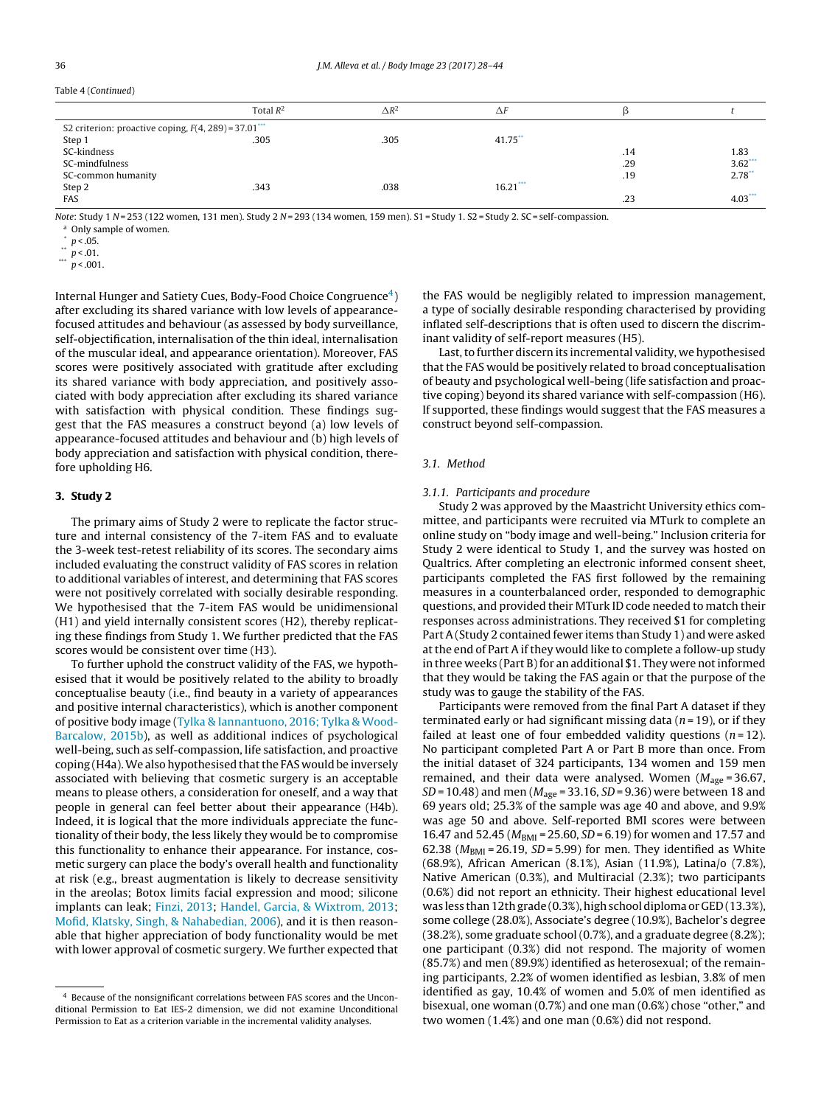<span id="page-9-0"></span>

| Table 4 (Continued) |
|---------------------|

|                                                         | Total $R^2$ | $\Delta R^2$ | $\Delta F$ |     |           |
|---------------------------------------------------------|-------------|--------------|------------|-----|-----------|
| S2 criterion: proactive coping, $F(4, 289) = 37.01$ *** |             |              |            |     |           |
| Step 1                                                  | .305        | .305         | $41.75$ ** |     |           |
| SC-kindness                                             |             |              |            | .14 | 1.83      |
| SC-mindfulness                                          |             |              |            | .29 | $3.62***$ |
| SC-common humanity                                      |             |              |            | .19 | $2.78**$  |
| Step 2                                                  | .343        | .038         | $16.21***$ |     |           |
| FAS                                                     |             |              |            | .23 | $4.03***$ |
|                                                         |             |              |            |     |           |

Note: Study 1 N = 253 (122 women, 131 men). Study 2 N = 293 (134 women, 159 men). S1 = Study 1. S2 = Study 2. SC = self-compassion.

<sup>a</sup> Only sample of women.

 $p < .05$ .

\*\*  $p < .01$ .

 $p < .001$ .

Internal Hunger and Satiety Cues, Body-Food Choice Congruence<sup>4</sup>) after excluding its shared variance with low levels of appearancefocused attitudes and behaviour (as assessed by body surveillance, self-objectification, internalisation of the thin ideal, internalisation of the muscular ideal, and appearance orientation). Moreover, FAS scores were positively associated with gratitude after excluding its shared variance with body appreciation, and positively associated with body appreciation after excluding its shared variance with satisfaction with physical condition. These findings suggest that the FAS measures a construct beyond (a) low levels of appearance-focused attitudes and behaviour and (b) high levels of body appreciation and satisfaction with physical condition, therefore upholding H6.

#### **3. Study 2**

The primary aims of Study 2 were to replicate the factor structure and internal consistency of the 7-item FAS and to evaluate the 3-week test-retest reliability of its scores. The secondary aims included evaluating the construct validity of FAS scores in relation to additional variables of interest, and determining that FAS scores were not positively correlated with socially desirable responding. We hypothesised that the 7-item FAS would be unidimensional (H1) and yield internally consistent scores (H2), thereby replicating these findings from Study 1. We further predicted that the FAS scores would be consistent over time (H3).

To further uphold the construct validity of the FAS, we hypothesised that it would be positively related to the ability to broadly conceptualise beauty (i.e., find beauty in a variety of appearances and positive internal characteristics), which is another component of positive body image ([Tylka](#page-17-0) [&](#page-17-0) [Iannantuono,](#page-17-0) [2016;](#page-17-0) [Tylka](#page-17-0) [&](#page-17-0) [Wood-](#page-17-0)Barcalow, [2015b\),](#page-17-0) as well as additional indices of psychological well-being, such as self-compassion, life satisfaction, and proactive coping (H4a). We also hypothesised that the FAS would be inversely associated with believing that cosmetic surgery is an acceptable means to please others, a consideration for oneself, and a way that people in general can feel better about their appearance (H4b). Indeed, it is logical that the more individuals appreciate the functionality of their body, the less likely they would be to compromise this functionality to enhance their appearance. For instance, cosmetic surgery can place the body's overall health and functionality at risk (e.g., breast augmentation is likely to decrease sensitivity in the areolas; Botox limits facial expression and mood; silicone implants can leak; [Finzi,](#page-16-0) [2013;](#page-16-0) [Handel,](#page-16-0) [Garcia,](#page-16-0) [&](#page-16-0) [Wixtrom,](#page-16-0) [2013;](#page-16-0) [Mofid,](#page-16-0) [Klatsky,](#page-16-0) [Singh,](#page-16-0) [&](#page-16-0) [Nahabedian,](#page-16-0) [2006\),](#page-16-0) and it is then reasonable that higher appreciation of body functionality would be met with lower approval of cosmetic surgery. We further expected that

the FAS would be negligibly related to impression management, a type of socially desirable responding characterised by providing inflated self-descriptions that is often used to discern the discriminant validity of self-report measures (H5).

Last, to further discern its incremental validity, we hypothesised that the FAS would be positively related to broad conceptualisation of beauty and psychological well-being (life satisfaction and proactive coping) beyond its shared variance with self-compassion (H6). If supported, these findings would suggest that the FAS measures a construct beyond self-compassion.

# 3.1. Method

#### 3.1.1. Participants and procedure

Study 2 was approved by the Maastricht University ethics committee, and participants were recruited via MTurk to complete an online study on "body image and well-being." Inclusion criteria for Study 2 were identical to Study 1, and the survey was hosted on Qualtrics. After completing an electronic informed consent sheet, participants completed the FAS first followed by the remaining measures in a counterbalanced order, responded to demographic questions, and provided their MTurk ID code needed to match their responses across administrations. They received \$1 for completing Part A (Study 2 contained fewer items than Study 1) and were asked at the end of Part A if they would like to complete a follow-up study in three weeks (Part B) for an additional \$1. They were not informed that they would be taking the FAS again or that the purpose of the study was to gauge the stability of the FAS.

Participants were removed from the final Part A dataset if they terminated early or had significant missing data ( $n = 19$ ), or if they failed at least one of four embedded validity questions  $(n=12)$ . No participant completed Part A or Part B more than once. From the initial dataset of 324 participants, 134 women and 159 men remained, and their data were analysed. Women ( $M_{\text{age}}$  = 36.67,  $SD = 10.48$ ) and men ( $M_{\text{age}} = 33.16$ ,  $SD = 9.36$ ) were between 18 and 69 years old; 25.3% of the sample was age 40 and above, and 9.9% was age 50 and above. Self-reported BMI scores were between 16.47 and 52.45 ( $M_{BMI}$  = 25.60, SD = 6.19) for women and 17.57 and 62.38 ( $M<sub>BMI</sub> = 26.19$ ,  $SD = 5.99$ ) for men. They identified as White (68.9%), African American (8.1%), Asian (11.9%), Latina/o (7.8%), Native American (0.3%), and Multiracial (2.3%); two participants (0.6%) did not report an ethnicity. Their highest educational level was less than 12th grade (0.3%), high school diploma or GED (13.3%), some college (28.0%), Associate's degree (10.9%), Bachelor's degree (38.2%), some graduate school (0.7%), and a graduate degree (8.2%); one participant (0.3%) did not respond. The majority of women (85.7%) and men (89.9%) identified as heterosexual; of the remaining participants, 2.2% of women identified as lesbian, 3.8% of men identified as gay, 10.4% of women and 5.0% of men identified as bisexual, one woman (0.7%) and one man (0.6%) chose "other," and two women (1.4%) and one man (0.6%) did not respond.

<sup>4</sup> Because of the nonsignificant correlations between FAS scores and the Unconditional Permission to Eat IES-2 dimension, we did not examine Unconditional Permission to Eat as a criterion variable in the incremental validity analyses.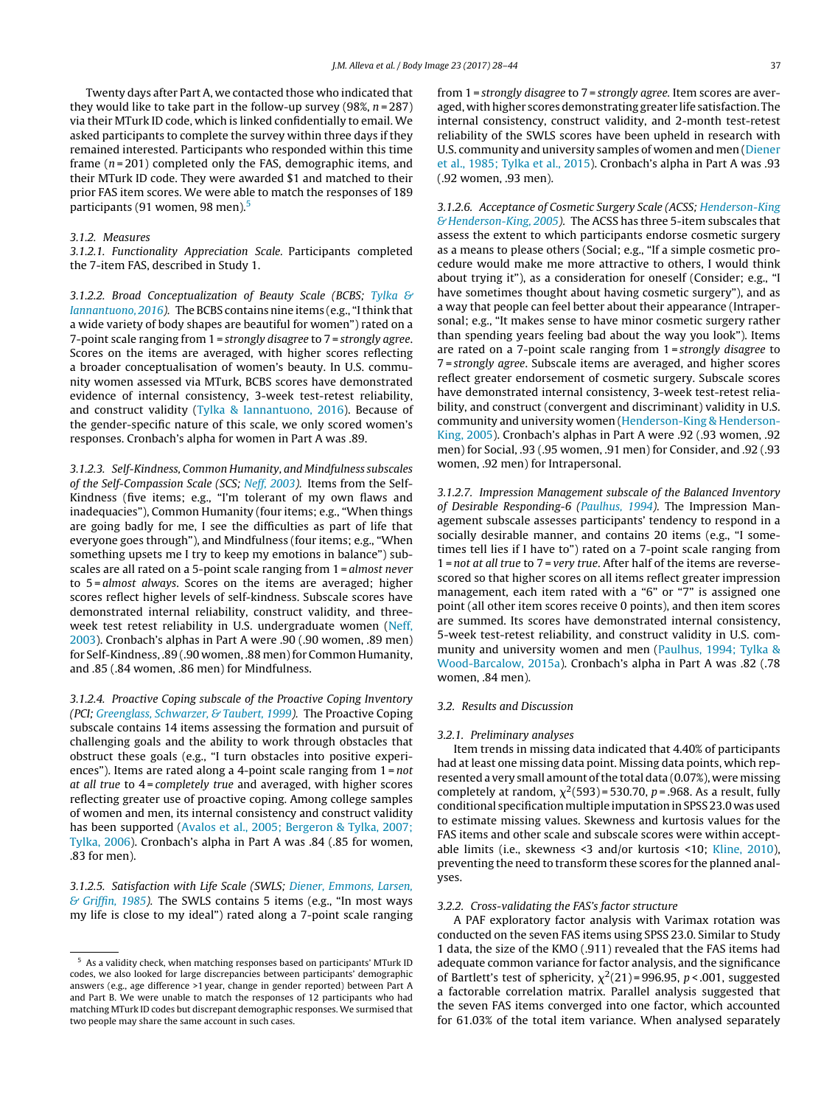Twenty days after Part A, we contacted those who indicated that they would like to take part in the follow-up survey (98%,  $n = 287$ ) via their MTurk ID code, which is linked confidentially to email. We asked participants to complete the survey within three days if they remained interested. Participants who responded within this time frame  $(n = 201)$  completed only the FAS, demographic items, and their MTurk ID code. They were awarded \$1 and matched to their prior FAS item scores. We were able to match the responses of 189 participants (91 women, 98 men).5

#### 3.1.2. Measures

3.1.2.1. Functionality Appreciation Scale. Participants completed the 7-item FAS, described in Study 1.

3.1.2.2. Broad Conceptualization of Beauty Scale (BCBS; [Tylka](#page-17-0) [&](#page-17-0) [Iannantuono,](#page-17-0) [2016\).](#page-17-0) The BCBS contains nine items (e.g., "Ithink that a wide variety of body shapes are beautiful for women") rated on a 7-point scale ranging from 1 = strongly disagree to 7 = strongly agree. Scores on the items are averaged, with higher scores reflecting a broader conceptualisation of women's beauty. In U.S. community women assessed via MTurk, BCBS scores have demonstrated evidence of internal consistency, 3-week test-retest reliability, and construct validity [\(Tylka](#page-17-0) [&](#page-17-0) [Iannantuono,](#page-17-0) [2016\).](#page-17-0) Because of the gender-specific nature of this scale, we only scored women's responses. Cronbach's alpha for women in Part A was .89.

3.1.2.3. Self-Kindness, Common Humanity, and Mindfulness subscales of the Self-Compassion Scale (SCS; [Neff,](#page-16-0) [2003\).](#page-16-0) Items from the Self-Kindness (five items; e.g., "I'm tolerant of my own flaws and inadequacies"), Common Humanity (four items; e.g., "When things are going badly for me, I see the difficulties as part of life that everyone goes through"), and Mindfulness (four items; e.g., "When something upsets me I try to keep my emotions in balance") subscales are all rated on a 5-point scale ranging from 1 = almost never to 5 = almost always. Scores on the items are averaged; higher scores reflect higher levels of self-kindness. Subscale scores have demonstrated internal reliability, construct validity, and threeweek test retest reliability in U.S. undergraduate women [\(Neff,](#page-16-0) [2003\).](#page-16-0) Cronbach's alphas in Part A were .90 (.90 women, .89 men) for Self-Kindness, .89 (.90 women, .88 men) for Common Humanity, and .85 (.84 women, .86 men) for Mindfulness.

3.1.2.4. Proactive Coping subscale of the Proactive Coping Inventory (PCI; [Greenglass,](#page-16-0) [Schwarzer,](#page-16-0) [&](#page-16-0) [Taubert,](#page-16-0) [1999\).](#page-16-0) The Proactive Coping subscale contains 14 items assessing the formation and pursuit of challenging goals and the ability to work through obstacles that obstruct these goals (e.g., "I turn obstacles into positive experiences"). Items are rated along a 4-point scale ranging from 1 = not at all true to 4 = completely true and averaged, with higher scores reflecting greater use of proactive coping. Among college samples of women and men, its internal consistency and construct validity has been supported ([Avalos](#page-15-0) et [al.,](#page-15-0) [2005;](#page-15-0) [Bergeron](#page-15-0) [&](#page-15-0) [Tylka,](#page-15-0) [2007;](#page-15-0) [Tylka,](#page-15-0) [2006\).](#page-15-0) Cronbach's alpha in Part A was .84 (.85 for women, .83 for men).

3.1.2.5. Satisfaction with Life Scale (SWLS; [Diener,](#page-16-0) [Emmons,](#page-16-0) [Larsen,](#page-16-0) [&](#page-16-0) [Griffin,](#page-16-0) [1985\).](#page-16-0) The SWLS contains 5 items (e.g., "In most ways my life is close to my ideal") rated along a 7-point scale ranging from 1 = strongly disagree to 7 = strongly agree. Item scores are averaged, with higher scores demonstrating greater life satisfaction. The internal consistency, construct validity, and 2-month test-retest reliability of the SWLS scores have been upheld in research with U.S. community and university samples of women and men [\(Diener](#page-16-0) et [al.,](#page-16-0) [1985;](#page-16-0) [Tylka](#page-16-0) et [al.,](#page-16-0) [2015\).](#page-16-0) Cronbach's alpha in Part A was .93 (.92 women, .93 men).

3.1.2.6. Acceptance of Cosmetic Surgery Scale (ACSS; [Henderson-King](#page-16-0) [&](#page-16-0) [Henderson-King,](#page-16-0) [2005\).](#page-16-0) The ACSS has three 5-item subscales that assess the extent to which participants endorse cosmetic surgery as a means to please others (Social; e.g., "If a simple cosmetic procedure would make me more attractive to others, I would think about trying it"), as a consideration for oneself (Consider; e.g., "I have sometimes thought about having cosmetic surgery"), and as a way that people can feel better about their appearance (Intrapersonal; e.g., "It makes sense to have minor cosmetic surgery rather than spending years feeling bad about the way you look"). Items are rated on a 7-point scale ranging from 1 = strongly disagree to 7 = strongly agree. Subscale items are averaged, and higher scores reflect greater endorsement of cosmetic surgery. Subscale scores have demonstrated internal consistency, 3-week test-retest reliability, and construct (convergent and discriminant) validity in U.S. community and university women [\(Henderson-King](#page-16-0) [&](#page-16-0) [Henderson-](#page-16-0)King, [2005\).](#page-16-0) Cronbach's alphas in Part A were .92 (.93 women, .92 men) for Social, .93 (.95 women, .91 men) for Consider, and .92 (.93 women, .92 men) for Intrapersonal.

3.1.2.7. Impression Management subscale of the Balanced Inventory of Desirable Responding-6 [\(Paulhus,](#page-16-0) [1994\).](#page-16-0) The Impression Management subscale assesses participants' tendency to respond in a socially desirable manner, and contains 20 items (e.g., "I sometimes tell lies if I have to") rated on a 7-point scale ranging from 1 = not at all true to 7 = very true. After half of the items are reversescored so that higher scores on all items reflect greater impression management, each item rated with a "6" or "7" is assigned one point (all other item scores receive 0 points), and then item scores are summed. Its scores have demonstrated internal consistency, 5-week test-retest reliability, and construct validity in U.S. community and university women and men [\(Paulhus,](#page-16-0) [1994;](#page-16-0) [Tylka](#page-16-0) [&](#page-16-0) [Wood-Barcalow,](#page-16-0) [2015a\).](#page-16-0) Cronbach's alpha in Part A was .82 (.78 women, .84 men).

# 3.2. Results and Discussion

#### 3.2.1. Preliminary analyses

Item trends in missing data indicated that 4.40% of participants had at least one missing data point. Missing data points, which represented a very small amount of the total data (0.07%), were missing completely at random,  $\chi^2$ (593) = 530.70, p = .968. As a result, fully conditional specification multiple imputation in SPSS 23.0 was used to estimate missing values. Skewness and kurtosis values for the FAS items and other scale and subscale scores were within acceptable limits (i.e., skewness <3 and/or kurtosis <10; [Kline,](#page-16-0) [2010\),](#page-16-0) preventing the need to transform these scores for the planned analyses.

#### 3.2.2. Cross-validating the FAS's factor structure

A PAF exploratory factor analysis with Varimax rotation was conducted on the seven FAS items using SPSS 23.0. Similar to Study 1 data, the size of the KMO (.911) revealed that the FAS items had adequate common variance for factor analysis, and the significance of Bartlett's test of sphericity,  $\chi^2(21)$  = 996.95, p < .001, suggested a factorable correlation matrix. Parallel analysis suggested that the seven FAS items converged into one factor, which accounted for 61.03% of the total item variance. When analysed separately

<sup>5</sup> As a validity check, when matching responses based on participants' MTurk ID codes, we also looked for large discrepancies between participants' demographic answers (e.g., age difference >1 year, change in gender reported) between Part A and Part B. We were unable to match the responses of 12 participants who had matching MTurk ID codes but discrepant demographic responses. We surmised that two people may share the same account in such cases.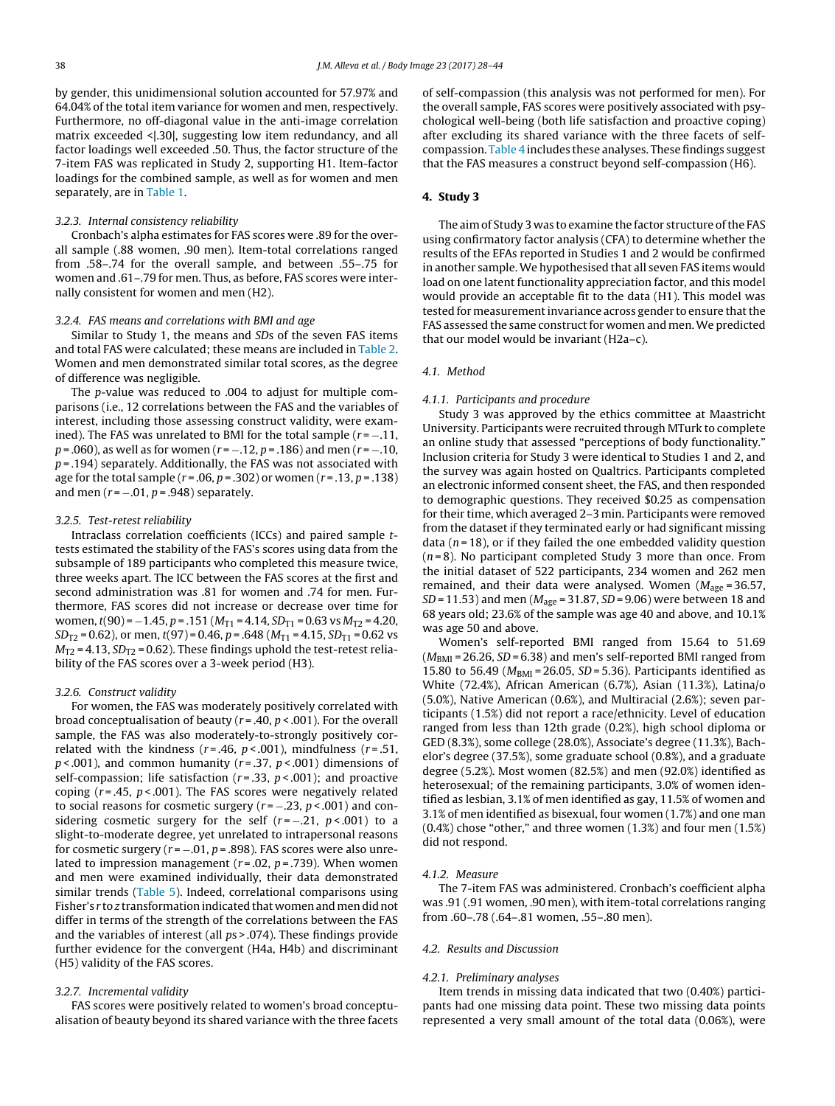by gender, this unidimensional solution accounted for 57.97% and 64.04% of the total item variance for women and men, respectively. Furthermore, no off-diagonal value in the anti-image correlation matrix exceeded <|.30|, suggesting low item redundancy, and all factor loadings well exceeded .50. Thus, the factor structure of the 7-item FAS was replicated in Study 2, supporting H1. Item-factor loadings for the combined sample, as well as for women and men separately, are in [Table](#page-6-0) 1.

#### 3.2.3. Internal consistency reliability

Cronbach's alpha estimates for FAS scores were .89 for the overall sample (.88 women, .90 men). Item-total correlations ranged from .58–.74 for the overall sample, and between .55–.75 for women and .61–.79 for men. Thus, as before, FAS scores were internally consistent for women and men (H2).

#### 3.2.4. FAS means and correlations with BMI and age

Similar to Study 1, the means and SDs of the seven FAS items and total FAS were calculated; these means are included in [Table](#page-7-0) 2. Women and men demonstrated similar total scores, as the degree of difference was negligible.

The p-value was reduced to .004 to adjust for multiple comparisons (i.e., 12 correlations between the FAS and the variables of interest, including those assessing construct validity, were examined). The FAS was unrelated to BMI for the total sample  $(r = -.11, )$  $p = .060$ , as well as for women ( $r = -.12$ ,  $p = .186$ ) and men ( $r = -.10$ ,  $p = .194$ ) separately. Additionally, the FAS was not associated with age for the total sample ( $r = .06$ ,  $p = .302$ ) or women ( $r = .13$ ,  $p = .138$ ) and men  $(r = -.01, p = .948)$  separately.

#### 3.2.5. Test-retest reliability

Intraclass correlation coefficients (ICCs) and paired sample ttests estimated the stability of the FAS's scores using data from the subsample of 189 participants who completed this measure twice, three weeks apart. The ICC between the FAS scores at the first and second administration was .81 for women and .74 for men. Furthermore, FAS scores did not increase or decrease over time for women,  $t(90) = -1.45$ ,  $p = .151$  ( $M_{T1} = 4.14$ ,  $SD_{T1} = 0.63$  vs  $M_{T2} = 4.20$ ,  $SD_{T2} = 0.62$ ), or men,  $t(97) = 0.46$ ,  $p = .648$  ( $M_{T1} = 4.15$ ,  $SD_{T1} = 0.62$  vs  $M_{T2}$  = 4.13, SD<sub>T2</sub> = 0.62). These findings uphold the test-retest reliability of the FAS scores over a 3-week period (H3).

#### 3.2.6. Construct validity

For women, the FAS was moderately positively correlated with broad conceptualisation of beauty ( $r = .40$ ,  $p < .001$ ). For the overall sample, the FAS was also moderately-to-strongly positively correlated with the kindness ( $r = .46$ ,  $p < .001$ ), mindfulness ( $r = .51$ ,  $p$  < .001), and common humanity ( $r = 0.37$ ,  $p$  < .001) dimensions of self-compassion; life satisfaction ( $r = .33$ ,  $p < .001$ ); and proactive coping ( $r = .45$ ,  $p < .001$ ). The FAS scores were negatively related to social reasons for cosmetic surgery ( $r = -0.23$ ,  $p < 0.001$ ) and considering cosmetic surgery for the self  $(r = -0.21, p < .001)$  to a slight-to-moderate degree, yet unrelated to intrapersonal reasons for cosmetic surgery ( $r = -.01$ ,  $p = .898$ ). FAS scores were also unrelated to impression management ( $r = .02$ ,  $p = .739$ ). When women and men were examined individually, their data demonstrated similar trends [\(Table](#page-12-0) 5). Indeed, correlational comparisons using Fisher's r to z transformation indicated that women and men did not differ in terms of the strength of the correlations between the FAS and the variables of interest (all ps > .074). These findings provide further evidence for the convergent (H4a, H4b) and discriminant (H5) validity of the FAS scores.

#### 3.2.7. Incremental validity

FAS scores were positively related to women's broad conceptualisation of beauty beyond its shared variance with the three facets of self-compassion (this analysis was not performed for men). For the overall sample, FAS scores were positively associated with psychological well-being (both life satisfaction and proactive coping) after excluding its shared variance with the three facets of selfcompassion. [Table](#page-8-0) 4 includes these analyses. These findings suggest that the FAS measures a construct beyond self-compassion (H6).

# **4. Study 3**

The aim of Study 3 was to examine the factor structure of the FAS using confirmatory factor analysis (CFA) to determine whether the results of the EFAs reported in Studies 1 and 2 would be confirmed in another sample. We hypothesised that all seven FAS items would load on one latent functionality appreciation factor, and this model would provide an acceptable fit to the data (H1). This model was tested for measurement invariance across gender to ensure that the FAS assessed the same construct for women and men. We predicted that our model would be invariant (H2a–c).

# 4.1. Method

#### 4.1.1. Participants and procedure

Study 3 was approved by the ethics committee at Maastricht University. Participants were recruited through MTurk to complete an online study that assessed "perceptions of body functionality." Inclusion criteria for Study 3 were identical to Studies 1 and 2, and the survey was again hosted on Qualtrics. Participants completed an electronic informed consent sheet, the FAS, and then responded to demographic questions. They received \$0.25 as compensation for their time, which averaged 2–3 min. Participants were removed from the dataset if they terminated early or had significant missing data ( $n = 18$ ), or if they failed the one embedded validity question  $(n=8)$ . No participant completed Study 3 more than once. From the initial dataset of 522 participants, 234 women and 262 men remained, and their data were analysed. Women ( $M_{\text{age}}$  = 36.57,  $SD = 11.53$ ) and men ( $M_{\text{age}} = 31.87$ ,  $SD = 9.06$ ) were between 18 and 68 years old; 23.6% of the sample was age 40 and above, and 10.1% was age 50 and above.

Women's self-reported BMI ranged from 15.64 to 51.69  $(M_{\text{BMI}} = 26.26, SD = 6.38)$  and men's self-reported BMI ranged from 15.80 to 56.49 ( $M_{BMI}$  = 26.05, SD = 5.36). Participants identified as White (72.4%), African American (6.7%), Asian (11.3%), Latina/o (5.0%), Native American (0.6%), and Multiracial (2.6%); seven participants (1.5%) did not report a race/ethnicity. Level of education ranged from less than 12th grade (0.2%), high school diploma or GED (8.3%), some college (28.0%), Associate's degree (11.3%), Bachelor's degree (37.5%), some graduate school (0.8%), and a graduate degree (5.2%). Most women (82.5%) and men (92.0%) identified as heterosexual; of the remaining participants, 3.0% of women identified as lesbian, 3.1% of men identified as gay, 11.5% of women and 3.1% of men identified as bisexual, four women (1.7%) and one man (0.4%) chose "other," and three women (1.3%) and four men (1.5%) did not respond.

#### 4.1.2. Measure

The 7-item FAS was administered. Cronbach's coefficient alpha was .91 (.91 women, .90 men), with item-total correlations ranging from .60–.78 (.64–.81 women, .55–.80 men).

### 4.2. Results and Discussion

#### 4.2.1. Preliminary analyses

Item trends in missing data indicated that two (0.40%) participants had one missing data point. These two missing data points represented a very small amount of the total data (0.06%), were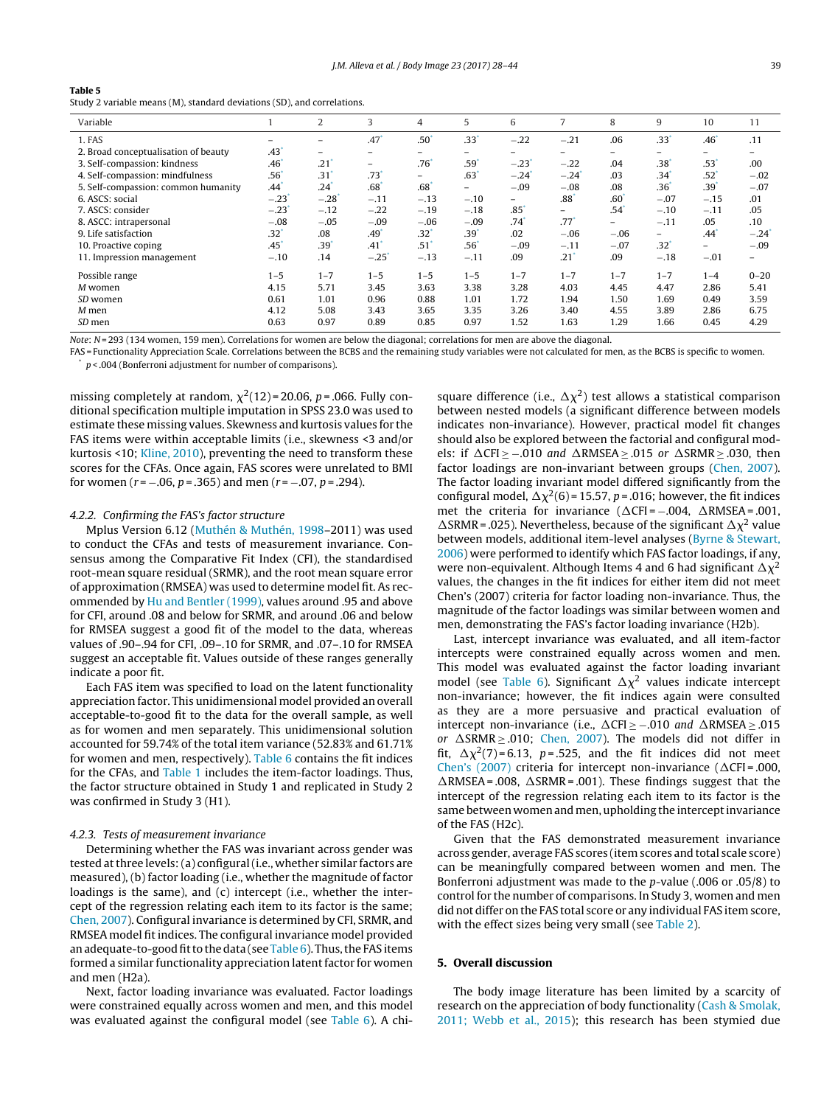<span id="page-12-0"></span>Study 2 variable means (M), standard deviations (SD), and correlations.

| Variable                             |         | 2                   | 3                        | 4                        | 5       | 6                        | 7                   | 8                        | 9                        | 10                 | 11                  |
|--------------------------------------|---------|---------------------|--------------------------|--------------------------|---------|--------------------------|---------------------|--------------------------|--------------------------|--------------------|---------------------|
| 1. FAS                               |         |                     | .47                      | .50 <sup>′</sup>         | .33'    | $-.22$                   | $-.21$              | .06                      | $.33$ <sup>'</sup>       | $.46$ <sup>*</sup> | .11                 |
| 2. Broad conceptualisation of beauty | .43     | -                   | $\overline{\phantom{0}}$ |                          |         |                          |                     | $\overline{\phantom{0}}$ |                          | -                  |                     |
| 3. Self-compassion: kindness         | .46     | .21                 | -                        | .76                      | .59'    | $-.23$                   | $-.22$              | .04                      | .38 <sup>°</sup>         | .53                | .00                 |
| 4. Self-compassion: mindfulness      | $.56*$  | .31                 | .73                      | $\overline{\phantom{0}}$ | .63     | $-.24$                   | $-.24$ <sup>*</sup> | .03                      | .34 <sup>°</sup>         | $.52$ <sup>*</sup> | $-.02$              |
| 5. Self-compassion: common humanity  | .44     | .24                 | .68                      | .68                      | -       | $-.09$                   | $-.08$              | .08                      | .36 <sup>2</sup>         | .39 <sup>°</sup>   | $-.07$              |
| 6. ASCS: social                      | $-.23$  | $-.28$ <sup>*</sup> | $-.11$                   | $-.13$                   | $-.10$  | $\overline{\phantom{0}}$ | .88 <sup>°</sup>    | .60                      | $-.07$                   | $-.15$             | .01                 |
| 7. ASCS: consider                    | $-.23$  | $-.12$              | $-.22$                   | $-.19$                   | $-.18$  | .85                      | Ξ.                  | .54                      | $-.10$                   | $-.11$             | .05                 |
| 8. ASCC: intrapersonal               | $-.08$  | $-.05$              | $-.09$                   | $-.06$                   | $-.09$  | .74                      | $.77$ <sup>*</sup>  | -                        | $-.11$                   | .05                | .10                 |
| 9. Life satisfaction                 | .32*    | .08                 | .49                      | .32 <sup>′</sup>         | .39     | .02                      | $-.06$              | $-.06$                   | $\overline{\phantom{0}}$ | $.44$ <sup>*</sup> | $-.24$ <sup>*</sup> |
| 10. Proactive coping                 | .45     | .39                 | $.41$ <sup>*</sup>       | $.51$ <sup>*</sup>       | .56'    | $-.09$                   | $-.11$              | $-.07$                   | $.32^{\circ}$            | Ξ.                 | $-.09$              |
| 11. Impression management            | $-.10$  | .14                 | $-.25$                   | $-.13$                   | $-.11$  | .09                      | .21                 | .09                      | $-.18$                   | $-.01$             | -                   |
| Possible range                       | $1 - 5$ | $1 - 7$             | $1 - 5$                  | $1 - 5$                  | $1 - 5$ | $1 - 7$                  | $1 - 7$             | $1 - 7$                  | $1 - 7$                  | $1 - 4$            | $0 - 20$            |
| M women                              | 4.15    | 5.71                | 3.45                     | 3.63                     | 3.38    | 3.28                     | 4.03                | 4.45                     | 4.47                     | 2.86               | 5.41                |
| SD women                             | 0.61    | 1.01                | 0.96                     | 0.88                     | 1.01    | 1.72                     | 1.94                | 1.50                     | 1.69                     | 0.49               | 3.59                |
| $M$ men                              | 4.12    | 5.08                | 3.43                     | 3.65                     | 3.35    | 3.26                     | 3.40                | 4.55                     | 3.89                     | 2.86               | 6.75                |
| SD men                               | 0.63    | 0.97                | 0.89                     | 0.85                     | 0.97    | 1.52                     | 1.63                | 1.29                     | 1.66                     | 0.45               | 4.29                |

Note: N = 293 (134 women, 159 men). Correlations for women are below the diagonal; correlations for men are above the diagonal.

FAS = Functionality Appreciation Scale. Correlations between the BCBS and the remaining study variables were not calculated for men, as the BCBS is specific to women.

 $p <$  .004 (Bonferroni adjustment for number of comparisons).

missing completely at random,  $\chi^2(12)$  = 20.06, p = .066. Fully conditional specification multiple imputation in SPSS 23.0 was used to estimate these missing values. Skewness and kurtosis values for the FAS items were within acceptable limits (i.e., skewness <3 and/or kurtosis <10; [Kline,](#page-16-0) [2010\),](#page-16-0) preventing the need to transform these scores for the CFAs. Once again, FAS scores were unrelated to BMI for women ( $r = -.06$ ,  $p = .365$ ) and men ( $r = -.07$ ,  $p = .294$ ).

#### 4.2.2. Confirming the FAS's factor structure

Mplus Version 6.12 ([Muthén](#page-16-0) [&](#page-16-0) [Muthén,](#page-16-0) [1998–](#page-16-0)2011) was used to conduct the CFAs and tests of measurement invariance. Consensus among the Comparative Fit Index (CFI), the standardised root-mean square residual (SRMR), and the root mean square error of approximation (RMSEA) was used to determine model fit. As recommended by [Hu](#page-16-0) [and](#page-16-0) [Bentler](#page-16-0) [\(1999\),](#page-16-0) values around .95 and above for CFI, around .08 and below for SRMR, and around .06 and below for RMSEA suggest a good fit of the model to the data, whereas values of .90–.94 for CFI, .09–.10 for SRMR, and .07–.10 for RMSEA suggest an acceptable fit. Values outside of these ranges generally indicate a poor fit.

Each FAS item was specified to load on the latent functionality appreciation factor. This unidimensional model provided an overall acceptable-to-good fit to the data for the overall sample, as well as for women and men separately. This unidimensional solution accounted for 59.74% of the total item variance (52.83% and 61.71% for women and men, respectively). [Table](#page-13-0) 6 contains the fit indices for the CFAs, and [Table](#page-6-0) 1 includes the item-factor loadings. Thus, the factor structure obtained in Study 1 and replicated in Study 2 was confirmed in Study 3 (H1).

#### 4.2.3. Tests of measurement invariance

Determining whether the FAS was invariant across gender was tested at three levels: (a) configural (i.e., whether similar factors are measured), (b) factor loading (i.e., whether the magnitude of factor loadings is the same), and (c) intercept (i.e., whether the intercept of the regression relating each item to its factor is the same; [Chen,](#page-15-0) [2007\).](#page-15-0) Configural invariance is determined by CFI, SRMR, and RMSEA model fit indices. The configural invariance model provided an adequate-to-good fit to the data (see [Table](#page-13-0)  $6$ ). Thus, the FAS items formed a similar functionality appreciation latent factor for women and men (H2a).

Next, factor loading invariance was evaluated. Factor loadings were constrained equally across women and men, and this model was evaluated against the configural model (see [Table](#page-13-0) 6). A chi-

square difference (i.e.,  $\Delta \chi^2$ ) test allows a statistical comparison between nested models (a significant difference between models indicates non-invariance). However, practical model fit changes should also be explored between the factorial and configural models: if  $\Delta$ CFI ≥ –.010 and  $\Delta$ RMSEA ≥ .015 or  $\Delta$ SRMR ≥ .030, then factor loadings are non-invariant between groups ([Chen,](#page-15-0) [2007\).](#page-15-0) The factor loading invariant model differed significantly from the configural model,  $\Delta \chi^2(6)$  = 15.57, p = .016; however, the fit indices met the criteria for invariance ( $\Delta$ CFI=–.004,  $\Delta$ RMSEA=.001,  $\triangle$ SRMR = .025). Nevertheless, because of the significant  $\triangle \chi^2$  value between models, additional item-level analyses ([Byrne](#page-15-0) [&](#page-15-0) [Stewart,](#page-15-0) [2006\)](#page-15-0) were performed to identify which FAS factor loadings, if any, were non-equivalent. Although Items 4 and 6 had significant  $\Delta \chi^2$ values, the changes in the fit indices for either item did not meet Chen's (2007) criteria for factor loading non-invariance. Thus, the magnitude of the factor loadings was similar between women and men, demonstrating the FAS's factor loading invariance (H2b).

Last, intercept invariance was evaluated, and all item-factor intercepts were constrained equally across women and men. This model was evaluated against the factor loading invariant model (see [Table](#page-13-0) 6). Significant  $\Delta \chi^2$  values indicate intercept non-invariance; however, the fit indices again were consulted as they are a more persuasive and practical evaluation of intercept non-invariance (i.e.,  $\Delta$ CFI ≥ –.010 and  $\Delta$ RMSEA ≥ .015 or  $\triangle$ SRMR  $\ge$  .010; [Chen,](#page-15-0) [2007\).](#page-15-0) The models did not differ in fit,  $\Delta \chi^2(7)$ =6.13, p=.525, and the fit indices did not meet [Chen's](#page-15-0) [\(2007\)](#page-15-0) criteria for intercept non-invariance ( $\Delta$ CFI=.000,  $\triangle$ RMSEA = .008,  $\triangle$ SRMR = .001). These findings suggest that the intercept of the regression relating each item to its factor is the same between women and men, upholding the intercept invariance of the FAS (H2c).

Given that the FAS demonstrated measurement invariance across gender, average FAS scores (item scores and total scale score) can be meaningfully compared between women and men. The Bonferroni adjustment was made to the p-value (.006 or .05/8) to control for the number of comparisons. In Study 3, women and men did not differ on the FAS total score or any individual FAS item score, with the effect sizes being very small (see [Table](#page-7-0) 2).

### **5. Overall discussion**

The body image literature has been limited by a scarcity of research on the appreciation of body functionality [\(Cash](#page-15-0) [&](#page-15-0) [Smolak,](#page-15-0) [2011;](#page-15-0) [Webb](#page-15-0) et [al.,](#page-15-0) [2015\);](#page-15-0) this research has been stymied due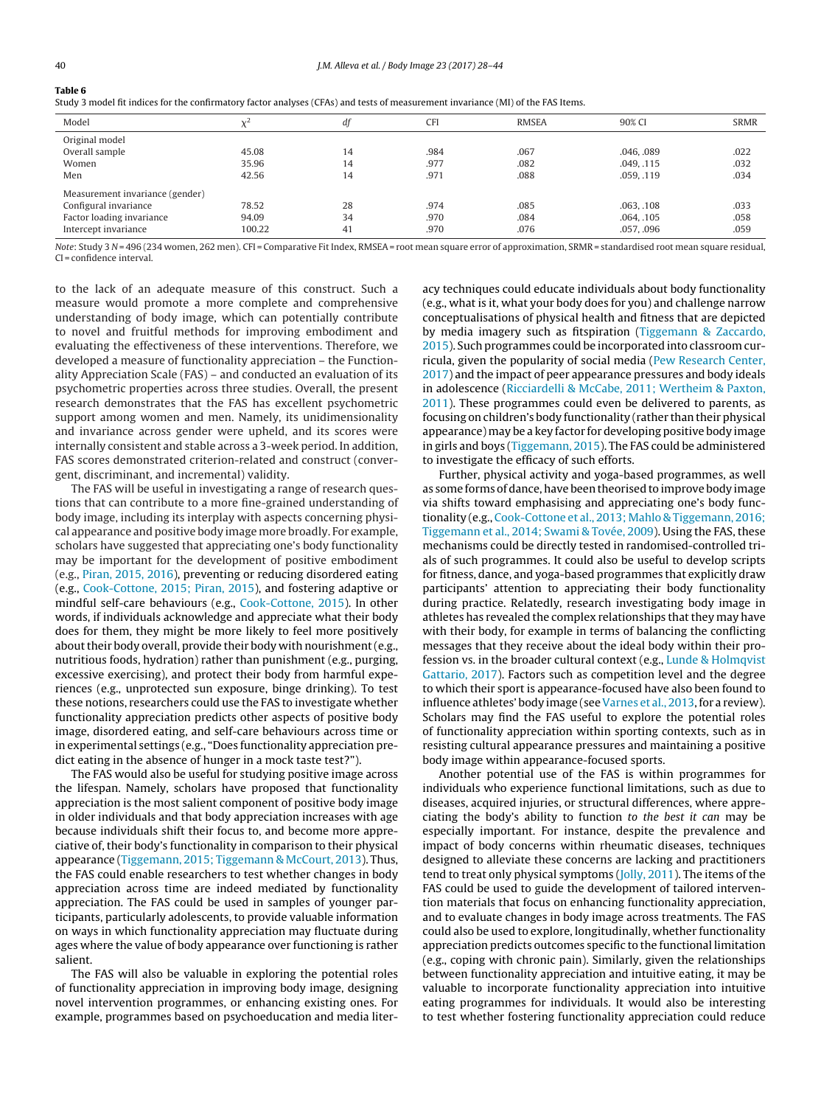<span id="page-13-0"></span>

| anı |  |  |
|-----|--|--|
|     |  |  |

| Study 3 model fit indices for the confirmatory factor analyses (CFAs) and tests of measurement invariance (MI) of the FAS Items. |  |  |  |  |
|----------------------------------------------------------------------------------------------------------------------------------|--|--|--|--|
|----------------------------------------------------------------------------------------------------------------------------------|--|--|--|--|

| Model                           |        | df | <b>CFI</b> | RMSEA | 90% CI     | <b>SRMR</b> |
|---------------------------------|--------|----|------------|-------|------------|-------------|
| Original model                  |        |    |            |       |            |             |
| Overall sample                  | 45.08  | 14 | .984       | .067  | .046, .089 | .022        |
| Women                           | 35.96  | 14 | .977       | .082  | .049, .115 | .032        |
| Men                             | 42.56  | 14 | .971       | .088  | .059, .119 | .034        |
| Measurement invariance (gender) |        |    |            |       |            |             |
| Configural invariance           | 78.52  | 28 | .974       | .085  | .063108    | .033        |
| Factor loading invariance       | 94.09  | 34 | .970       | .084  | .064, .105 | .058        |
| Intercept invariance            | 100.22 | 41 | .970       | .076  | .057, .096 | .059        |

Note: Study 3 N = 496 (234 women, 262 men). CFI = Comparative Fit Index, RMSEA = root mean square error of approximation, SRMR = standardised root mean square residual, CI = confidence interval.

to the lack of an adequate measure of this construct. Such a measure would promote a more complete and comprehensive understanding of body image, which can potentially contribute to novel and fruitful methods for improving embodiment and evaluating the effectiveness of these interventions. Therefore, we developed a measure of functionality appreciation – the Functionality Appreciation Scale (FAS) – and conducted an evaluation of its psychometric properties across three studies. Overall, the present research demonstrates that the FAS has excellent psychometric support among women and men. Namely, its unidimensionality and invariance across gender were upheld, and its scores were internally consistent and stable across a 3-week period. In addition, FAS scores demonstrated criterion-related and construct (convergent, discriminant, and incremental) validity.

The FAS will be useful in investigating a range of research questions that can contribute to a more fine-grained understanding of body image, including its interplay with aspects concerning physical appearance and positive body image more broadly. For example, scholars have suggested that appreciating one's body functionality may be important for the development of positive embodiment (e.g., [Piran,](#page-16-0) [2015,](#page-16-0) [2016\),](#page-16-0) preventing or reducing disordered eating (e.g., [Cook-Cottone,](#page-16-0) [2015;](#page-16-0) [Piran,](#page-16-0) [2015\),](#page-16-0) and fostering adaptive or mindful self-care behaviours (e.g., [Cook-Cottone,](#page-16-0) [2015\).](#page-16-0) In other words, if individuals acknowledge and appreciate what their body does for them, they might be more likely to feel more positively about their body overall, provide their body with nourishment (e.g., nutritious foods, hydration) rather than punishment (e.g., purging, excessive exercising), and protect their body from harmful experiences (e.g., unprotected sun exposure, binge drinking). To test these notions, researchers could use the FAS to investigate whether functionality appreciation predicts other aspects of positive body image, disordered eating, and self-care behaviours across time or in experimental settings (e.g., "Does functionality appreciation predict eating in the absence of hunger in a mock taste test?").

The FAS would also be useful for studying positive image across the lifespan. Namely, scholars have proposed that functionality appreciation is the most salient component of positive body image in older individuals and that body appreciation increases with age because individuals shift their focus to, and become more appreciative of, their body's functionality in comparison to their physical appearance [\(Tiggemann,](#page-16-0) [2015;](#page-16-0) [Tiggemann](#page-16-0) [&](#page-16-0) [McCourt,](#page-16-0) [2013\).](#page-16-0) Thus, the FAS could enable researchers to test whether changes in body appreciation across time are indeed mediated by functionality appreciation. The FAS could be used in samples of younger participants, particularly adolescents, to provide valuable information on ways in which functionality appreciation may fluctuate during ages where the value of body appearance over functioning is rather salient.

The FAS will also be valuable in exploring the potential roles of functionality appreciation in improving body image, designing novel intervention programmes, or enhancing existing ones. For example, programmes based on psychoeducation and media liter-

acy techniques could educate individuals about body functionality (e.g., what is it, what your body does for you) and challenge narrow conceptualisations of physical health and fitness that are depicted by media imagery such as fitspiration ([Tiggemann](#page-17-0) [&](#page-17-0) [Zaccardo,](#page-17-0) [2015\).](#page-17-0) Such programmes could be incorporated into classroom curricula, given the popularity of social media ([Pew](#page-16-0) [Research](#page-16-0) [Center,](#page-16-0) [2017\)](#page-16-0) and the impact of peer appearance pressures and body ideals in adolescence ([Ricciardelli](#page-16-0) [&](#page-16-0) [McCabe,](#page-16-0) [2011;](#page-16-0) [Wertheim](#page-16-0) [&](#page-16-0) [Paxton,](#page-16-0) [2011\).](#page-16-0) These programmes could even be delivered to parents, as focusing on children's body functionality (rather than their physical appearance) may be a key factor for developing positive body image in girls and boys [\(Tiggemann,](#page-16-0) [2015\).](#page-16-0) The FAS could be administered to investigate the efficacy of such efforts.

Further, physical activity and yoga-based programmes, as well as some forms of dance, have been theorised to improve body image via shifts toward emphasising and appreciating one's body functionality (e.g., [Cook-Cottone](#page-16-0) et [al.,](#page-16-0) [2013;](#page-16-0) [Mahlo](#page-16-0) [&](#page-16-0) [Tiggemann,](#page-16-0) [2016;](#page-16-0) [Tiggemann](#page-16-0) et [al.,](#page-16-0) [2014;](#page-16-0) [Swami](#page-16-0) [&](#page-16-0) [Tovée,](#page-16-0) [2009\).](#page-16-0) Using the FAS, these mechanisms could be directly tested in randomised-controlled trials of such programmes. It could also be useful to develop scripts for fitness, dance, and yoga-based programmes that explicitly draw participants' attention to appreciating their body functionality during practice. Relatedly, research investigating body image in athletes has revealed the complex relationships that they may have with their body, for example in terms of balancing the conflicting messages that they receive about the ideal body within their profession vs. in the broader cultural context (e.g., [Lunde](#page-16-0) [&](#page-16-0) [Holmqvist](#page-16-0) [Gattario,](#page-16-0) [2017\).](#page-16-0) Factors such as competition level and the degree to which their sport is appearance-focused have also been found to influence athletes' body image (see [Varnes](#page-17-0) et [al.,](#page-17-0) 2013, for a review). Scholars may find the FAS useful to explore the potential roles of functionality appreciation within sporting contexts, such as in resisting cultural appearance pressures and maintaining a positive body image within appearance-focused sports.

Another potential use of the FAS is within programmes for individuals who experience functional limitations, such as due to diseases, acquired injuries, or structural differences, where appreciating the body's ability to function to the best it can may be especially important. For instance, despite the prevalence and impact of body concerns within rheumatic diseases, techniques designed to alleviate these concerns are lacking and practitioners tend to treat only physical symptoms [\(Jolly,](#page-16-0) [2011\).](#page-16-0) The items of the FAS could be used to guide the development of tailored intervention materials that focus on enhancing functionality appreciation, and to evaluate changes in body image across treatments. The FAS could also be used to explore, longitudinally, whether functionality appreciation predicts outcomes specific to the functional limitation (e.g., coping with chronic pain). Similarly, given the relationships between functionality appreciation and intuitive eating, it may be valuable to incorporate functionality appreciation into intuitive eating programmes for individuals. It would also be interesting to test whether fostering functionality appreciation could reduce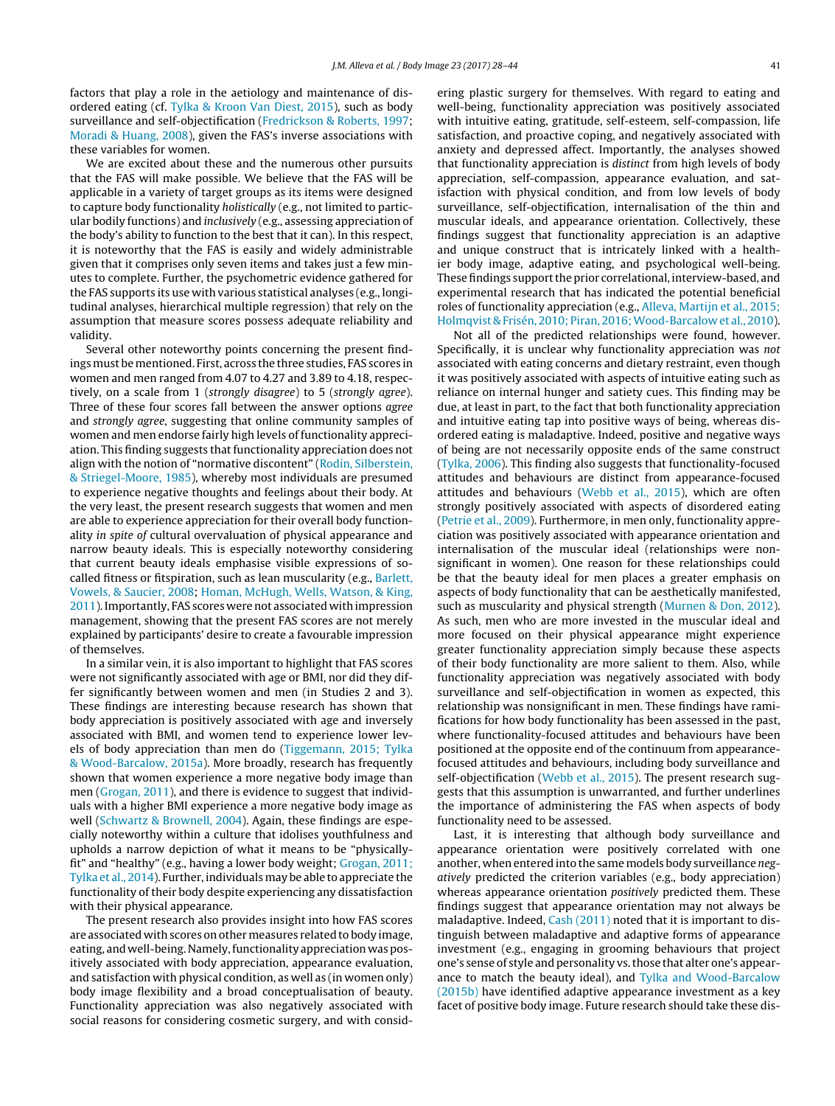factors that play a role in the aetiology and maintenance of disordered eating (cf. [Tylka](#page-17-0) [&](#page-17-0) [Kroon](#page-17-0) [Van](#page-17-0) [Diest,](#page-17-0) [2015\),](#page-17-0) such as body surveillance and self-objectification ([Fredrickson](#page-16-0) [&](#page-16-0) [Roberts,](#page-16-0) [1997;](#page-16-0) [Moradi](#page-16-0) [&](#page-16-0) [Huang,](#page-16-0) [2008\),](#page-16-0) given the FAS's inverse associations with these variables for women.

We are excited about these and the numerous other pursuits that the FAS will make possible. We believe that the FAS will be applicable in a variety of target groups as its items were designed to capture body functionality holistically (e.g., not limited to particular bodily functions) and inclusively (e.g., assessing appreciation of the body's ability to function to the best that it can). In this respect, it is noteworthy that the FAS is easily and widely administrable given that it comprises only seven items and takes just a few minutes to complete. Further, the psychometric evidence gathered for the FAS supports its use with various statistical analyses (e.g., longitudinal analyses, hierarchical multiple regression) that rely on the assumption that measure scores possess adequate reliability and validity.

Several other noteworthy points concerning the present findings must be mentioned. First, across the three studies, FAS scores in women and men ranged from 4.07 to 4.27 and 3.89 to 4.18, respectively, on a scale from 1 (strongly disagree) to 5 (strongly agree). Three of these four scores fall between the answer options agree and strongly agree, suggesting that online community samples of women and men endorse fairly high levels of functionality appreciation. This finding suggests that functionality appreciation does not align with the notion of "normative discontent" ([Rodin,](#page-16-0) [Silberstein,](#page-16-0) [&](#page-16-0) [Striegel-Moore,](#page-16-0) [1985\),](#page-16-0) whereby most individuals are presumed to experience negative thoughts and feelings about their body. At the very least, the present research suggests that women and men are able to experience appreciation for their overall body functionality in spite of cultural overvaluation of physical appearance and narrow beauty ideals. This is especially noteworthy considering that current beauty ideals emphasise visible expressions of socalled fitness or fitspiration, such as lean muscularity (e.g., [Barlett,](#page-15-0) [Vowels,](#page-15-0) [&](#page-15-0) [Saucier,](#page-15-0) [2008;](#page-15-0) [Homan,](#page-16-0) [McHugh,](#page-16-0) [Wells,](#page-16-0) [Watson,](#page-16-0) [&](#page-16-0) [King,](#page-16-0) [2011\).](#page-16-0)Importantly, FAS scores werenot associated withimpression management, showing that the present FAS scores are not merely explained by participants' desire to create a favourable impression of themselves.

In a similar vein, it is also important to highlight that FAS scores were not significantly associated with age or BMI, nor did they differ significantly between women and men (in Studies 2 and 3). These findings are interesting because research has shown that body appreciation is positively associated with age and inversely associated with BMI, and women tend to experience lower levels of body appreciation than men do [\(Tiggemann,](#page-16-0) [2015;](#page-16-0) [Tylka](#page-16-0) [&](#page-16-0) [Wood-Barcalow,](#page-16-0) [2015a\).](#page-16-0) More broadly, research has frequently shown that women experience a more negative body image than men ([Grogan,](#page-16-0) [2011\),](#page-16-0) and there is evidence to suggest that individuals with a higher BMI experience a more negative body image as well ([Schwartz](#page-16-0) [&](#page-16-0) [Brownell,](#page-16-0) [2004\).](#page-16-0) Again, these findings are especially noteworthy within a culture that idolises youthfulness and upholds a narrow depiction of what it means to be "physicallyfit" and "healthy" (e.g., having a lower body weight; [Grogan,](#page-16-0) [2011;](#page-16-0) [Tylka](#page-16-0) et [al.,](#page-16-0) [2014\).](#page-16-0) Further, individualsmay be able to appreciate the functionality of their body despite experiencing any dissatisfaction with their physical appearance.

The present research also provides insight into how FAS scores are associated with scores on other measures related to body image, eating, and well-being. Namely, functionality appreciation was positively associated with body appreciation, appearance evaluation, and satisfaction with physical condition, as well as (in women only) body image flexibility and a broad conceptualisation of beauty. Functionality appreciation was also negatively associated with social reasons for considering cosmetic surgery, and with considering plastic surgery for themselves. With regard to eating and well-being, functionality appreciation was positively associated with intuitive eating, gratitude, self-esteem, self-compassion, life satisfaction, and proactive coping, and negatively associated with anxiety and depressed affect. Importantly, the analyses showed that functionality appreciation is distinct from high levels of body appreciation, self-compassion, appearance evaluation, and satisfaction with physical condition, and from low levels of body surveillance, self-objectification, internalisation of the thin and muscular ideals, and appearance orientation. Collectively, these findings suggest that functionality appreciation is an adaptive and unique construct that is intricately linked with a healthier body image, adaptive eating, and psychological well-being. These findings support the prior correlational, interview-based, and experimental research that has indicated the potential beneficial roles of functionality appreciation (e.g., [Alleva,](#page-15-0) [Martijn](#page-15-0) et [al.,](#page-15-0) [2015;](#page-15-0) [Holmqvist](#page-15-0) [&](#page-15-0) [Frisén,](#page-15-0) [2010;](#page-15-0) [Piran,](#page-15-0) 2016; Wood-Barcalow et [al.,](#page-15-0) [2010\).](#page-15-0)

Not all of the predicted relationships were found, however. Specifically, it is unclear why functionality appreciation was not associated with eating concerns and dietary restraint, even though it was positively associated with aspects of intuitive eating such as reliance on internal hunger and satiety cues. This finding may be due, at least in part, to the fact that both functionality appreciation and intuitive eating tap into positive ways of being, whereas disordered eating is maladaptive. Indeed, positive and negative ways of being are not necessarily opposite ends of the same construct [\(Tylka,](#page-17-0) [2006\).](#page-17-0) This finding also suggests that functionality-focused attitudes and behaviours are distinct from appearance-focused attitudes and behaviours [\(Webb](#page-17-0) et [al.,](#page-17-0) [2015\),](#page-17-0) which are often strongly positively associated with aspects of disordered eating [\(Petrie](#page-16-0) et [al.,](#page-16-0) [2009\).](#page-16-0) Furthermore, in men only, functionality appreciation was positively associated with appearance orientation and internalisation of the muscular ideal (relationships were nonsignificant in women). One reason for these relationships could be that the beauty ideal for men places a greater emphasis on aspects of body functionality that can be aesthetically manifested, such as muscularity and physical strength ([Murnen](#page-16-0) [&](#page-16-0) [Don,](#page-16-0) [2012\).](#page-16-0) As such, men who are more invested in the muscular ideal and more focused on their physical appearance might experience greater functionality appreciation simply because these aspects of their body functionality are more salient to them. Also, while functionality appreciation was negatively associated with body surveillance and self-objectification in women as expected, this relationship was nonsignificant in men. These findings have ramifications for how body functionality has been assessed in the past, where functionality-focused attitudes and behaviours have been positioned at the opposite end of the continuum from appearancefocused attitudes and behaviours, including body surveillance and self-objectification [\(Webb](#page-17-0) et [al.,](#page-17-0) [2015\).](#page-17-0) The present research suggests that this assumption is unwarranted, and further underlines the importance of administering the FAS when aspects of body functionality need to be assessed.

Last, it is interesting that although body surveillance and appearance orientation were positively correlated with one another, when entered into the same models body surveillance negatively predicted the criterion variables (e.g., body appreciation) whereas appearance orientation *positively* predicted them. These findings suggest that appearance orientation may not always be maladaptive. Indeed, [Cash](#page-15-0) [\(2011\)](#page-15-0) noted that it is important to distinguish between maladaptive and adaptive forms of appearance investment (e.g., engaging in grooming behaviours that project one's sense of style and personality vs.those that alter one's appearance to match the beauty ideal), and [Tylka](#page-17-0) [and](#page-17-0) [Wood-Barcalow](#page-17-0) [\(2015b\)](#page-17-0) have identified adaptive appearance investment as a key facet of positive body image. Future research should take these dis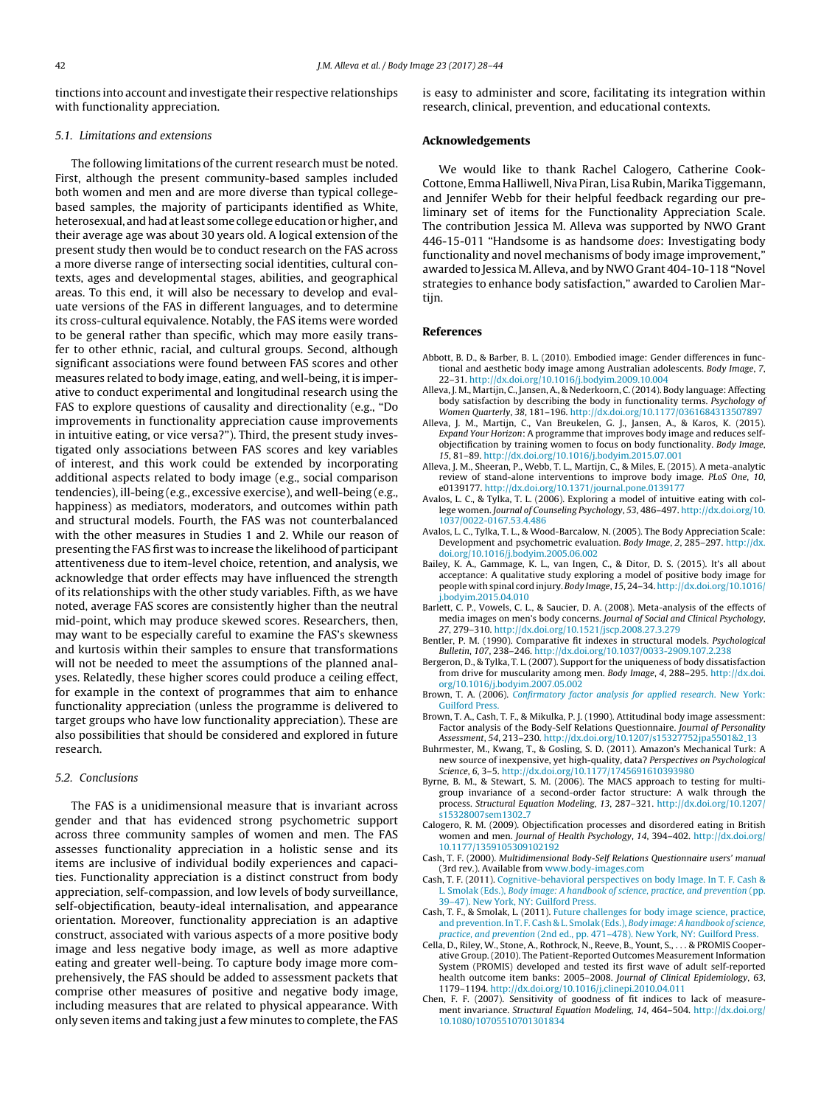<span id="page-15-0"></span>tinctions into account and investigate their respective relationships with functionality appreciation.

# 5.1. Limitations and extensions

The following limitations of the current research must be noted. First, although the present community-based samples included both women and men and are more diverse than typical collegebased samples, the majority of participants identified as White, heterosexual, and had at least some college education or higher, and their average age was about 30 years old. A logical extension of the present study then would be to conduct research on the FAS across a more diverse range of intersecting social identities, cultural contexts, ages and developmental stages, abilities, and geographical areas. To this end, it will also be necessary to develop and evaluate versions of the FAS in different languages, and to determine its cross-cultural equivalence. Notably, the FAS items were worded to be general rather than specific, which may more easily transfer to other ethnic, racial, and cultural groups. Second, although significant associations were found between FAS scores and other measures related to body image, eating, and well-being, it is imperative to conduct experimental and longitudinal research using the FAS to explore questions of causality and directionality (e.g., "Do improvements in functionality appreciation cause improvements in intuitive eating, or vice versa?"). Third, the present study investigated only associations between FAS scores and key variables of interest, and this work could be extended by incorporating additional aspects related to body image (e.g., social comparison tendencies), ill-being (e.g., excessive exercise), and well-being (e.g., happiness) as mediators, moderators, and outcomes within path and structural models. Fourth, the FAS was not counterbalanced with the other measures in Studies 1 and 2. While our reason of presenting the FAS first was to increase the likelihood of participant attentiveness due to item-level choice, retention, and analysis, we acknowledge that order effects may have influenced the strength of its relationships with the other study variables. Fifth, as we have noted, average FAS scores are consistently higher than the neutral mid-point, which may produce skewed scores. Researchers, then, may want to be especially careful to examine the FAS's skewness and kurtosis within their samples to ensure that transformations will not be needed to meet the assumptions of the planned analyses. Relatedly, these higher scores could produce a ceiling effect, for example in the context of programmes that aim to enhance functionality appreciation (unless the programme is delivered to target groups who have low functionality appreciation). These are also possibilities that should be considered and explored in future research.

# 5.2. Conclusions

The FAS is a unidimensional measure that is invariant across gender and that has evidenced strong psychometric support across three community samples of women and men. The FAS assesses functionality appreciation in a holistic sense and its items are inclusive of individual bodily experiences and capacities. Functionality appreciation is a distinct construct from body appreciation, self-compassion, and low levels of body surveillance, self-objectification, beauty-ideal internalisation, and appearance orientation. Moreover, functionality appreciation is an adaptive construct, associated with various aspects of a more positive body image and less negative body image, as well as more adaptive eating and greater well-being. To capture body image more comprehensively, the FAS should be added to assessment packets that comprise other measures of positive and negative body image, including measures that are related to physical appearance. With only seven items and taking just a few minutes to complete, the FAS

is easy to administer and score, facilitating its integration within research, clinical, prevention, and educational contexts.

# **Acknowledgements**

We would like to thank Rachel Calogero, Catherine Cook-Cottone, EmmaHalliwell,Niva Piran, LisaRubin,Marika Tiggemann, and Jennifer Webb for their helpful feedback regarding our preliminary set of items for the Functionality Appreciation Scale. The contribution Jessica M. Alleva was supported by NWO Grant 446-15-011 "Handsome is as handsome does: Investigating body functionality and novel mechanisms of body image improvement," awarded to Jessica M.Alleva, and by NWO Grant 404-10-118 "Novel strategies to enhance body satisfaction," awarded to Carolien Martijn.

# **References**

- Abbott, B. D., & Barber, B. L. (2010). Embodied image: Gender differences in functional and aesthetic body image among Australian adolescents. Body Image, 7, 22–31. [http://dx.doi.org/10.1016/j.bodyim.2009.10.004](dx.doi.org/10.1016/j.bodyim.2009.10.004)
- Alleva, J. M., Martijn, C., Jansen, A., & Nederkoorn, C.(2014). Body language: Affecting body satisfaction by describing the body in functionality terms. Psychology of Women Quarterly, 38, 181–196. [http://dx.doi.org/10.1177/0361684313507897](dx.doi.org/10.1177/0361684313507897)
- Alleva, J. M., Martijn, C., Van Breukelen, G. J., Jansen, A., & Karos, K. (2015). Expand Your Horizon: A programme that improves body image and reduces selfobjectification by training women to focus on body functionality. Body Image, 15, 81–89. [http://dx.doi.org/10.1016/j.bodyim.2015.07.001](dx.doi.org/10.1016/j.bodyim.2015.07.001)
- Alleva, J. M., Sheeran, P., Webb, T. L., Martijn, C., & Miles, E. (2015). A meta-analytic review of stand-alone interventions to improve body image. PLoS One, 10, e0139177. [http://dx.doi.org/10.1371/journal.pone.0139177](dx.doi.org/10.1371/journal.pone.0139177)
- Avalos, L. C., & Tylka, T. L. (2006). Exploring a model of intuitive eating with college women. Journal of Counseling Psychology, 53, 486–497. [http://dx.doi.org/10.](dx.doi.org/10.1037/0022-0167.53.4.486) [1037/0022-0167.53.4.486](dx.doi.org/10.1037/0022-0167.53.4.486)
- Avalos, L. C., Tylka, T. L., & Wood-Barcalow, N. (2005). The Body Appreciation Scale: Development and psychometric evaluation. Body Image, 2, 285–297. [http://dx.](dx.doi.org/10.1016/j.bodyim.2005.06.002) [doi.org/10.1016/j.bodyim.2005.06.002](dx.doi.org/10.1016/j.bodyim.2005.06.002)
- Bailey, K. A., Gammage, K. L., van Ingen, C., & Ditor, D. S. (2015). It's all about acceptance: A qualitative study exploring a model of positive body image for people with spinal cord injury. Body Image, 15, 24–34. [http://dx.doi.org/10.1016/](dx.doi.org/10.1016/j.bodyim.2015.04.010) i.bodyim.2015.04.010
- Barlett, C. P., Vowels, C. L., & Saucier, D. A. (2008). Meta-analysis of the effects of media images on men's body concerns. Journal of Social and Clinical Psychology, 27, 279–310. [http://dx.doi.org/10.1521/jscp.2008.27.3.279](dx.doi.org/10.1521/jscp.2008.27.3.279)
- Bentler, P. M. (1990). Comparative fit indexes in structural models. Psychological Bulletin, 107, 238–246. [http://dx.doi.org/10.1037/0033-2909.107.2.238](dx.doi.org/10.1037/0033-2909.107.2.238)
- Bergeron, D., & Tylka, T. L. (2007). Support for the uniqueness of body dissatisfaction from drive for muscularity among men. Body Image, 4, 288–295. [http://dx.doi.](dx.doi.org/10.1016/j.bodyim.2007.05.002) [org/10.1016/j.bodyim.2007.05.002](dx.doi.org/10.1016/j.bodyim.2007.05.002)
- Brown, T. A. (2006). [Confirmatory](http://refhub.elsevier.com/S1740-1445(17)30194-8/sbref0055) [factor](http://refhub.elsevier.com/S1740-1445(17)30194-8/sbref0055) [analysis](http://refhub.elsevier.com/S1740-1445(17)30194-8/sbref0055) [for](http://refhub.elsevier.com/S1740-1445(17)30194-8/sbref0055) [applied](http://refhub.elsevier.com/S1740-1445(17)30194-8/sbref0055) [research](http://refhub.elsevier.com/S1740-1445(17)30194-8/sbref0055)[.](http://refhub.elsevier.com/S1740-1445(17)30194-8/sbref0055) [New](http://refhub.elsevier.com/S1740-1445(17)30194-8/sbref0055) [York:](http://refhub.elsevier.com/S1740-1445(17)30194-8/sbref0055) [Guilford](http://refhub.elsevier.com/S1740-1445(17)30194-8/sbref0055) [Press.](http://refhub.elsevier.com/S1740-1445(17)30194-8/sbref0055)
- Brown, T. A., Cash, T. F., & Mikulka, P. J. (1990). Attitudinal body image assessment: Factor analysis of the Body-Self Relations Questionnaire. Journal of Personality Assessment, 54, 213–230. [http://dx.doi.org/10.1207/s15327752jpa5501&2](dx.doi.org/10.1207/s15327752jpa5501&2_13) [13](dx.doi.org/10.1207/s15327752jpa5501&2_13)
- Buhrmester, M., Kwang, T., & Gosling, S. D. (2011). Amazon's Mechanical Turk: A new source of inexpensive, yet high-quality, data? Perspectives on Psychological Science, 6, 3–5. [http://dx.doi.org/10.1177/1745691610393980](dx.doi.org/10.1177/1745691610393980)
- Byrne, B. M., & Stewart, S. M. (2006). The MACS approach to testing for multigroup invariance of a second-order factor structure: A walk through the process. Structural Equation Modeling, 13, 287–321. [http://dx.doi.org/10.1207/](dx.doi.org/10.1207/s15328007sem1302_7) [s15328007sem1302](dx.doi.org/10.1207/s15328007sem1302_7) [7](dx.doi.org/10.1207/s15328007sem1302_7)
- Calogero, R. M. (2009). Objectification processes and disordered eating in British women and men. Journal of Health Psychology, 14, 394–402. [http://dx.doi.org/](dx.doi.org/10.1177/1359105309102192) [10.1177/1359105309102192](dx.doi.org/10.1177/1359105309102192)
- Cash, T. F. (2000). Multidimensional Body-Self Relations Questionnaire users' manual (3rd rev.). Available from [www.body-images.com](http://www.body-images.com)
- Cash, T. F. (2011). [Cognitive-behavioral](http://refhub.elsevier.com/S1740-1445(17)30194-8/sbref0085) [perspectives](http://refhub.elsevier.com/S1740-1445(17)30194-8/sbref0085) [on](http://refhub.elsevier.com/S1740-1445(17)30194-8/sbref0085) [body](http://refhub.elsevier.com/S1740-1445(17)30194-8/sbref0085) [Image.](http://refhub.elsevier.com/S1740-1445(17)30194-8/sbref0085) [In](http://refhub.elsevier.com/S1740-1445(17)30194-8/sbref0085) [T.](http://refhub.elsevier.com/S1740-1445(17)30194-8/sbref0085) [F.](http://refhub.elsevier.com/S1740-1445(17)30194-8/sbref0085) [Cash](http://refhub.elsevier.com/S1740-1445(17)30194-8/sbref0085) [&](http://refhub.elsevier.com/S1740-1445(17)30194-8/sbref0085) [L.](http://refhub.elsevier.com/S1740-1445(17)30194-8/sbref0085) [Smolak](http://refhub.elsevier.com/S1740-1445(17)30194-8/sbref0085) [\(Eds.\),](http://refhub.elsevier.com/S1740-1445(17)30194-8/sbref0085) [Body](http://refhub.elsevier.com/S1740-1445(17)30194-8/sbref0085) [image:](http://refhub.elsevier.com/S1740-1445(17)30194-8/sbref0085) [A](http://refhub.elsevier.com/S1740-1445(17)30194-8/sbref0085) [handbook](http://refhub.elsevier.com/S1740-1445(17)30194-8/sbref0085) [of](http://refhub.elsevier.com/S1740-1445(17)30194-8/sbref0085) [science,](http://refhub.elsevier.com/S1740-1445(17)30194-8/sbref0085) [practice,](http://refhub.elsevier.com/S1740-1445(17)30194-8/sbref0085) [and](http://refhub.elsevier.com/S1740-1445(17)30194-8/sbref0085) [prevention](http://refhub.elsevier.com/S1740-1445(17)30194-8/sbref0085) [\(pp.](http://refhub.elsevier.com/S1740-1445(17)30194-8/sbref0085) [39–47\).](http://refhub.elsevier.com/S1740-1445(17)30194-8/sbref0085) [New](http://refhub.elsevier.com/S1740-1445(17)30194-8/sbref0085) [York,](http://refhub.elsevier.com/S1740-1445(17)30194-8/sbref0085) [NY:](http://refhub.elsevier.com/S1740-1445(17)30194-8/sbref0085) [Guilford](http://refhub.elsevier.com/S1740-1445(17)30194-8/sbref0085) [Press.](http://refhub.elsevier.com/S1740-1445(17)30194-8/sbref0085)
- Cash, T. F., & Smolak, L. (2011). [Future](http://refhub.elsevier.com/S1740-1445(17)30194-8/sbref0090) [challenges](http://refhub.elsevier.com/S1740-1445(17)30194-8/sbref0090) [for](http://refhub.elsevier.com/S1740-1445(17)30194-8/sbref0090) [body](http://refhub.elsevier.com/S1740-1445(17)30194-8/sbref0090) [image](http://refhub.elsevier.com/S1740-1445(17)30194-8/sbref0090) [science,](http://refhub.elsevier.com/S1740-1445(17)30194-8/sbref0090) [practice,](http://refhub.elsevier.com/S1740-1445(17)30194-8/sbref0090) [and](http://refhub.elsevier.com/S1740-1445(17)30194-8/sbref0090) [prevention.](http://refhub.elsevier.com/S1740-1445(17)30194-8/sbref0090) [In](http://refhub.elsevier.com/S1740-1445(17)30194-8/sbref0090) [T.](http://refhub.elsevier.com/S1740-1445(17)30194-8/sbref0090) [F.](http://refhub.elsevier.com/S1740-1445(17)30194-8/sbref0090) [Cash](http://refhub.elsevier.com/S1740-1445(17)30194-8/sbref0090) [&](http://refhub.elsevier.com/S1740-1445(17)30194-8/sbref0090) [L.](http://refhub.elsevier.com/S1740-1445(17)30194-8/sbref0090) [Smolak](http://refhub.elsevier.com/S1740-1445(17)30194-8/sbref0090) [\(Eds.\),](http://refhub.elsevier.com/S1740-1445(17)30194-8/sbref0090) [Body](http://refhub.elsevier.com/S1740-1445(17)30194-8/sbref0090) [image:](http://refhub.elsevier.com/S1740-1445(17)30194-8/sbref0090) [A](http://refhub.elsevier.com/S1740-1445(17)30194-8/sbref0090) [handbook](http://refhub.elsevier.com/S1740-1445(17)30194-8/sbref0090) [of](http://refhub.elsevier.com/S1740-1445(17)30194-8/sbref0090) [science,](http://refhub.elsevier.com/S1740-1445(17)30194-8/sbref0090) [practice,](http://refhub.elsevier.com/S1740-1445(17)30194-8/sbref0090) [and](http://refhub.elsevier.com/S1740-1445(17)30194-8/sbref0090) [prevention](http://refhub.elsevier.com/S1740-1445(17)30194-8/sbref0090) [\(2nd](http://refhub.elsevier.com/S1740-1445(17)30194-8/sbref0090) [ed.,](http://refhub.elsevier.com/S1740-1445(17)30194-8/sbref0090) [pp.](http://refhub.elsevier.com/S1740-1445(17)30194-8/sbref0090) [471–478\).](http://refhub.elsevier.com/S1740-1445(17)30194-8/sbref0090) [New](http://refhub.elsevier.com/S1740-1445(17)30194-8/sbref0090) [York,](http://refhub.elsevier.com/S1740-1445(17)30194-8/sbref0090) [NY:](http://refhub.elsevier.com/S1740-1445(17)30194-8/sbref0090) [Guilford](http://refhub.elsevier.com/S1740-1445(17)30194-8/sbref0090) [Press.](http://refhub.elsevier.com/S1740-1445(17)30194-8/sbref0090)
- Cella, D., Riley, W., Stone, A., Rothrock, N., Reeve, B., Yount, S., . . . & PROMIS Cooperative Group. (2010). The Patient-Reported Outcomes Measurement Information System (PROMIS) developed and tested its first wave of adult self-reported health outcome item banks: 2005–2008. Journal of Clinical Epidemiology, 63, 1179–1194. [http://dx.doi.org/10.1016/j.clinepi.2010.04.011](dx.doi.org/10.1016/j.clinepi.2010.04.011)
- Chen, F. F. (2007). Sensitivity of goodness of fit indices to lack of measurement invariance. Structural Equation Modeling, 14, 464–504. [http://dx.doi.org/](dx.doi.org/10.1080/10705510701301834) [10.1080/10705510701301834](dx.doi.org/10.1080/10705510701301834)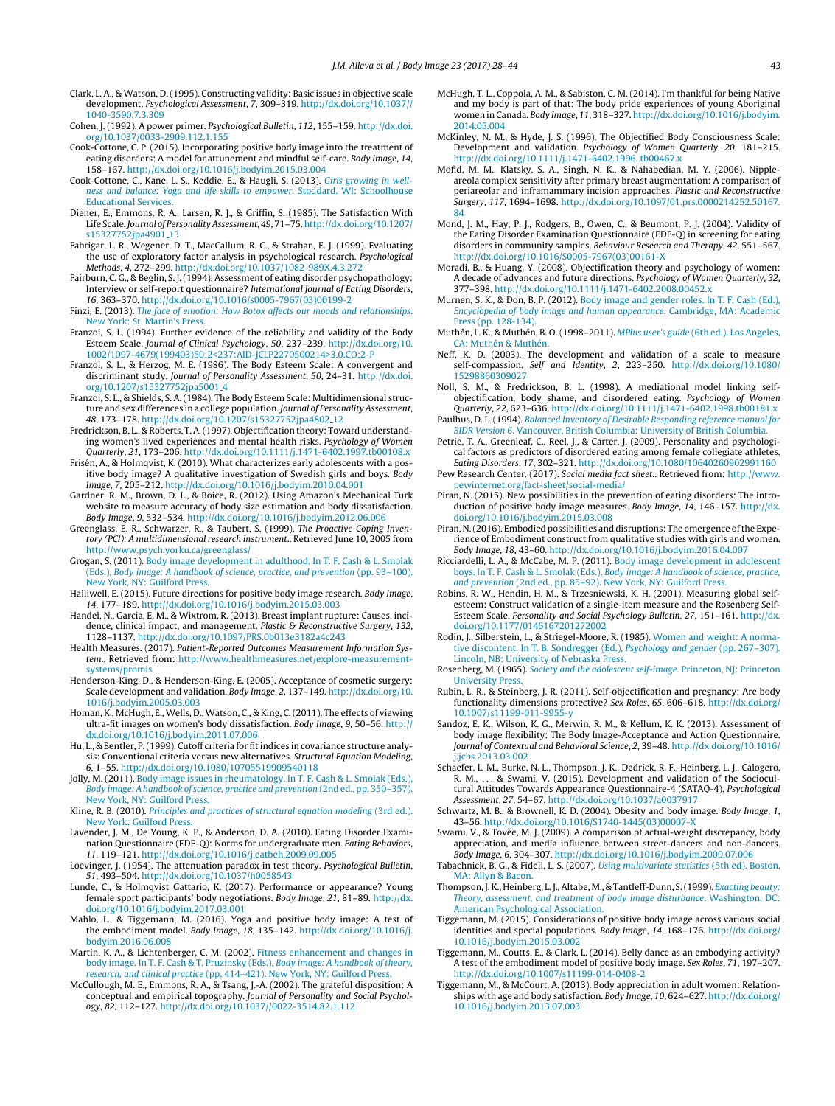- <span id="page-16-0"></span>Clark, L. A., & Watson, D. (1995). Constructing validity: Basic issues in objective scale development. Psychological Assessment, 7, 309–319. [http://dx.doi.org/10.1037//](dx.doi.org/10.1037//1040-3590.7.3.309) [1040-3590.7.3.309](dx.doi.org/10.1037//1040-3590.7.3.309)
- Cohen, J. (1992). A power primer. Psychological Bulletin, 112, 155–159. [http://dx.doi.](dx.doi.org/10.1037/0033-2909.112.1.155) [org/10.1037/0033-2909.112.1.155](dx.doi.org/10.1037/0033-2909.112.1.155)
- Cook-Cottone, C. P. (2015). Incorporating positive body image into the treatment of eating disorders: A model for attunement and mindful self-care. Body Image, 14, 158–167. [http://dx.doi.org/10.1016/j.bodyim.2015.03.004](dx.doi.org/10.1016/j.bodyim.2015.03.004)
- Cook-Cottone, C., Kane, L. S., Keddie, E., & Haugli, S. (2013). [Girls](http://refhub.elsevier.com/S1740-1445(17)30194-8/sbref0120) [growing](http://refhub.elsevier.com/S1740-1445(17)30194-8/sbref0120) [in](http://refhub.elsevier.com/S1740-1445(17)30194-8/sbref0120) [well](http://refhub.elsevier.com/S1740-1445(17)30194-8/sbref0120)[ness](http://refhub.elsevier.com/S1740-1445(17)30194-8/sbref0120) [and](http://refhub.elsevier.com/S1740-1445(17)30194-8/sbref0120) [balance:](http://refhub.elsevier.com/S1740-1445(17)30194-8/sbref0120) [Yoga](http://refhub.elsevier.com/S1740-1445(17)30194-8/sbref0120) [and](http://refhub.elsevier.com/S1740-1445(17)30194-8/sbref0120) [life](http://refhub.elsevier.com/S1740-1445(17)30194-8/sbref0120) [skills](http://refhub.elsevier.com/S1740-1445(17)30194-8/sbref0120) [to](http://refhub.elsevier.com/S1740-1445(17)30194-8/sbref0120) [empower](http://refhub.elsevier.com/S1740-1445(17)30194-8/sbref0120)[.](http://refhub.elsevier.com/S1740-1445(17)30194-8/sbref0120) [Stoddard.](http://refhub.elsevier.com/S1740-1445(17)30194-8/sbref0120) [WI:](http://refhub.elsevier.com/S1740-1445(17)30194-8/sbref0120) [Schoolhouse](http://refhub.elsevier.com/S1740-1445(17)30194-8/sbref0120) [Educational](http://refhub.elsevier.com/S1740-1445(17)30194-8/sbref0120) [Services.](http://refhub.elsevier.com/S1740-1445(17)30194-8/sbref0120)
- Diener, E., Emmons, R. A., Larsen, R. J., & Griffin, S. (1985). The Satisfaction With Life Scale. Journal of Personality Assessment, 49, 71–75. [http://dx.doi.org/10.1207/](dx.doi.org/10.1207/s15327752jpa4901_13) [s15327752jpa4901](dx.doi.org/10.1207/s15327752jpa4901_13) [13](dx.doi.org/10.1207/s15327752jpa4901_13)
- Fabrigar, L. R., Wegener, D. T., MacCallum, R. C., & Strahan, E. J. (1999). Evaluating the use of exploratory factor analysis in psychological research. Psychological Methods, 4, 272–299. [http://dx.doi.org/10.1037/1082-989X.4.3.272](dx.doi.org/10.1037/1082-989X.4.3.272)
- Fairburn, C. G., & Beglin, S. J.(1994). Assessment of eating disorder psychopathology: Interview or self-report questionnaire? International Journal of Eating Disorders, 16, 363–370. [http://dx.doi.org/10.1016/s0005-7967\(03\)00199-2](dx.doi.org/10.1016/s0005-7967(03)00199-2)
- Finzi, E. (2013). [The](http://refhub.elsevier.com/S1740-1445(17)30194-8/sbref0140) [face](http://refhub.elsevier.com/S1740-1445(17)30194-8/sbref0140) [of](http://refhub.elsevier.com/S1740-1445(17)30194-8/sbref0140) [emotion:](http://refhub.elsevier.com/S1740-1445(17)30194-8/sbref0140) [How](http://refhub.elsevier.com/S1740-1445(17)30194-8/sbref0140) [Botox](http://refhub.elsevier.com/S1740-1445(17)30194-8/sbref0140) [affects](http://refhub.elsevier.com/S1740-1445(17)30194-8/sbref0140) [our](http://refhub.elsevier.com/S1740-1445(17)30194-8/sbref0140) [moods](http://refhub.elsevier.com/S1740-1445(17)30194-8/sbref0140) [and](http://refhub.elsevier.com/S1740-1445(17)30194-8/sbref0140) [relationships](http://refhub.elsevier.com/S1740-1445(17)30194-8/sbref0140)[.](http://refhub.elsevier.com/S1740-1445(17)30194-8/sbref0140) [New](http://refhub.elsevier.com/S1740-1445(17)30194-8/sbref0140) [York:](http://refhub.elsevier.com/S1740-1445(17)30194-8/sbref0140) [St.](http://refhub.elsevier.com/S1740-1445(17)30194-8/sbref0140) [Martin's](http://refhub.elsevier.com/S1740-1445(17)30194-8/sbref0140) [Press.](http://refhub.elsevier.com/S1740-1445(17)30194-8/sbref0140)
- Franzoi, S. L. (1994). Further evidence of the reliability and validity of the Body Esteem Scale. Journal of Clinical Psychology, 50, 237–239. [http://dx.doi.org/10.](dx.doi.org/10.1002/1097-4679(199403)50:2<237:AID-JCLP2270500214>3.0.CO;2-P) [1002/1097-4679\(199403\)50:2<237:AID-JCLP2270500214>3.0.CO;2-P](dx.doi.org/10.1002/1097-4679(199403)50:2<237:AID-JCLP2270500214>3.0.CO;2-P)
- Franzoi, S. L., & Herzog, M. E. (1986). The Body Esteem Scale: A convergent and discriminant study. Journal of Personality Assessment, 50, 24–31. [http://dx.doi.](dx.doi.org/10.1207/s15327752jpa5001_4) [org/10.1207/s15327752jpa5001](dx.doi.org/10.1207/s15327752jpa5001_4) [4](dx.doi.org/10.1207/s15327752jpa5001_4)
- Franzoi, S. L., & Shields, S. A. (1984). The Body Esteem Scale: Multidimensional structure and sex differences in a college population. Journal of Personality Assessment, 48, 173–178. [http://dx.doi.org/10.1207/s15327752jpa4802](dx.doi.org/10.1207/s15327752jpa4802_12) [12](dx.doi.org/10.1207/s15327752jpa4802_12)
- Fredrickson, B. L., & Roberts, T.A.(1997). Objectification theory: Toward understanding women's lived experiences and mental health risks. Psychology of Women Quarterly, 21, 173–206. [http://dx.doi.org/10.1111/j.1471-6402.1997.tb00108.x](dx.doi.org/10.1111/j.1471-6402.1997.tb00108.x)
- Frisén, A., & Holmqvist, K. (2010). What characterizes early adolescents with a positive body image? A qualitative investigation of Swedish girls and boys. Body Image, 7, 205–212. [http://dx.doi.org/10.1016/j.bodyim.2010.04.001](dx.doi.org/10.1016/j.bodyim.2010.04.001)
- Gardner, R. M., Brown, D. L., & Boice, R. (2012). Using Amazon's Mechanical Turk website to measure accuracy of body size estimation and body dissatisfaction. Body Image, 9, 532–534. [http://dx.doi.org/10.1016/j.bodyim.2012.06.006](dx.doi.org/10.1016/j.bodyim.2012.06.006)
- Greenglass, E. R., Schwarzer, R., & Taubert, S. (1999). The Proactive Coping Inventory (PCI): A multidimensional research instrument.. Retrieved June 10, 2005 from <http://www.psych.yorku.ca/greenglass/>
- Grogan, S. (2011). [Body](http://refhub.elsevier.com/S1740-1445(17)30194-8/sbref0180) [image](http://refhub.elsevier.com/S1740-1445(17)30194-8/sbref0180) [development](http://refhub.elsevier.com/S1740-1445(17)30194-8/sbref0180) [in](http://refhub.elsevier.com/S1740-1445(17)30194-8/sbref0180) [adulthood.](http://refhub.elsevier.com/S1740-1445(17)30194-8/sbref0180) [In](http://refhub.elsevier.com/S1740-1445(17)30194-8/sbref0180) [T.](http://refhub.elsevier.com/S1740-1445(17)30194-8/sbref0180) [F.](http://refhub.elsevier.com/S1740-1445(17)30194-8/sbref0180) [Cash](http://refhub.elsevier.com/S1740-1445(17)30194-8/sbref0180) [&](http://refhub.elsevier.com/S1740-1445(17)30194-8/sbref0180) [L.](http://refhub.elsevier.com/S1740-1445(17)30194-8/sbref0180) [Smolak](http://refhub.elsevier.com/S1740-1445(17)30194-8/sbref0180) [\(Eds.\),](http://refhub.elsevier.com/S1740-1445(17)30194-8/sbref0180) [Body](http://refhub.elsevier.com/S1740-1445(17)30194-8/sbref0180) [image:](http://refhub.elsevier.com/S1740-1445(17)30194-8/sbref0180) [A](http://refhub.elsevier.com/S1740-1445(17)30194-8/sbref0180) [handbook](http://refhub.elsevier.com/S1740-1445(17)30194-8/sbref0180) [of](http://refhub.elsevier.com/S1740-1445(17)30194-8/sbref0180) [science,](http://refhub.elsevier.com/S1740-1445(17)30194-8/sbref0180) [practice,](http://refhub.elsevier.com/S1740-1445(17)30194-8/sbref0180) [and](http://refhub.elsevier.com/S1740-1445(17)30194-8/sbref0180) [prevention](http://refhub.elsevier.com/S1740-1445(17)30194-8/sbref0180) [\(pp.](http://refhub.elsevier.com/S1740-1445(17)30194-8/sbref0180) [93–100\).](http://refhub.elsevier.com/S1740-1445(17)30194-8/sbref0180) [New](http://refhub.elsevier.com/S1740-1445(17)30194-8/sbref0180) [York,](http://refhub.elsevier.com/S1740-1445(17)30194-8/sbref0180) [NY:](http://refhub.elsevier.com/S1740-1445(17)30194-8/sbref0180) [Guilford](http://refhub.elsevier.com/S1740-1445(17)30194-8/sbref0180) [Press.](http://refhub.elsevier.com/S1740-1445(17)30194-8/sbref0180)
- Halliwell, E. (2015). Future directions for positive body image research. Body Image, 14, 177–189. [http://dx.doi.org/10.1016/j.bodyim.2015.03.003](dx.doi.org/10.1016/j.bodyim.2015.03.003)
- Handel, N., Garcia, E. M., & Wixtrom, R. (2013). Breast implant rupture: Causes, incidence, clinical impact, and management. Plastic & Reconstructive Surgery, 132, 1128–1137. [http://dx.doi.org/10.1097/PRS.0b013e3182a4c243](dx.doi.org/10.1097/PRS.0b013e3182a4c243)
- Health Measures. (2017). Patient-Reported Outcomes Measurement Information System.. Retrieved from: [http://www.healthmeasures.net/explore-measurement](http://www.healthmeasures.net/explore-measurement-systems/promis)[systems/promis](http://www.healthmeasures.net/explore-measurement-systems/promis)
- Henderson-King, D., & Henderson-King, E. (2005). Acceptance of cosmetic surgery: Scale development and validation. Body Image, 2, 137–149. [http://dx.doi.org/10.](dx.doi.org/10.1016/j.bodyim.2005.03.003) [1016/j.bodyim.2005.03.003](dx.doi.org/10.1016/j.bodyim.2005.03.003)
- Homan, K., McHugh, E., Wells, D., Watson, C., & King, C.(2011). The effects of viewing ultra-fit images on women's body dissatisfaction. Body Image, 9, 50–56. [http://](dx.doi.org/10.1016/j.bodyim.2011.07.006) <dx.doi.org/10.1016/j.bodyim.2011.07.006>
- Hu, L., & Bentler, P.(1999). Cutoff criteria for fitindices in covariance structure analysis: Conventional criteria versus new alternatives. Structural Equation Modeling, 6, 1–55. [http://dx.doi.org/10.1080/10705519909540118](dx.doi.org/10.1080/10705519909540118)
- Jolly, M. (2011). [Body](http://refhub.elsevier.com/S1740-1445(17)30194-8/sbref0215) [image](http://refhub.elsevier.com/S1740-1445(17)30194-8/sbref0215) [issues](http://refhub.elsevier.com/S1740-1445(17)30194-8/sbref0215) [in](http://refhub.elsevier.com/S1740-1445(17)30194-8/sbref0215) [rheumatology.](http://refhub.elsevier.com/S1740-1445(17)30194-8/sbref0215) [In](http://refhub.elsevier.com/S1740-1445(17)30194-8/sbref0215) [T.](http://refhub.elsevier.com/S1740-1445(17)30194-8/sbref0215) [F.](http://refhub.elsevier.com/S1740-1445(17)30194-8/sbref0215) [Cash](http://refhub.elsevier.com/S1740-1445(17)30194-8/sbref0215) [&](http://refhub.elsevier.com/S1740-1445(17)30194-8/sbref0215) [L.](http://refhub.elsevier.com/S1740-1445(17)30194-8/sbref0215) [Smolak](http://refhub.elsevier.com/S1740-1445(17)30194-8/sbref0215) [\(Eds.\),](http://refhub.elsevier.com/S1740-1445(17)30194-8/sbref0215) [Body](http://refhub.elsevier.com/S1740-1445(17)30194-8/sbref0215) [image:](http://refhub.elsevier.com/S1740-1445(17)30194-8/sbref0215) [A](http://refhub.elsevier.com/S1740-1445(17)30194-8/sbref0215) [handbook](http://refhub.elsevier.com/S1740-1445(17)30194-8/sbref0215) [of](http://refhub.elsevier.com/S1740-1445(17)30194-8/sbref0215) [science,](http://refhub.elsevier.com/S1740-1445(17)30194-8/sbref0215) [practice](http://refhub.elsevier.com/S1740-1445(17)30194-8/sbref0215) [and](http://refhub.elsevier.com/S1740-1445(17)30194-8/sbref0215) [prevention](http://refhub.elsevier.com/S1740-1445(17)30194-8/sbref0215) [\(2nd](http://refhub.elsevier.com/S1740-1445(17)30194-8/sbref0215) [ed.,](http://refhub.elsevier.com/S1740-1445(17)30194-8/sbref0215) [pp.](http://refhub.elsevier.com/S1740-1445(17)30194-8/sbref0215) [350–357\).](http://refhub.elsevier.com/S1740-1445(17)30194-8/sbref0215) [New](http://refhub.elsevier.com/S1740-1445(17)30194-8/sbref0215) [York,](http://refhub.elsevier.com/S1740-1445(17)30194-8/sbref0215) [NY:](http://refhub.elsevier.com/S1740-1445(17)30194-8/sbref0215) [Guilford](http://refhub.elsevier.com/S1740-1445(17)30194-8/sbref0215) [Press.](http://refhub.elsevier.com/S1740-1445(17)30194-8/sbref0215)
- Kline, R. B. (2010). [Principles](http://refhub.elsevier.com/S1740-1445(17)30194-8/sbref0220) [and](http://refhub.elsevier.com/S1740-1445(17)30194-8/sbref0220) [practices](http://refhub.elsevier.com/S1740-1445(17)30194-8/sbref0220) [of](http://refhub.elsevier.com/S1740-1445(17)30194-8/sbref0220) [structural](http://refhub.elsevier.com/S1740-1445(17)30194-8/sbref0220) [equation](http://refhub.elsevier.com/S1740-1445(17)30194-8/sbref0220) [modeling](http://refhub.elsevier.com/S1740-1445(17)30194-8/sbref0220) [\(3rd](http://refhub.elsevier.com/S1740-1445(17)30194-8/sbref0220) [ed.\).](http://refhub.elsevier.com/S1740-1445(17)30194-8/sbref0220) [New](http://refhub.elsevier.com/S1740-1445(17)30194-8/sbref0220) [York:](http://refhub.elsevier.com/S1740-1445(17)30194-8/sbref0220) [Guilford](http://refhub.elsevier.com/S1740-1445(17)30194-8/sbref0220) [Press.](http://refhub.elsevier.com/S1740-1445(17)30194-8/sbref0220)
- Lavender, J. M., De Young, K. P., & Anderson, D. A. (2010). Eating Disorder Examination Questionnaire (EDE-Q): Norms for undergraduate men. Eating Behaviors, 11, 119–121. [http://dx.doi.org/10.1016/j.eatbeh.2009.09.005](dx.doi.org/10.1016/j.eatbeh.2009.09.005)
- Loevinger, J. (1954). The attenuation paradox in test theory. Psychological Bulletin, 51, 493–504. [http://dx.doi.org/10.1037/h0058543](dx.doi.org/10.1037/h0058543)
- Lunde, C., & Holmqvist Gattario, K. (2017). Performance or appearance? Young female sport participants' body negotiations. Body Image, 21, 81–89. [http://dx.](dx.doi.org/10.1016/j.bodyim.2017.03.001) [doi.org/10.1016/j.bodyim.2017.03.001](dx.doi.org/10.1016/j.bodyim.2017.03.001)
- Mahlo, L., & Tiggemann, M. (2016). Yoga and positive body image: A test of the embodiment model. Body Image, 18, 135–142. [http://dx.doi.org/10.1016/j.](dx.doi.org/10.1016/j.bodyim.2016.06.008) [bodyim.2016.06.008](dx.doi.org/10.1016/j.bodyim.2016.06.008)
- Martin, K. A., & Lichtenberger, C. M. (2002). [Fitness](http://refhub.elsevier.com/S1740-1445(17)30194-8/sbref0245) [enhancement](http://refhub.elsevier.com/S1740-1445(17)30194-8/sbref0245) [and](http://refhub.elsevier.com/S1740-1445(17)30194-8/sbref0245) [changes](http://refhub.elsevier.com/S1740-1445(17)30194-8/sbref0245) [in](http://refhub.elsevier.com/S1740-1445(17)30194-8/sbref0245) [body](http://refhub.elsevier.com/S1740-1445(17)30194-8/sbref0245) [image.](http://refhub.elsevier.com/S1740-1445(17)30194-8/sbref0245) [In](http://refhub.elsevier.com/S1740-1445(17)30194-8/sbref0245) [T.](http://refhub.elsevier.com/S1740-1445(17)30194-8/sbref0245) [F.](http://refhub.elsevier.com/S1740-1445(17)30194-8/sbref0245) [Cash](http://refhub.elsevier.com/S1740-1445(17)30194-8/sbref0245) [&](http://refhub.elsevier.com/S1740-1445(17)30194-8/sbref0245) [T.](http://refhub.elsevier.com/S1740-1445(17)30194-8/sbref0245) [Pruzinsky](http://refhub.elsevier.com/S1740-1445(17)30194-8/sbref0245) [\(Eds.\),](http://refhub.elsevier.com/S1740-1445(17)30194-8/sbref0245) [Body](http://refhub.elsevier.com/S1740-1445(17)30194-8/sbref0245) [image:](http://refhub.elsevier.com/S1740-1445(17)30194-8/sbref0245) [A](http://refhub.elsevier.com/S1740-1445(17)30194-8/sbref0245) [handbook](http://refhub.elsevier.com/S1740-1445(17)30194-8/sbref0245) [of](http://refhub.elsevier.com/S1740-1445(17)30194-8/sbref0245) [theory,](http://refhub.elsevier.com/S1740-1445(17)30194-8/sbref0245) [research,](http://refhub.elsevier.com/S1740-1445(17)30194-8/sbref0245) [and](http://refhub.elsevier.com/S1740-1445(17)30194-8/sbref0245) [clinical](http://refhub.elsevier.com/S1740-1445(17)30194-8/sbref0245) [practice](http://refhub.elsevier.com/S1740-1445(17)30194-8/sbref0245) [\(pp.](http://refhub.elsevier.com/S1740-1445(17)30194-8/sbref0245) 414-421). [New](http://refhub.elsevier.com/S1740-1445(17)30194-8/sbref0245) [York,](http://refhub.elsevier.com/S1740-1445(17)30194-8/sbref0245) [NY:](http://refhub.elsevier.com/S1740-1445(17)30194-8/sbref0245) [Guilford](http://refhub.elsevier.com/S1740-1445(17)30194-8/sbref0245) Pres.
- McCullough, M. E., Emmons, R. A., & Tsang, J.-A. (2002). The grateful disposition: A conceptual and empirical topography. Journal of Personality and Social Psychology, 82, 112–127. [http://dx.doi.org/10.1037//0022-3514.82.1.112](dx.doi.org/10.1037//0022-3514.82.1.112)
- McHugh, T. L., Coppola, A. M., & Sabiston, C. M. (2014). I'm thankful for being Native and my body is part of that: The body pride experiences of young Aboriginal women in Canada. Body Image, 11, 318–327. [http://dx.doi.org/10.1016/j.bodyim.](dx.doi.org/10.1016/j.bodyim.2014.05.004) [2014.05.004](dx.doi.org/10.1016/j.bodyim.2014.05.004)
- McKinley, N. M., & Hyde, J. S. (1996). The Objectified Body Consciousness Scale: Development and validation. Psychology of Women Quarterly, 20, 181–215. [http://dx.doi.org/10.1111/j.1471-6402.1996.](dx.doi.org/10.1111/j.1471-6402.1996. tb00467.x) [tb00467.x](dx.doi.org/10.1111/j.1471-6402.1996. tb00467.x)
- Mofid, M. M., Klatsky, S. A., Singh, N. K., & Nahabedian, M. Y. (2006). Nippleareola complex sensitivity after primary breast augmentation: A comparison of periareolar and inframammary incision approaches. Plastic and Reconstructive Surgery, 117, 1694–1698. [http://dx.doi.org/10.1097/01.prs.0000214252.50167.](dx.doi.org/10.1097/01.prs.0000214252.50167.84)
- [84](dx.doi.org/10.1097/01.prs.0000214252.50167.84) Mond, J. M., Hay, P. J., Rodgers, B., Owen, C., & Beumont, P. J. (2004). Validity of the Eating Disorder Examination Questionnaire (EDE-Q) in screening for eating disorders in community samples. Behaviour Research and Therapy, 42, 551–567. [http://dx.doi.org/10.1016/S0005-7967\(03\)00161-X](dx.doi.org/10.1016/S0005-7967(03)00161-X)
- Moradi, B., & Huang, Y. (2008). Objectification theory and psychology of women: A decade of advances and future directions. Psychology of Women Quarterly, 32, 377–398. [http://dx.doi.org/10.1111/j.1471-6402.2008.00452.x](dx.doi.org/10.1111/j.1471-6402.2008.00452.x)
- Murnen, S. K., & Don, B. P. (2012). [Body](http://refhub.elsevier.com/S1740-1445(17)30194-8/sbref0280) [image](http://refhub.elsevier.com/S1740-1445(17)30194-8/sbref0280) [and](http://refhub.elsevier.com/S1740-1445(17)30194-8/sbref0280) [gender](http://refhub.elsevier.com/S1740-1445(17)30194-8/sbref0280) [roles.](http://refhub.elsevier.com/S1740-1445(17)30194-8/sbref0280) [In](http://refhub.elsevier.com/S1740-1445(17)30194-8/sbref0280) [T.](http://refhub.elsevier.com/S1740-1445(17)30194-8/sbref0280) [F.](http://refhub.elsevier.com/S1740-1445(17)30194-8/sbref0280) [Cash](http://refhub.elsevier.com/S1740-1445(17)30194-8/sbref0280) [\(Ed.\),](http://refhub.elsevier.com/S1740-1445(17)30194-8/sbref0280) [Encyclopedia](http://refhub.elsevier.com/S1740-1445(17)30194-8/sbref0280) [of](http://refhub.elsevier.com/S1740-1445(17)30194-8/sbref0280) [body](http://refhub.elsevier.com/S1740-1445(17)30194-8/sbref0280) [image](http://refhub.elsevier.com/S1740-1445(17)30194-8/sbref0280) [and](http://refhub.elsevier.com/S1740-1445(17)30194-8/sbref0280) [human](http://refhub.elsevier.com/S1740-1445(17)30194-8/sbref0280) [appearance](http://refhub.elsevier.com/S1740-1445(17)30194-8/sbref0280)[.](http://refhub.elsevier.com/S1740-1445(17)30194-8/sbref0280) [Cambridge,](http://refhub.elsevier.com/S1740-1445(17)30194-8/sbref0280) [MA:](http://refhub.elsevier.com/S1740-1445(17)30194-8/sbref0280) [Academic](http://refhub.elsevier.com/S1740-1445(17)30194-8/sbref0280) [Press](http://refhub.elsevier.com/S1740-1445(17)30194-8/sbref0280) [\(pp.](http://refhub.elsevier.com/S1740-1445(17)30194-8/sbref0280) [128-134\).](http://refhub.elsevier.com/S1740-1445(17)30194-8/sbref0280)
- Muthén, L. K., & Muthén, B. O. (1998-2011). [MPlus](http://refhub.elsevier.com/S1740-1445(17)30194-8/sbref0285) [user's](http://refhub.elsevier.com/S1740-1445(17)30194-8/sbref0285) [guide](http://refhub.elsevier.com/S1740-1445(17)30194-8/sbref0285) [\(6th](http://refhub.elsevier.com/S1740-1445(17)30194-8/sbref0285) [ed.\).](http://refhub.elsevier.com/S1740-1445(17)30194-8/sbref0285) [Los](http://refhub.elsevier.com/S1740-1445(17)30194-8/sbref0285) [Angeles,](http://refhub.elsevier.com/S1740-1445(17)30194-8/sbref0285) [CA:](http://refhub.elsevier.com/S1740-1445(17)30194-8/sbref0285) [Muthén](http://refhub.elsevier.com/S1740-1445(17)30194-8/sbref0285) [&](http://refhub.elsevier.com/S1740-1445(17)30194-8/sbref0285) [Muthén.](http://refhub.elsevier.com/S1740-1445(17)30194-8/sbref0285)
- Neff, K. D. (2003). The development and validation of a scale to measure self-compassion. Self and Identity, 2, 223–250. [http://dx.doi.org/10.1080/](dx.doi.org/10.1080/15298860309027) [15298860309027](dx.doi.org/10.1080/15298860309027)
- Noll, S. M., & Fredrickson, B. L. (1998). A mediational model linking selfobjectification, body shame, and disordered eating. Psychology of Women Quarterly, 22, 623–636. [http://dx.doi.org/10.1111/j.1471-6402.1998.tb00181.x](dx.doi.org/10.1111/j.1471-6402.1998.tb00181.x) Paulhus, D. L. (1994). [Balanced](http://refhub.elsevier.com/S1740-1445(17)30194-8/sbref0300) [Inventory](http://refhub.elsevier.com/S1740-1445(17)30194-8/sbref0300) [of](http://refhub.elsevier.com/S1740-1445(17)30194-8/sbref0300) [Desirable](http://refhub.elsevier.com/S1740-1445(17)30194-8/sbref0300) [Responding](http://refhub.elsevier.com/S1740-1445(17)30194-8/sbref0300) [reference](http://refhub.elsevier.com/S1740-1445(17)30194-8/sbref0300) [manual](http://refhub.elsevier.com/S1740-1445(17)30194-8/sbref0300) [for](http://refhub.elsevier.com/S1740-1445(17)30194-8/sbref0300)
- [BIDR](http://refhub.elsevier.com/S1740-1445(17)30194-8/sbref0300) [Version](http://refhub.elsevier.com/S1740-1445(17)30194-8/sbref0300) [6](http://refhub.elsevier.com/S1740-1445(17)30194-8/sbref0300). [Vancouver,](http://refhub.elsevier.com/S1740-1445(17)30194-8/sbref0300) [British](http://refhub.elsevier.com/S1740-1445(17)30194-8/sbref0300) [Columbia:](http://refhub.elsevier.com/S1740-1445(17)30194-8/sbref0300) [University](http://refhub.elsevier.com/S1740-1445(17)30194-8/sbref0300) [of](http://refhub.elsevier.com/S1740-1445(17)30194-8/sbref0300) [British](http://refhub.elsevier.com/S1740-1445(17)30194-8/sbref0300) [Columbia.](http://refhub.elsevier.com/S1740-1445(17)30194-8/sbref0300)
- Petrie, T. A., Greenleaf, C., Reel, J., & Carter, J. (2009). Personality and psychological factors as predictors of disordered eating among female collegiate athletes. Eating Disorders, 17, 302–321. [http://dx.doi.org/10.1080/10640260902991160](dx.doi.org/10.1080/10640260902991160)
- Pew Research Center. (2017). Social media fact sheet.. Retrieved from: [http://www.](http://www.pewinternet.org/fact-sheet/social-media/) [pewinternet.org/fact-sheet/social-media/](http://www.pewinternet.org/fact-sheet/social-media/)
- Piran, N. (2015). New possibilities in the prevention of eating disorders: The introduction of positive body image measures. Body Image, 14, 146–157. [http://dx.](dx.doi.org/10.1016/j.bodyim.2015.03.008) [doi.org/10.1016/j.bodyim.2015.03.008](dx.doi.org/10.1016/j.bodyim.2015.03.008)
- Piran, N. (2016). Embodied possibilities and disruptions: The emergence of the Experience of Embodiment construct from qualitative studies with girls and women. Body Image, 18, 43–60. [http://dx.doi.org/10.1016/j.bodyim.2016.04.007](dx.doi.org/10.1016/j.bodyim.2016.04.007)
- Ricciardelli, L. A., & McCabe, M. P. (2011). [Body](http://refhub.elsevier.com/S1740-1445(17)30194-8/sbref0325) [image](http://refhub.elsevier.com/S1740-1445(17)30194-8/sbref0325) [development](http://refhub.elsevier.com/S1740-1445(17)30194-8/sbref0325) [in](http://refhub.elsevier.com/S1740-1445(17)30194-8/sbref0325) [adolescent](http://refhub.elsevier.com/S1740-1445(17)30194-8/sbref0325) [boys.](http://refhub.elsevier.com/S1740-1445(17)30194-8/sbref0325) [In](http://refhub.elsevier.com/S1740-1445(17)30194-8/sbref0325) [T.](http://refhub.elsevier.com/S1740-1445(17)30194-8/sbref0325) [F.](http://refhub.elsevier.com/S1740-1445(17)30194-8/sbref0325) [Cash](http://refhub.elsevier.com/S1740-1445(17)30194-8/sbref0325) [&](http://refhub.elsevier.com/S1740-1445(17)30194-8/sbref0325) [L.](http://refhub.elsevier.com/S1740-1445(17)30194-8/sbref0325) [Smolak](http://refhub.elsevier.com/S1740-1445(17)30194-8/sbref0325) [\(Eds.\),](http://refhub.elsevier.com/S1740-1445(17)30194-8/sbref0325) [Body](http://refhub.elsevier.com/S1740-1445(17)30194-8/sbref0325) [image:](http://refhub.elsevier.com/S1740-1445(17)30194-8/sbref0325) [A](http://refhub.elsevier.com/S1740-1445(17)30194-8/sbref0325) [handbook](http://refhub.elsevier.com/S1740-1445(17)30194-8/sbref0325) [of](http://refhub.elsevier.com/S1740-1445(17)30194-8/sbref0325) [science,](http://refhub.elsevier.com/S1740-1445(17)30194-8/sbref0325) [practice,](http://refhub.elsevier.com/S1740-1445(17)30194-8/sbref0325) [and](http://refhub.elsevier.com/S1740-1445(17)30194-8/sbref0325) [prevention](http://refhub.elsevier.com/S1740-1445(17)30194-8/sbref0325) [\(2nd](http://refhub.elsevier.com/S1740-1445(17)30194-8/sbref0325) [ed.,](http://refhub.elsevier.com/S1740-1445(17)30194-8/sbref0325) [pp.](http://refhub.elsevier.com/S1740-1445(17)30194-8/sbref0325) [85–92\).](http://refhub.elsevier.com/S1740-1445(17)30194-8/sbref0325) [New](http://refhub.elsevier.com/S1740-1445(17)30194-8/sbref0325) [York,](http://refhub.elsevier.com/S1740-1445(17)30194-8/sbref0325) [NY:](http://refhub.elsevier.com/S1740-1445(17)30194-8/sbref0325) [Guilford](http://refhub.elsevier.com/S1740-1445(17)30194-8/sbref0325) [Press.](http://refhub.elsevier.com/S1740-1445(17)30194-8/sbref0325)
- Robins, R. W., Hendin, H. M., & Trzesniewski, K. H. (2001). Measuring global selfesteem: Construct validation of a single-item measure and the Rosenberg Self-Esteem Scale. Personality and Social Psychology Bulletin, 27, 151–161. [http://dx.](dx.doi.org/10.1177/0146167201272002) [doi.org/10.1177/0146167201272002](dx.doi.org/10.1177/0146167201272002)
- Rodin, J., Silberstein, L., & Striegel-Moore, R. (1985). [Women](http://refhub.elsevier.com/S1740-1445(17)30194-8/sbref0335) [and](http://refhub.elsevier.com/S1740-1445(17)30194-8/sbref0335) [weight:](http://refhub.elsevier.com/S1740-1445(17)30194-8/sbref0335) [A](http://refhub.elsevier.com/S1740-1445(17)30194-8/sbref0335) [norma](http://refhub.elsevier.com/S1740-1445(17)30194-8/sbref0335)[tive](http://refhub.elsevier.com/S1740-1445(17)30194-8/sbref0335) [discontent.](http://refhub.elsevier.com/S1740-1445(17)30194-8/sbref0335) [In](http://refhub.elsevier.com/S1740-1445(17)30194-8/sbref0335) [T.](http://refhub.elsevier.com/S1740-1445(17)30194-8/sbref0335) [B.](http://refhub.elsevier.com/S1740-1445(17)30194-8/sbref0335) [Sondregger](http://refhub.elsevier.com/S1740-1445(17)30194-8/sbref0335) [\(Ed.\),](http://refhub.elsevier.com/S1740-1445(17)30194-8/sbref0335) [Psychology](http://refhub.elsevier.com/S1740-1445(17)30194-8/sbref0335) [and](http://refhub.elsevier.com/S1740-1445(17)30194-8/sbref0335) [gender](http://refhub.elsevier.com/S1740-1445(17)30194-8/sbref0335) [\(pp.](http://refhub.elsevier.com/S1740-1445(17)30194-8/sbref0335) [267–307\).](http://refhub.elsevier.com/S1740-1445(17)30194-8/sbref0335) [Lincoln,](http://refhub.elsevier.com/S1740-1445(17)30194-8/sbref0335) [NB:](http://refhub.elsevier.com/S1740-1445(17)30194-8/sbref0335) [University](http://refhub.elsevier.com/S1740-1445(17)30194-8/sbref0335) [of](http://refhub.elsevier.com/S1740-1445(17)30194-8/sbref0335) [Nebraska](http://refhub.elsevier.com/S1740-1445(17)30194-8/sbref0335) [Press.](http://refhub.elsevier.com/S1740-1445(17)30194-8/sbref0335)
- Rosenberg, M. (1965). [Society](http://refhub.elsevier.com/S1740-1445(17)30194-8/sbref0340) [and](http://refhub.elsevier.com/S1740-1445(17)30194-8/sbref0340) [the](http://refhub.elsevier.com/S1740-1445(17)30194-8/sbref0340) [adolescent](http://refhub.elsevier.com/S1740-1445(17)30194-8/sbref0340) [self-image](http://refhub.elsevier.com/S1740-1445(17)30194-8/sbref0340)[.](http://refhub.elsevier.com/S1740-1445(17)30194-8/sbref0340) [Princeton,](http://refhub.elsevier.com/S1740-1445(17)30194-8/sbref0340) [NJ:](http://refhub.elsevier.com/S1740-1445(17)30194-8/sbref0340) [Princeton](http://refhub.elsevier.com/S1740-1445(17)30194-8/sbref0340) [University](http://refhub.elsevier.com/S1740-1445(17)30194-8/sbref0340) [Press.](http://refhub.elsevier.com/S1740-1445(17)30194-8/sbref0340)
- Rubin, L. R., & Steinberg, J. R. (2011). Self-objectification and pregnancy: Are body functionality dimensions protective? Sex Roles, 65, 606–618. [http://dx.doi.org/](dx.doi.org/10.1007/s11199-011-9955-y) [10.1007/s11199-011-9955-y](dx.doi.org/10.1007/s11199-011-9955-y)
- Sandoz, E. K., Wilson, K. G., Merwin, R. M., & Kellum, K. K. (2013). Assessment of body image flexibility: The Body Image-Acceptance and Action Questionnaire. Journal of Contextual and Behavioral Science, 2, 39–48. [http://dx.doi.org/10.1016/](dx.doi.org/10.1016/j.jcbs.2013.03.002) [j.jcbs.2013.03.002](dx.doi.org/10.1016/j.jcbs.2013.03.002)
- Schaefer, L. M., Burke, N. L., Thompson, J. K., Dedrick, R. F., Heinberg, L. J., Calogero, R. M., ... & Swami, V. (2015). Development and validation of the Sociocultural Attitudes Towards Appearance Questionnaire-4 (SATAQ-4). Psychological Assessment, 27, 54–67. [http://dx.doi.org/10.1037/a0037917](dx.doi.org/10.1037/a0037917)
- Schwartz, M. B., & Brownell, K. D. (2004). Obesity and body image. Body Image, 1, 43–56. [http://dx.doi.org/10.1016/S1740-1445\(03\)00007-X](dx.doi.org/10.1016/S1740-1445(03)00007-X)
- Swami, V., & Tovée, M. J. (2009). A comparison of actual-weight discrepancy, body appreciation, and media influence between street-dancers and non-dancers. Body Image, 6, 304–307. [http://dx.doi.org/10.1016/j.bodyim.2009.07.006](dx.doi.org/10.1016/j.bodyim.2009.07.006)
- Tabachnick, B. G., & Fidell, L. S. (2007). [Using](http://refhub.elsevier.com/S1740-1445(17)30194-8/sbref0370) [multivariate](http://refhub.elsevier.com/S1740-1445(17)30194-8/sbref0370) [statistics](http://refhub.elsevier.com/S1740-1445(17)30194-8/sbref0370) [\(5th](http://refhub.elsevier.com/S1740-1445(17)30194-8/sbref0370) [ed\).](http://refhub.elsevier.com/S1740-1445(17)30194-8/sbref0370) [Boston,](http://refhub.elsevier.com/S1740-1445(17)30194-8/sbref0370) [MA:](http://refhub.elsevier.com/S1740-1445(17)30194-8/sbref0370) [Allyn](http://refhub.elsevier.com/S1740-1445(17)30194-8/sbref0370) [&](http://refhub.elsevier.com/S1740-1445(17)30194-8/sbref0370) [Bacon.](http://refhub.elsevier.com/S1740-1445(17)30194-8/sbref0370)
- Thompson, J.K., Heinberg, L.J., Altabe, M., & Tantleff-Dunn, S. (1999). [Exacting](http://refhub.elsevier.com/S1740-1445(17)30194-8/sbref0375) [beauty:](http://refhub.elsevier.com/S1740-1445(17)30194-8/sbref0375) [Theory,](http://refhub.elsevier.com/S1740-1445(17)30194-8/sbref0375) [assessment,](http://refhub.elsevier.com/S1740-1445(17)30194-8/sbref0375) [and](http://refhub.elsevier.com/S1740-1445(17)30194-8/sbref0375) [treatment](http://refhub.elsevier.com/S1740-1445(17)30194-8/sbref0375) [of](http://refhub.elsevier.com/S1740-1445(17)30194-8/sbref0375) [body](http://refhub.elsevier.com/S1740-1445(17)30194-8/sbref0375) [image](http://refhub.elsevier.com/S1740-1445(17)30194-8/sbref0375) [disturbance](http://refhub.elsevier.com/S1740-1445(17)30194-8/sbref0375)[.](http://refhub.elsevier.com/S1740-1445(17)30194-8/sbref0375) [Washington,](http://refhub.elsevier.com/S1740-1445(17)30194-8/sbref0375) [DC:](http://refhub.elsevier.com/S1740-1445(17)30194-8/sbref0375) [American](http://refhub.elsevier.com/S1740-1445(17)30194-8/sbref0375) [Psychological](http://refhub.elsevier.com/S1740-1445(17)30194-8/sbref0375) [Association.](http://refhub.elsevier.com/S1740-1445(17)30194-8/sbref0375)
- Tiggemann, M. (2015). Considerations of positive body image across various social identities and special populations. Body Image, 14, 168–176. [http://dx.doi.org/](dx.doi.org/10.1016/j.bodyim.2015.03.002) [10.1016/j.bodyim.2015.03.002](dx.doi.org/10.1016/j.bodyim.2015.03.002)
- Tiggemann, M., Coutts, E., & Clark, L. (2014). Belly dance as an embodying activity? A test of the embodiment model of positive body image. Sex Roles, 71, 197–207. [http://dx.doi.org/10.1007/s11199-014-0408-2](dx.doi.org/10.1007/s11199-014-0408-2)
- Tiggemann, M., & McCourt, A. (2013). Body appreciation in adult women: Relationships with age and body satisfaction. Body Image, 10, 624–627. [http://dx.doi.org/](dx.doi.org/10.1016/j.bodyim.2013.07.003) [10.1016/j.bodyim.2013.07.003](dx.doi.org/10.1016/j.bodyim.2013.07.003)